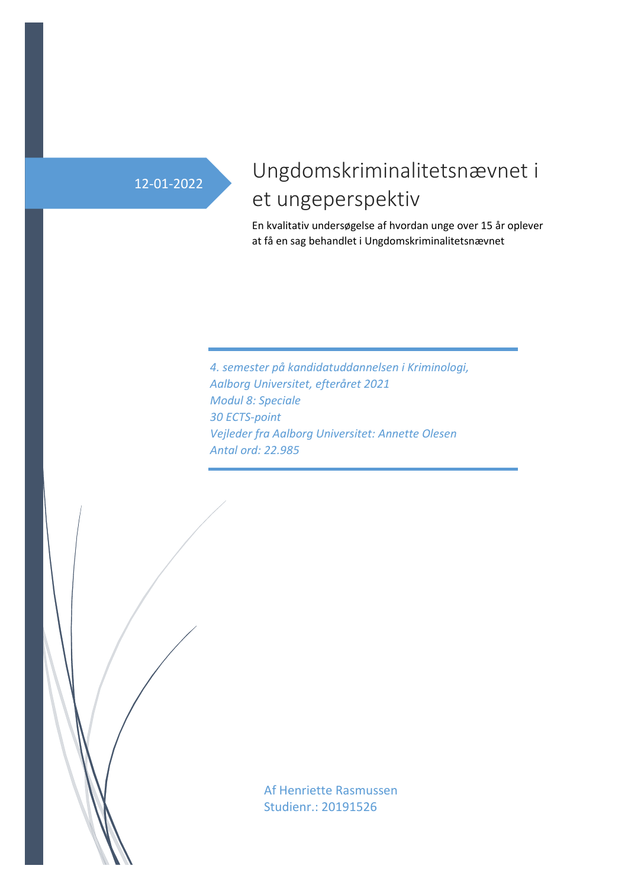# 12-01-2022

# Ungdomskriminalitetsnævnet i et ungeperspektiv

En kvalitativ undersøgelse af hvordan unge over 15 år oplever at få en sag behandlet i Ungdomskriminalitetsnævnet

*4. semester på kandidatuddannelsen i Kriminologi, Aalborg Universitet, efteråret 2021 Modul 8: Speciale 30 ECTS-point Vejleder fra Aalborg Universitet: Annette Olesen Antal ord: 22.985*

> Af Henriette Rasmussen Studienr.: 20191526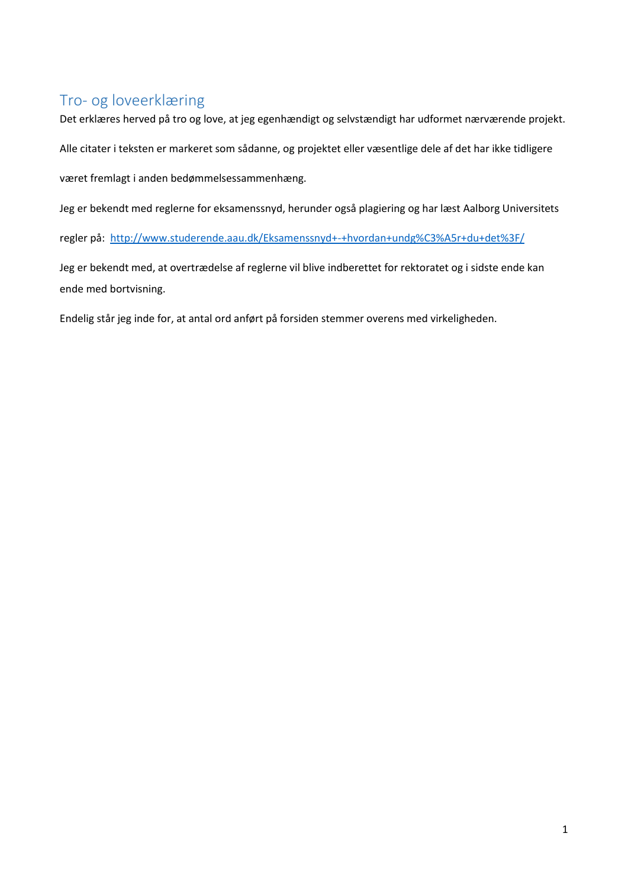# <span id="page-1-0"></span>Tro- og loveerklæring

Det erklæres herved på tro og love, at jeg egenhændigt og selvstændigt har udformet nærværende projekt.

Alle citater i teksten er markeret som sådanne, og projektet eller væsentlige dele af det har ikke tidligere

været fremlagt i anden bedømmelsessammenhæng.

Jeg er bekendt med reglerne for eksamenssnyd, herunder også plagiering og har læst Aalborg Universitets

regler på: <http://www.studerende.aau.dk/Eksamenssnyd+-+hvordan+undg%C3%A5r+du+det%3F/>

Jeg er bekendt med, at overtrædelse af reglerne vil blive indberettet for rektoratet og i sidste ende kan ende med bortvisning.

Endelig står jeg inde for, at antal ord anført på forsiden stemmer overens med virkeligheden.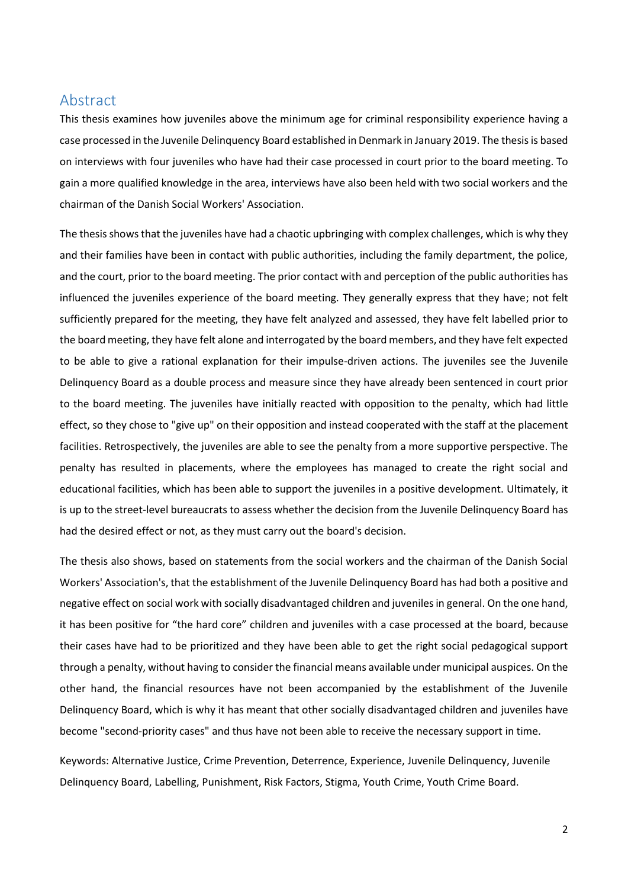# <span id="page-2-0"></span>Abstract

This thesis examines how juveniles above the minimum age for criminal responsibility experience having a case processed in the Juvenile Delinquency Board established in Denmark in January 2019. The thesis is based on interviews with four juveniles who have had their case processed in court prior to the board meeting. To gain a more qualified knowledge in the area, interviews have also been held with two social workers and the chairman of the Danish Social Workers' Association.

The thesis shows that the juveniles have had a chaotic upbringing with complex challenges, which is why they and their families have been in contact with public authorities, including the family department, the police, and the court, prior to the board meeting. The prior contact with and perception of the public authorities has influenced the juveniles experience of the board meeting. They generally express that they have; not felt sufficiently prepared for the meeting, they have felt analyzed and assessed, they have felt labelled prior to the board meeting, they have felt alone and interrogated by the board members, and they have felt expected to be able to give a rational explanation for their impulse-driven actions. The juveniles see the Juvenile Delinquency Board as a double process and measure since they have already been sentenced in court prior to the board meeting. The juveniles have initially reacted with opposition to the penalty, which had little effect, so they chose to "give up" on their opposition and instead cooperated with the staff at the placement facilities. Retrospectively, the juveniles are able to see the penalty from a more supportive perspective. The penalty has resulted in placements, where the employees has managed to create the right social and educational facilities, which has been able to support the juveniles in a positive development. Ultimately, it is up to the street-level bureaucrats to assess whether the decision from the Juvenile Delinquency Board has had the desired effect or not, as they must carry out the board's decision.

The thesis also shows, based on statements from the social workers and the chairman of the Danish Social Workers' Association's, that the establishment of the Juvenile Delinquency Board has had both a positive and negative effect on social work with socially disadvantaged children and juveniles in general. On the one hand, it has been positive for "the hard core" children and juveniles with a case processed at the board, because their cases have had to be prioritized and they have been able to get the right social pedagogical support through a penalty, without having to consider the financial means available under municipal auspices. On the other hand, the financial resources have not been accompanied by the establishment of the Juvenile Delinquency Board, which is why it has meant that other socially disadvantaged children and juveniles have become "second-priority cases" and thus have not been able to receive the necessary support in time.

Keywords: Alternative Justice, Crime Prevention, Deterrence, Experience, Juvenile Delinquency, Juvenile Delinquency Board, Labelling, Punishment, Risk Factors, Stigma, Youth Crime, Youth Crime Board.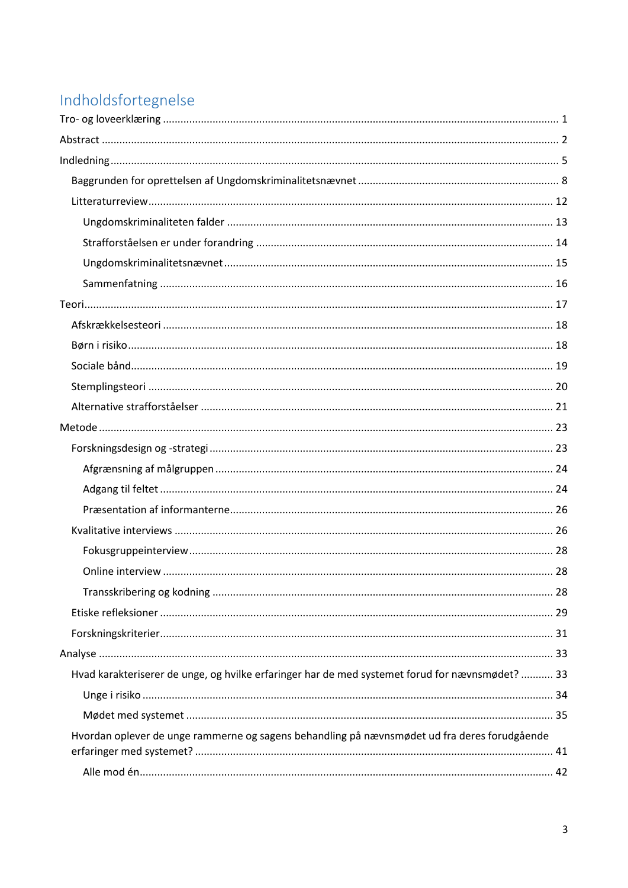# Indholdsfortegnelse

| Hvad karakteriserer de unge, og hvilke erfaringer har de med systemet forud for nævnsmødet?  33 |  |
|-------------------------------------------------------------------------------------------------|--|
|                                                                                                 |  |
|                                                                                                 |  |
| Hvordan oplever de unge rammerne og sagens behandling på nævnsmødet ud fra deres forudgående    |  |
|                                                                                                 |  |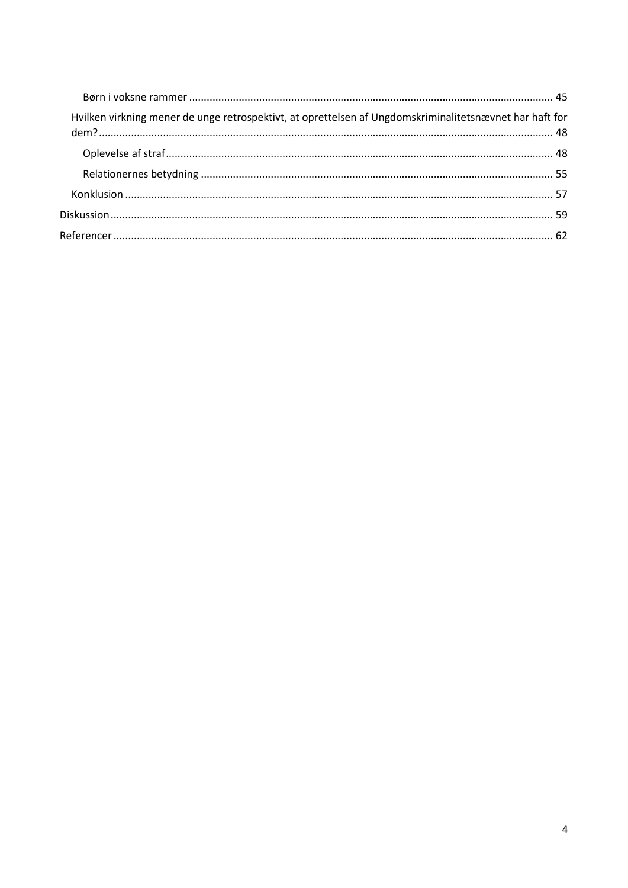| Hvilken virkning mener de unge retrospektivt, at oprettelsen af Ungdomskriminalitetsnævnet har haft for |  |
|---------------------------------------------------------------------------------------------------------|--|
|                                                                                                         |  |
|                                                                                                         |  |
|                                                                                                         |  |
|                                                                                                         |  |
|                                                                                                         |  |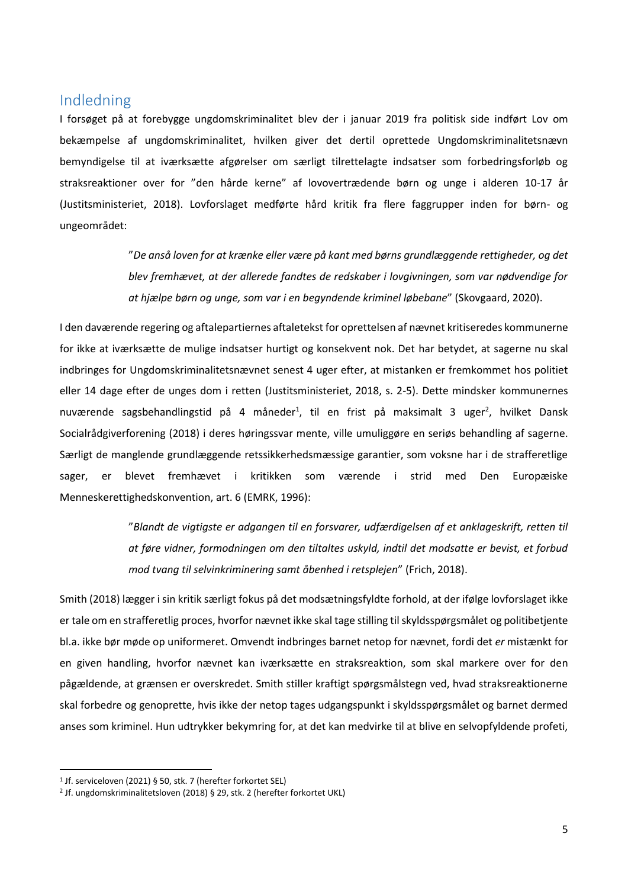# <span id="page-5-0"></span>Indledning

I forsøget på at forebygge ungdomskriminalitet blev der i januar 2019 fra politisk side indført Lov om bekæmpelse af ungdomskriminalitet, hvilken giver det dertil oprettede Ungdomskriminalitetsnævn bemyndigelse til at iværksætte afgørelser om særligt tilrettelagte indsatser som forbedringsforløb og straksreaktioner over for "den hårde kerne" af lovovertrædende børn og unge i alderen 10-17 år (Justitsministeriet, 2018). Lovforslaget medførte hård kritik fra flere faggrupper inden for børn- og ungeområdet:

> "*De anså loven for at krænke eller være på kant med børns grundlæggende rettigheder, og det blev fremhævet, at der allerede fandtes de redskaber i lovgivningen, som var nødvendige for at hjælpe børn og unge, som var i en begyndende kriminel løbebane*" (Skovgaard, 2020).

I den daværende regering og aftalepartiernes aftaletekst for oprettelsen af nævnet kritiseredes kommunerne for ikke at iværksætte de mulige indsatser hurtigt og konsekvent nok. Det har betydet, at sagerne nu skal indbringes for Ungdomskriminalitetsnævnet senest 4 uger efter, at mistanken er fremkommet hos politiet eller 14 dage efter de unges dom i retten (Justitsministeriet, 2018, s. 2-5). Dette mindsker kommunernes nuværende sagsbehandlingstid på 4 måneder<sup>1</sup>, til en frist på maksimalt 3 uger<sup>2</sup>, hvilket Dansk Socialrådgiverforening (2018) i deres høringssvar mente, ville umuliggøre en seriøs behandling af sagerne. Særligt de manglende grundlæggende retssikkerhedsmæssige garantier, som voksne har i de strafferetlige sager, er blevet fremhævet i kritikken som værende i strid med Den Europæiske Menneskerettighedskonvention, art. 6 (EMRK, 1996):

> "*Blandt de vigtigste er adgangen til en forsvarer, udfærdigelsen af et anklageskrift, retten til at føre vidner, formodningen om den tiltaltes uskyld, indtil det modsatte er bevist, et forbud mod tvang til selvinkriminering samt åbenhed i retsplejen*" (Frich, 2018).

Smith (2018) lægger i sin kritik særligt fokus på det modsætningsfyldte forhold, at der ifølge lovforslaget ikke er tale om en strafferetlig proces, hvorfor nævnet ikke skal tage stilling til skyldsspørgsmålet og politibetjente bl.a. ikke bør møde op uniformeret. Omvendt indbringes barnet netop for nævnet, fordi det *er* mistænkt for en given handling, hvorfor nævnet kan iværksætte en straksreaktion, som skal markere over for den pågældende, at grænsen er overskredet. Smith stiller kraftigt spørgsmålstegn ved, hvad straksreaktionerne skal forbedre og genoprette, hvis ikke der netop tages udgangspunkt i skyldsspørgsmålet og barnet dermed anses som kriminel. Hun udtrykker bekymring for, at det kan medvirke til at blive en selvopfyldende profeti,

<sup>1</sup> Jf. serviceloven (2021) § 50, stk. 7 (herefter forkortet SEL)

<sup>2</sup> Jf. ungdomskriminalitetsloven (2018) § 29, stk. 2 (herefter forkortet UKL)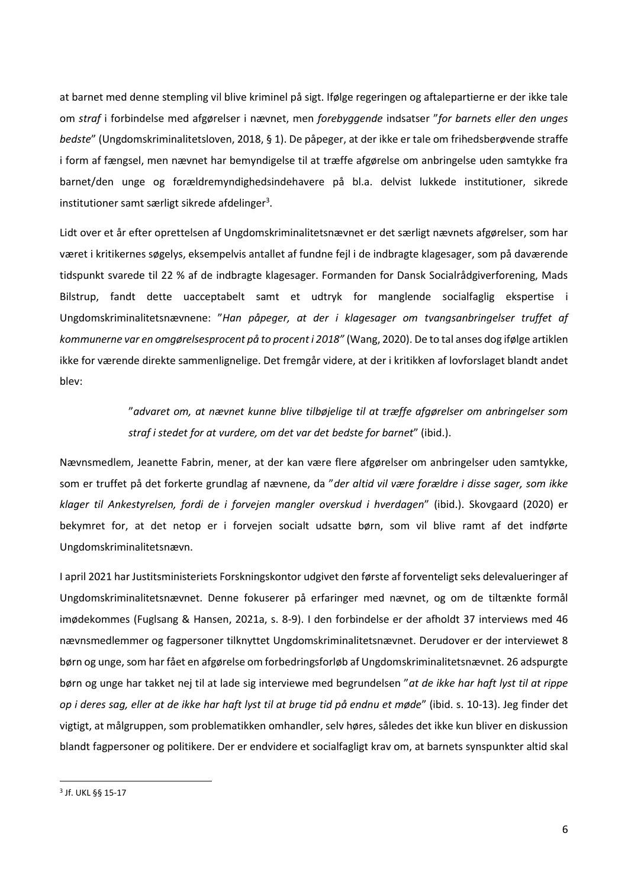at barnet med denne stempling vil blive kriminel på sigt. Ifølge regeringen og aftalepartierne er der ikke tale om *straf* i forbindelse med afgørelser i nævnet, men *forebyggende* indsatser "*for barnets eller den unges bedste*" (Ungdomskriminalitetsloven, 2018, § 1). De påpeger, at der ikke er tale om frihedsberøvende straffe i form af fængsel, men nævnet har bemyndigelse til at træffe afgørelse om anbringelse uden samtykke fra barnet/den unge og forældremyndighedsindehavere på bl.a. delvist lukkede institutioner, sikrede institutioner samt særligt sikrede afdelinger<sup>3</sup>.

Lidt over et år efter oprettelsen af Ungdomskriminalitetsnævnet er det særligt nævnets afgørelser, som har været i kritikernes søgelys, eksempelvis antallet af fundne fejl i de indbragte klagesager, som på daværende tidspunkt svarede til 22 % af de indbragte klagesager. Formanden for Dansk Socialrådgiverforening, Mads Bilstrup, fandt dette uacceptabelt samt et udtryk for manglende socialfaglig ekspertise i Ungdomskriminalitetsnævnene: "*Han påpeger, at der i klagesager om tvangsanbringelser truffet af kommunerne var en omgørelsesprocent på to procent i 2018"* (Wang, 2020). De to tal anses dog ifølge artiklen ikke for værende direkte sammenlignelige. Det fremgår videre, at der i kritikken af lovforslaget blandt andet blev:

> "*advaret om, at nævnet kunne blive tilbøjelige til at træffe afgørelser om anbringelser som straf i stedet for at vurdere, om det var det bedste for barnet*" (ibid.).

Nævnsmedlem, Jeanette Fabrin, mener, at der kan være flere afgørelser om anbringelser uden samtykke, som er truffet på det forkerte grundlag af nævnene, da "*der altid vil være forældre i disse sager, som ikke klager til Ankestyrelsen, fordi de i forvejen mangler overskud i hverdagen*" (ibid.). Skovgaard (2020) er bekymret for, at det netop er i forvejen socialt udsatte børn, som vil blive ramt af det indførte Ungdomskriminalitetsnævn.

I april 2021 har Justitsministeriets Forskningskontor udgivet den første af forventeligt seks delevalueringer af Ungdomskriminalitetsnævnet. Denne fokuserer på erfaringer med nævnet, og om de tiltænkte formål imødekommes (Fuglsang & Hansen, 2021a, s. 8-9). I den forbindelse er der afholdt 37 interviews med 46 nævnsmedlemmer og fagpersoner tilknyttet Ungdomskriminalitetsnævnet. Derudover er der interviewet 8 børn og unge, som har fået en afgørelse om forbedringsforløb af Ungdomskriminalitetsnævnet. 26 adspurgte børn og unge har takket nej til at lade sig interviewe med begrundelsen "*at de ikke har haft lyst til at rippe op i deres sag, eller at de ikke har haft lyst til at bruge tid på endnu et møde*" (ibid. s. 10-13). Jeg finder det vigtigt, at målgruppen, som problematikken omhandler, selv høres, således det ikke kun bliver en diskussion blandt fagpersoner og politikere. Der er endvidere et socialfagligt krav om, at barnets synspunkter altid skal

<sup>3</sup> Jf. UKL §§ 15-17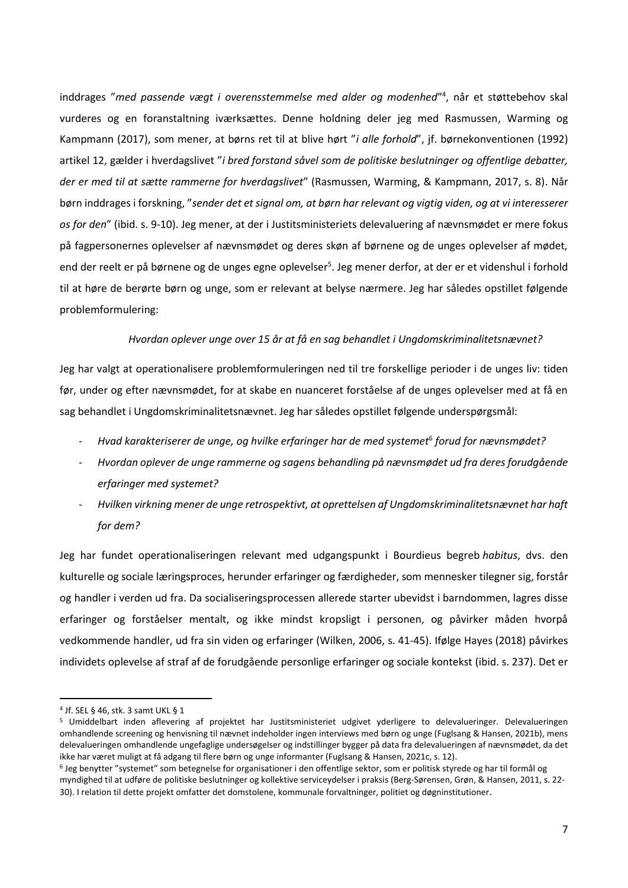inddrages "*med passende vægt i overensstemmelse med alder og modenhed*" 4 , når et støttebehov skal vurderes og en foranstaltning iværksættes. Denne holdning deler jeg med Rasmussen, Warming og Kampmann (2017), som mener, at børns ret til at blive hørt "*i alle forhold*", jf. børnekonventionen (1992) artikel 12, gælder i hverdagslivet "*i bred forstand såvel som de politiske beslutninger og offentlige debatter, der er med til at sætte rammerne for hverdagslivet*" (Rasmussen, Warming, & Kampmann, 2017, s. 8). Når børn inddrages i forskning, "*sender det et signal om, at børn har relevant og vigtig viden, og at vi interesserer os for den*" (ibid. s. 9-10). Jeg mener, at der i Justitsministeriets delevaluering af nævnsmødet er mere fokus på fagpersonernes oplevelser af nævnsmødet og deres skøn af børnene og de unges oplevelser af mødet, end der reelt er på børnene og de unges egne oplevelser<sup>5</sup>. Jeg mener derfor, at der er et videnshul i forhold til at høre de berørte børn og unge, som er relevant at belyse nærmere. Jeg har således opstillet følgende problemformulering:

#### *Hvordan oplever unge over 15 år at få en sag behandlet i Ungdomskriminalitetsnævnet?*

Jeg har valgt at operationalisere problemformuleringen ned til tre forskellige perioder i de unges liv: tiden før, under og efter nævnsmødet, for at skabe en nuanceret forståelse af de unges oplevelser med at få en sag behandlet i Ungdomskriminalitetsnævnet. Jeg har således opstillet følgende underspørgsmål:

- *Hvad karakteriserer de unge, og hvilke erfaringer har de med systemet*<sup>6</sup> *forud for nævnsmødet?*
- *Hvordan oplever de unge rammerne og sagens behandling på nævnsmødet ud fra deres forudgående erfaringer med systemet?*
- *Hvilken virkning mener de unge retrospektivt, at oprettelsen af Ungdomskriminalitetsnævnet har haft for dem?*

Jeg har fundet operationaliseringen relevant med udgangspunkt i Bourdieus begreb *habitus*, dvs. den kulturelle og sociale læringsproces, herunder erfaringer og færdigheder, som mennesker tilegner sig, forstår og handler i verden ud fra. Da socialiseringsprocessen allerede starter ubevidst i barndommen, lagres disse erfaringer og forståelser mentalt, og ikke mindst kropsligt i personen, og påvirker måden hvorpå vedkommende handler, ud fra sin viden og erfaringer (Wilken, 2006, s. 41-45). Ifølge Hayes (2018) påvirkes individets oplevelse af straf af de forudgående personlige erfaringer og sociale kontekst (ibid. s. 237). Det er

<sup>4</sup> Jf. SEL § 46, stk. 3 samt UKL § 1

<sup>5</sup> Umiddelbart inden aflevering af projektet har Justitsministeriet udgivet yderligere to delevalueringer. Delevalueringen omhandlende screening og henvisning til nævnet indeholder ingen interviews med børn og unge (Fuglsang & Hansen, 2021b), mens delevalueringen omhandlende ungefaglige undersøgelser og indstillinger bygger på data fra delevalueringen af nævnsmødet, da det ikke har været muligt at få adgang til flere børn og unge informanter (Fuglsang & Hansen, 2021c, s. 12).

<sup>6</sup> Jeg benytter "systemet" som betegnelse for organisationer i den offentlige sektor, som er politisk styrede og har til formål og myndighed til at udføre de politiske beslutninger og kollektive serviceydelser i praksis (Berg-Sørensen, Grøn, & Hansen, 2011, s. 22- 30). I relation til dette projekt omfatter det domstolene, kommunale forvaltninger, politiet og døgninstitutioner.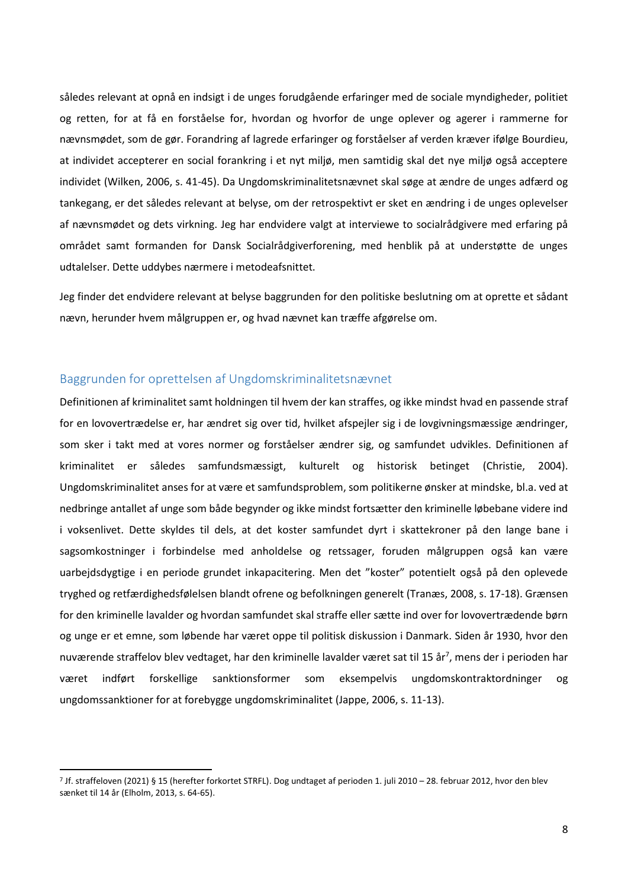således relevant at opnå en indsigt i de unges forudgående erfaringer med de sociale myndigheder, politiet og retten, for at få en forståelse for, hvordan og hvorfor de unge oplever og agerer i rammerne for nævnsmødet, som de gør. Forandring af lagrede erfaringer og forståelser af verden kræver ifølge Bourdieu, at individet accepterer en social forankring i et nyt miljø, men samtidig skal det nye miljø også acceptere individet (Wilken, 2006, s. 41-45). Da Ungdomskriminalitetsnævnet skal søge at ændre de unges adfærd og tankegang, er det således relevant at belyse, om der retrospektivt er sket en ændring i de unges oplevelser af nævnsmødet og dets virkning. Jeg har endvidere valgt at interviewe to socialrådgivere med erfaring på området samt formanden for Dansk Socialrådgiverforening, med henblik på at understøtte de unges udtalelser. Dette uddybes nærmere i metodeafsnittet.

Jeg finder det endvidere relevant at belyse baggrunden for den politiske beslutning om at oprette et sådant nævn, herunder hvem målgruppen er, og hvad nævnet kan træffe afgørelse om.

# <span id="page-8-0"></span>Baggrunden for oprettelsen af Ungdomskriminalitetsnævnet

Definitionen af kriminalitet samt holdningen til hvem der kan straffes, og ikke mindst hvad en passende straf for en lovovertrædelse er, har ændret sig over tid, hvilket afspejler sig i de lovgivningsmæssige ændringer, som sker i takt med at vores normer og forståelser ændrer sig, og samfundet udvikles. Definitionen af kriminalitet er således samfundsmæssigt, kulturelt og historisk betinget (Christie, 2004). Ungdomskriminalitet anses for at være et samfundsproblem, som politikerne ønsker at mindske, bl.a. ved at nedbringe antallet af unge som både begynder og ikke mindst fortsætter den kriminelle løbebane videre ind i voksenlivet. Dette skyldes til dels, at det koster samfundet dyrt i skattekroner på den lange bane i sagsomkostninger i forbindelse med anholdelse og retssager, foruden målgruppen også kan være uarbejdsdygtige i en periode grundet inkapacitering. Men det "koster" potentielt også på den oplevede tryghed og retfærdighedsfølelsen blandt ofrene og befolkningen generelt (Tranæs, 2008, s. 17-18). Grænsen for den kriminelle lavalder og hvordan samfundet skal straffe eller sætte ind over for lovovertrædende børn og unge er et emne, som løbende har været oppe til politisk diskussion i Danmark. Siden år 1930, hvor den nuværende straffelov blev vedtaget, har den kriminelle lavalder været sat til 15 år<sup>7</sup>, mens der i perioden har været indført forskellige sanktionsformer som eksempelvis ungdomskontraktordninger og ungdomssanktioner for at forebygge ungdomskriminalitet (Jappe, 2006, s. 11-13).

<sup>7</sup> Jf. straffeloven (2021) § 15 (herefter forkortet STRFL). Dog undtaget af perioden 1. juli 2010 – 28. februar 2012, hvor den blev sænket til 14 år (Elholm, 2013, s. 64-65).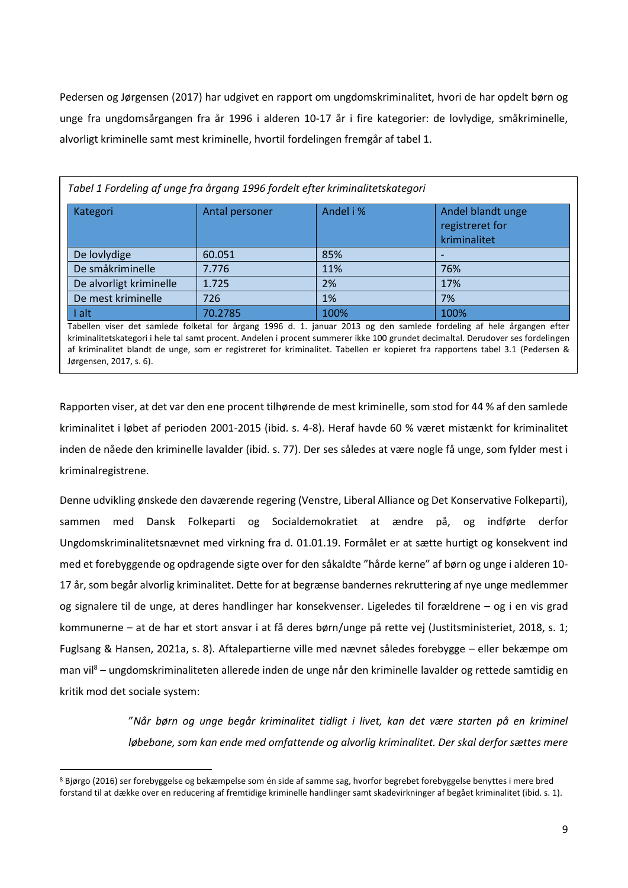Pedersen og Jørgensen (2017) har udgivet en rapport om ungdomskriminalitet, hvori de har opdelt børn og unge fra ungdomsårgangen fra år 1996 i alderen 10-17 år i fire kategorier: de lovlydige, småkriminelle, alvorligt kriminelle samt mest kriminelle, hvortil fordelingen fremgår af tabel 1.

| Tabel 1 Fordeling af unge fra årgang 1996 fordelt efter kriminalitetskategori                                         |                |           |                                                      |  |  |  |
|-----------------------------------------------------------------------------------------------------------------------|----------------|-----------|------------------------------------------------------|--|--|--|
| Kategori                                                                                                              | Antal personer | Andel i % | Andel blandt unge<br>registreret for<br>kriminalitet |  |  |  |
| De lovlydige                                                                                                          | 60.051         | 85%       |                                                      |  |  |  |
| De småkriminelle                                                                                                      | 7.776          | 11%       | 76%                                                  |  |  |  |
| De alvorligt kriminelle                                                                                               | 1.725          | 2%        | 17%                                                  |  |  |  |
| De mest kriminelle                                                                                                    | 726            | 1%        | 7%                                                   |  |  |  |
| I alt                                                                                                                 | 70.2785        | 100%      | 100%                                                 |  |  |  |
| Tabellen viser det samlede folketal for årgang 1996 d. 1. januar 2013 og den samlede fordeling af hele årgangen efter |                |           |                                                      |  |  |  |

kriminalitetskategori i hele tal samt procent. Andelen i procent summerer ikke 100 grundet decimaltal. Derudover ses fordelingen af kriminalitet blandt de unge, som er registreret for kriminalitet. Tabellen er kopieret fra rapportens tabel 3.1 (Pedersen & Jørgensen, 2017, s. 6).

Rapporten viser, at det var den ene procent tilhørende de mest kriminelle, som stod for 44 % af den samlede kriminalitet i løbet af perioden 2001-2015 (ibid. s. 4-8). Heraf havde 60 % været mistænkt for kriminalitet inden de nåede den kriminelle lavalder (ibid. s. 77). Der ses således at være nogle få unge, som fylder mest i kriminalregistrene.

Denne udvikling ønskede den daværende regering (Venstre, Liberal Alliance og Det Konservative Folkeparti), sammen med Dansk Folkeparti og Socialdemokratiet at ændre på, og indførte derfor Ungdomskriminalitetsnævnet med virkning fra d. 01.01.19. Formålet er at sætte hurtigt og konsekvent ind med et forebyggende og opdragende sigte over for den såkaldte "hårde kerne" af børn og unge i alderen 10- 17 år, som begår alvorlig kriminalitet. Dette for at begrænse bandernes rekruttering af nye unge medlemmer og signalere til de unge, at deres handlinger har konsekvenser. Ligeledes til forældrene – og i en vis grad kommunerne – at de har et stort ansvar i at få deres børn/unge på rette vej (Justitsministeriet, 2018, s. 1; Fuglsang & Hansen, 2021a, s. 8). Aftalepartierne ville med nævnet således forebygge – eller bekæmpe om man vil<sup>8</sup> – ungdomskriminaliteten allerede inden de unge når den kriminelle lavalder og rettede samtidig en kritik mod det sociale system:

> "*Når børn og unge begår kriminalitet tidligt i livet, kan det være starten på en kriminel løbebane, som kan ende med omfattende og alvorlig kriminalitet. Der skal derfor sættes mere*

<sup>8</sup> Bjørgo (2016) ser forebyggelse og bekæmpelse som én side af samme sag, hvorfor begrebet forebyggelse benyttes i mere bred forstand til at dække over en reducering af fremtidige kriminelle handlinger samt skadevirkninger af begået kriminalitet (ibid. s. 1).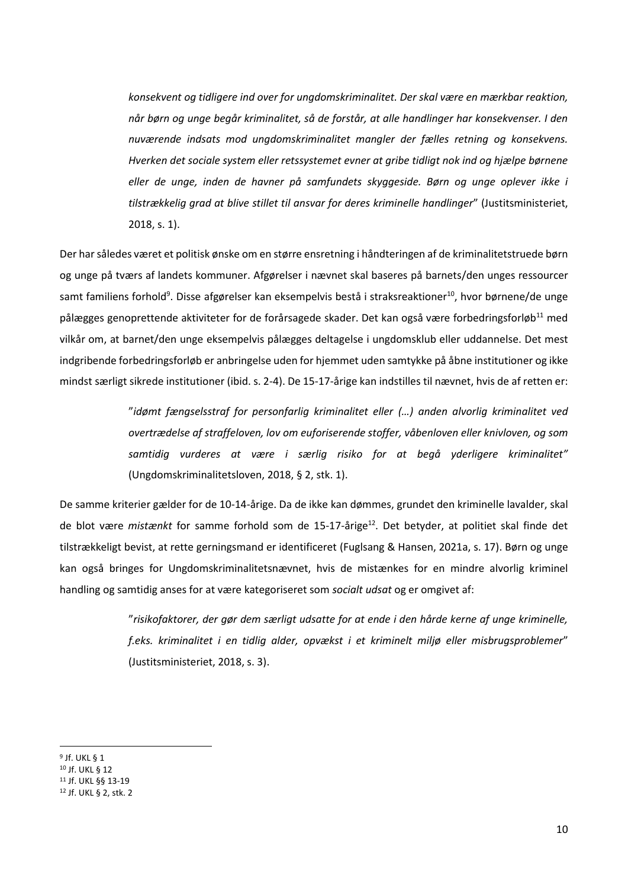*konsekvent og tidligere ind over for ungdomskriminalitet. Der skal være en mærkbar reaktion, når børn og unge begår kriminalitet, så de forstår, at alle handlinger har konsekvenser. I den nuværende indsats mod ungdomskriminalitet mangler der fælles retning og konsekvens. Hverken det sociale system eller retssystemet evner at gribe tidligt nok ind og hjælpe børnene eller de unge, inden de havner på samfundets skyggeside. Børn og unge oplever ikke i tilstrækkelig grad at blive stillet til ansvar for deres kriminelle handlinger*" (Justitsministeriet, 2018, s. 1).

Der har således været et politisk ønske om en større ensretning i håndteringen af de kriminalitetstruede børn og unge på tværs af landets kommuner. Afgørelser i nævnet skal baseres på barnets/den unges ressourcer samt familiens forhold<sup>9</sup>. Disse afgørelser kan eksempelvis bestå i straksreaktioner<sup>10</sup>, hvor børnene/de unge pålægges genoprettende aktiviteter for de forårsagede skader. Det kan også være forbedringsforløb<sup>11</sup> med vilkår om, at barnet/den unge eksempelvis pålægges deltagelse i ungdomsklub eller uddannelse. Det mest indgribende forbedringsforløb er anbringelse uden for hjemmet uden samtykke på åbne institutioner og ikke mindst særligt sikrede institutioner (ibid. s. 2-4). De 15-17-årige kan indstilles til nævnet, hvis de af retten er:

> "*idømt fængselsstraf for personfarlig kriminalitet eller (…) anden alvorlig kriminalitet ved overtrædelse af straffeloven, lov om euforiserende stoffer, våbenloven eller knivloven, og som samtidig vurderes at være i særlig risiko for at begå yderligere kriminalitet"* (Ungdomskriminalitetsloven, 2018, § 2, stk. 1).

De samme kriterier gælder for de 10-14-årige. Da de ikke kan dømmes, grundet den kriminelle lavalder, skal de blot være *mistænkt* for samme forhold som de 15-17-årige<sup>12</sup>. Det betyder, at politiet skal finde det tilstrækkeligt bevist, at rette gerningsmand er identificeret (Fuglsang & Hansen, 2021a, s. 17). Børn og unge kan også bringes for Ungdomskriminalitetsnævnet, hvis de mistænkes for en mindre alvorlig kriminel handling og samtidig anses for at være kategoriseret som *socialt udsat* og er omgivet af:

> "*risikofaktorer, der gør dem særligt udsatte for at ende i den hårde kerne af unge kriminelle, f.eks. kriminalitet i en tidlig alder, opvækst i et kriminelt miljø eller misbrugsproblemer*" (Justitsministeriet, 2018, s. 3).

<sup>9</sup> Jf. UKL § 1

<sup>10</sup> Jf. UKL § 12

<sup>11</sup> Jf. UKL §§ 13-19

<sup>12</sup> Jf. UKL § 2, stk. 2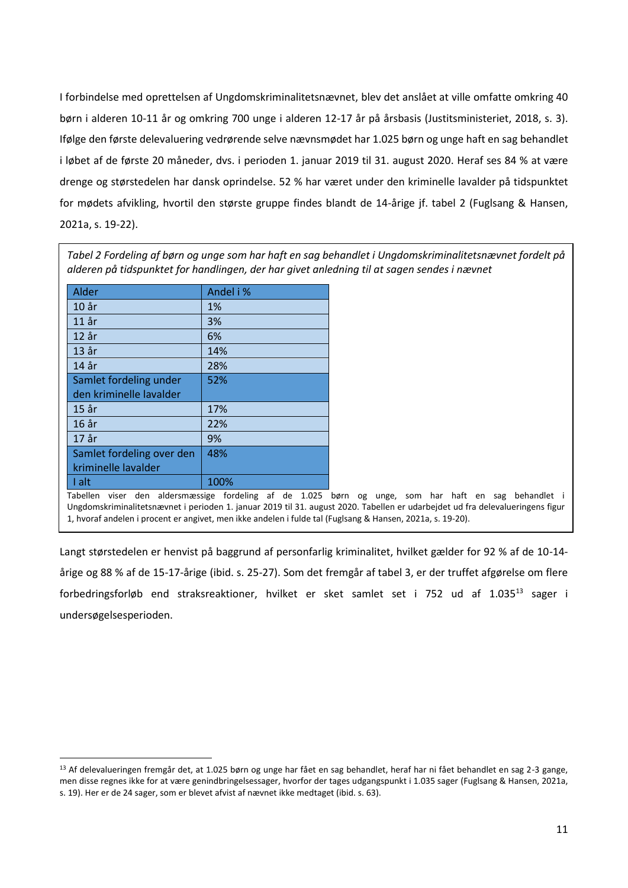I forbindelse med oprettelsen af Ungdomskriminalitetsnævnet, blev det anslået at ville omfatte omkring 40 børn i alderen 10-11 år og omkring 700 unge i alderen 12-17 år på årsbasis (Justitsministeriet, 2018, s. 3). Ifølge den første delevaluering vedrørende selve nævnsmødet har 1.025 børn og unge haft en sag behandlet i løbet af de første 20 måneder, dvs. i perioden 1. januar 2019 til 31. august 2020. Heraf ses 84 % at være drenge og størstedelen har dansk oprindelse. 52 % har været under den kriminelle lavalder på tidspunktet for mødets afvikling, hvortil den største gruppe findes blandt de 14-årige jf. tabel 2 (Fuglsang & Hansen, 2021a, s. 19-22).

*Tabel 2 Fordeling af børn og unge som har haft en sag behandlet i Ungdomskriminalitetsnævnet fordelt på alderen på tidspunktet for handlingen, der har givet anledning til at sagen sendes i nævnet*

| Alder                     | Andel i % |
|---------------------------|-----------|
| 10 <sub>ar</sub>          | 1%        |
| $11$ år                   | 3%        |
| $12$ år                   | 6%        |
| $13$ år                   | 14%       |
| 14 år                     | 28%       |
| Samlet fordeling under    | 52%       |
| den kriminelle lavalder   |           |
| $15$ år                   | 17%       |
| 16 år                     | 22%       |
| 17 år                     | 9%        |
| Samlet fordeling over den | 48%       |
| kriminelle lavalder       |           |
| I alt                     | 100%      |

Tabellen viser den aldersmæssige fordeling af de 1.025 børn og unge, som har haft en sag behandlet i Ungdomskriminalitetsnævnet i perioden 1. januar 2019 til 31. august 2020. Tabellen er udarbejdet ud fra delevalueringens figur 1, hvoraf andelen i procent er angivet, men ikke andelen i fulde tal (Fuglsang & Hansen, 2021a, s. 19-20).

Langt størstedelen er henvist på baggrund af personfarlig kriminalitet, hvilket gælder for 92 % af de 10-14 årige og 88 % af de 15-17-årige (ibid. s. 25-27). Som det fremgår af tabel 3, er der truffet afgørelse om flere forbedringsforløb end straksreaktioner, hvilket er sket samlet set i 752 ud af 1.035<sup>13</sup> sager i undersøgelsesperioden.

<sup>13</sup> Af delevalueringen fremgår det, at 1.025 børn og unge har fået en sag behandlet, heraf har ni fået behandlet en sag 2-3 gange, men disse regnes ikke for at være genindbringelsessager, hvorfor der tages udgangspunkt i 1.035 sager (Fuglsang & Hansen, 2021a, s. 19). Her er de 24 sager, som er blevet afvist af nævnet ikke medtaget (ibid. s. 63).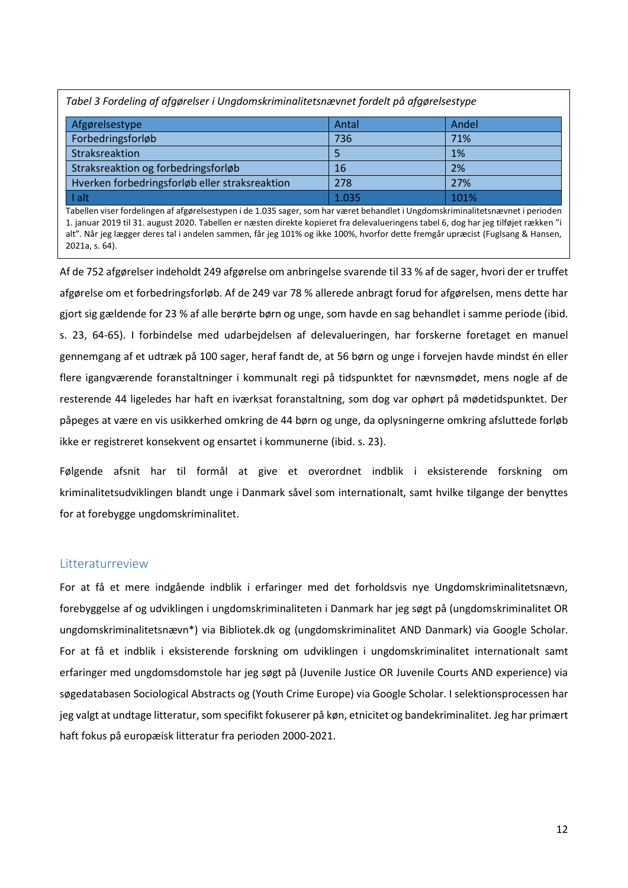| Tabel 3 Fordeling af afgørelser i Ungdomskriminalitetsnævnet fordelt på afgørelsestype |       |       |  |  |  |
|----------------------------------------------------------------------------------------|-------|-------|--|--|--|
| Afgørelsestype                                                                         | Antal | Andel |  |  |  |
| Forbedringsforløb                                                                      | 736   | 71%   |  |  |  |
| Straksreaktion                                                                         |       | 1%    |  |  |  |
| Straksreaktion og forbedringsforløb                                                    | 16    | 2%    |  |  |  |
| Hverken forbedringsforløb eller straksreaktion                                         | 278   | 27%   |  |  |  |
| I alt                                                                                  | 1.035 | 101%  |  |  |  |

Tabellen viser fordelingen af afgørelsestypen i de 1.035 sager, som har været behandlet i Ungdomskriminalitetsnævnet i perioden 1. januar 2019 til 31. august 2020. Tabellen er næsten direkte kopieret fra delevalueringens tabel 6, dog har jeg tilføjet rækken "i alt". Når jeg lægger deres tal i andelen sammen, får jeg 101% og ikke 100%, hvorfor dette fremgår upræcist (Fuglsang & Hansen, 2021a, s. 64).

Af de 752 afgørelser indeholdt 249 afgørelse om anbringelse svarende til 33 % af de sager, hvori der er truffet afgørelse om et forbedringsforløb. Af de 249 var 78 % allerede anbragt forud for afgørelsen, mens dette har gjort sig gældende for 23 % af alle berørte børn og unge, som havde en sag behandlet i samme periode (ibid. s. 23, 64-65). I forbindelse med udarbejdelsen af delevalueringen, har forskerne foretaget en manuel gennemgang af et udtræk på 100 sager, heraf fandt de, at 56 børn og unge i forvejen havde mindst én eller flere igangværende foranstaltninger i kommunalt regi på tidspunktet for nævnsmødet, mens nogle af de resterende 44 ligeledes har haft en iværksat foranstaltning, som dog var ophørt på mødetidspunktet. Der påpeges at være en vis usikkerhed omkring de 44 børn og unge, da oplysningerne omkring afsluttede forløb ikke er registreret konsekvent og ensartet i kommunerne (ibid. s. 23).

Følgende afsnit har til formål at give et overordnet indblik i eksisterende forskning om kriminalitetsudviklingen blandt unge i Danmark såvel som internationalt, samt hvilke tilgange der benyttes for at forebygge ungdomskriminalitet.

# <span id="page-12-0"></span>**Litteraturreview**

For at få et mere indgående indblik i erfaringer med det forholdsvis nye Ungdomskriminalitetsnævn, forebyggelse af og udviklingen i ungdomskriminaliteten i Danmark har jeg søgt på (ungdomskriminalitet OR ungdomskriminalitetsnævn\*) via Bibliotek.dk og (ungdomskriminalitet AND Danmark) via Google Scholar. For at få et indblik i eksisterende forskning om udviklingen i ungdomskriminalitet internationalt samt erfaringer med ungdomsdomstole har jeg søgt på (Juvenile Justice OR Juvenile Courts AND experience) via søgedatabasen Sociological Abstracts og (Youth Crime Europe) via Google Scholar. I selektionsprocessen har jeg valgt at undtage litteratur, som specifikt fokuserer på køn, etnicitet og bandekriminalitet. Jeg har primært haft fokus på europæisk litteratur fra perioden 2000-2021.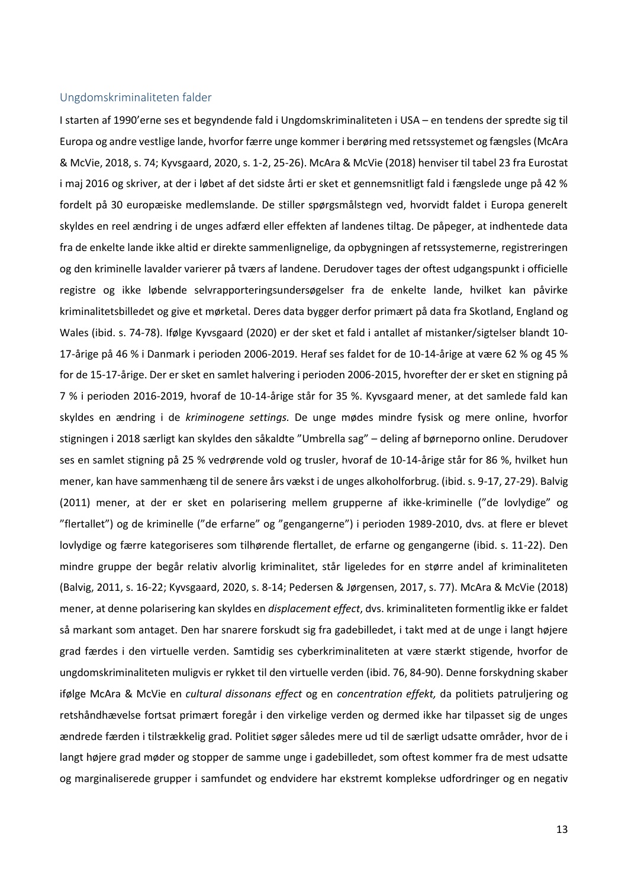#### <span id="page-13-0"></span>Ungdomskriminaliteten falder

I starten af 1990'erne ses et begyndende fald i Ungdomskriminaliteten i USA – en tendens der spredte sig til Europa og andre vestlige lande, hvorfor færre unge kommer i berøring med retssystemet og fængsles (McAra & McVie, 2018, s. 74; Kyvsgaard, 2020, s. 1-2, 25-26). McAra & McVie (2018) henviser til tabel 23 fra Eurostat i maj 2016 og skriver, at der i løbet af det sidste årti er sket et gennemsnitligt fald i fængslede unge på 42 % fordelt på 30 europæiske medlemslande. De stiller spørgsmålstegn ved, hvorvidt faldet i Europa generelt skyldes en reel ændring i de unges adfærd eller effekten af landenes tiltag. De påpeger, at indhentede data fra de enkelte lande ikke altid er direkte sammenlignelige, da opbygningen af retssystemerne, registreringen og den kriminelle lavalder varierer på tværs af landene. Derudover tages der oftest udgangspunkt i officielle registre og ikke løbende selvrapporteringsundersøgelser fra de enkelte lande, hvilket kan påvirke kriminalitetsbilledet og give et mørketal. Deres data bygger derfor primært på data fra Skotland, England og Wales (ibid. s. 74-78). Ifølge Kyvsgaard (2020) er der sket et fald i antallet af mistanker/sigtelser blandt 10- 17-årige på 46 % i Danmark i perioden 2006-2019. Heraf ses faldet for de 10-14-årige at være 62 % og 45 % for de 15-17-årige. Der er sket en samlet halvering i perioden 2006-2015, hvorefter der er sket en stigning på 7 % i perioden 2016-2019, hvoraf de 10-14-årige står for 35 %. Kyvsgaard mener, at det samlede fald kan skyldes en ændring i de *kriminogene settings.* De unge mødes mindre fysisk og mere online, hvorfor stigningen i 2018 særligt kan skyldes den såkaldte "Umbrella sag" – deling af børneporno online. Derudover ses en samlet stigning på 25 % vedrørende vold og trusler, hvoraf de 10-14-årige står for 86 %, hvilket hun mener, kan have sammenhæng til de senere års vækst i de unges alkoholforbrug. (ibid. s. 9-17, 27-29). Balvig (2011) mener, at der er sket en polarisering mellem grupperne af ikke-kriminelle ("de lovlydige" og "flertallet") og de kriminelle ("de erfarne" og "gengangerne") i perioden 1989-2010, dvs. at flere er blevet lovlydige og færre kategoriseres som tilhørende flertallet, de erfarne og gengangerne (ibid. s. 11-22). Den mindre gruppe der begår relativ alvorlig kriminalitet, står ligeledes for en større andel af kriminaliteten (Balvig, 2011, s. 16-22; Kyvsgaard, 2020, s. 8-14; Pedersen & Jørgensen, 2017, s. 77). McAra & McVie (2018) mener, at denne polarisering kan skyldes en *displacement effect*, dvs. kriminaliteten formentlig ikke er faldet så markant som antaget. Den har snarere forskudt sig fra gadebilledet, i takt med at de unge i langt højere grad færdes i den virtuelle verden. Samtidig ses cyberkriminaliteten at være stærkt stigende, hvorfor de ungdomskriminaliteten muligvis er rykket til den virtuelle verden (ibid. 76, 84-90). Denne forskydning skaber ifølge McAra & McVie en *cultural dissonans effect* og en *concentration effekt,* da politiets patruljering og retshåndhævelse fortsat primært foregår i den virkelige verden og dermed ikke har tilpasset sig de unges ændrede færden i tilstrækkelig grad. Politiet søger således mere ud til de særligt udsatte områder, hvor de i langt højere grad møder og stopper de samme unge i gadebilledet, som oftest kommer fra de mest udsatte og marginaliserede grupper i samfundet og endvidere har ekstremt komplekse udfordringer og en negativ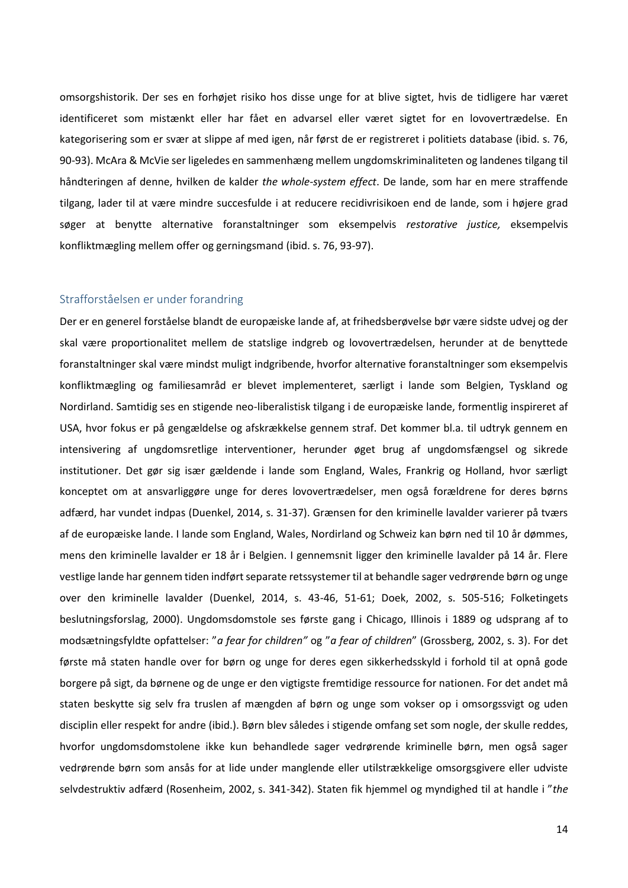omsorgshistorik. Der ses en forhøjet risiko hos disse unge for at blive sigtet, hvis de tidligere har været identificeret som mistænkt eller har fået en advarsel eller været sigtet for en lovovertrædelse. En kategorisering som er svær at slippe af med igen, når først de er registreret i politiets database (ibid. s. 76, 90-93). McAra & McVie ser ligeledes en sammenhæng mellem ungdomskriminaliteten og landenes tilgang til håndteringen af denne, hvilken de kalder *the whole-system effect*. De lande, som har en mere straffende tilgang, lader til at være mindre succesfulde i at reducere recidivrisikoen end de lande, som i højere grad søger at benytte alternative foranstaltninger som eksempelvis *restorative justice,* eksempelvis konfliktmægling mellem offer og gerningsmand (ibid. s. 76, 93-97).

## <span id="page-14-0"></span>Strafforståelsen er under forandring

Der er en generel forståelse blandt de europæiske lande af, at frihedsberøvelse bør være sidste udvej og der skal være proportionalitet mellem de statslige indgreb og lovovertrædelsen, herunder at de benyttede foranstaltninger skal være mindst muligt indgribende, hvorfor alternative foranstaltninger som eksempelvis konfliktmægling og familiesamråd er blevet implementeret, særligt i lande som Belgien, Tyskland og Nordirland. Samtidig ses en stigende neo-liberalistisk tilgang i de europæiske lande, formentlig inspireret af USA, hvor fokus er på gengældelse og afskrækkelse gennem straf. Det kommer bl.a. til udtryk gennem en intensivering af ungdomsretlige interventioner, herunder øget brug af ungdomsfængsel og sikrede institutioner. Det gør sig især gældende i lande som England, Wales, Frankrig og Holland, hvor særligt konceptet om at ansvarliggøre unge for deres lovovertrædelser, men også forældrene for deres børns adfærd, har vundet indpas (Duenkel, 2014, s. 31-37). Grænsen for den kriminelle lavalder varierer på tværs af de europæiske lande. I lande som England, Wales, Nordirland og Schweiz kan børn ned til 10 år dømmes, mens den kriminelle lavalder er 18 år i Belgien. I gennemsnit ligger den kriminelle lavalder på 14 år. Flere vestlige lande har gennem tiden indført separate retssystemer til at behandle sager vedrørende børn og unge over den kriminelle lavalder (Duenkel, 2014, s. 43-46, 51-61; Doek, 2002, s. 505-516; Folketingets beslutningsforslag, 2000). Ungdomsdomstole ses første gang i Chicago, Illinois i 1889 og udsprang af to modsætningsfyldte opfattelser: "*a fear for children"* og "*a fear of children*" (Grossberg, 2002, s. 3). For det første må staten handle over for børn og unge for deres egen sikkerhedsskyld i forhold til at opnå gode borgere på sigt, da børnene og de unge er den vigtigste fremtidige ressource for nationen. For det andet må staten beskytte sig selv fra truslen af mængden af børn og unge som vokser op i omsorgssvigt og uden disciplin eller respekt for andre (ibid.). Børn blev således i stigende omfang set som nogle, der skulle reddes, hvorfor ungdomsdomstolene ikke kun behandlede sager vedrørende kriminelle børn, men også sager vedrørende børn som ansås for at lide under manglende eller utilstrækkelige omsorgsgivere eller udviste selvdestruktiv adfærd (Rosenheim, 2002, s. 341-342). Staten fik hjemmel og myndighed til at handle i "*the*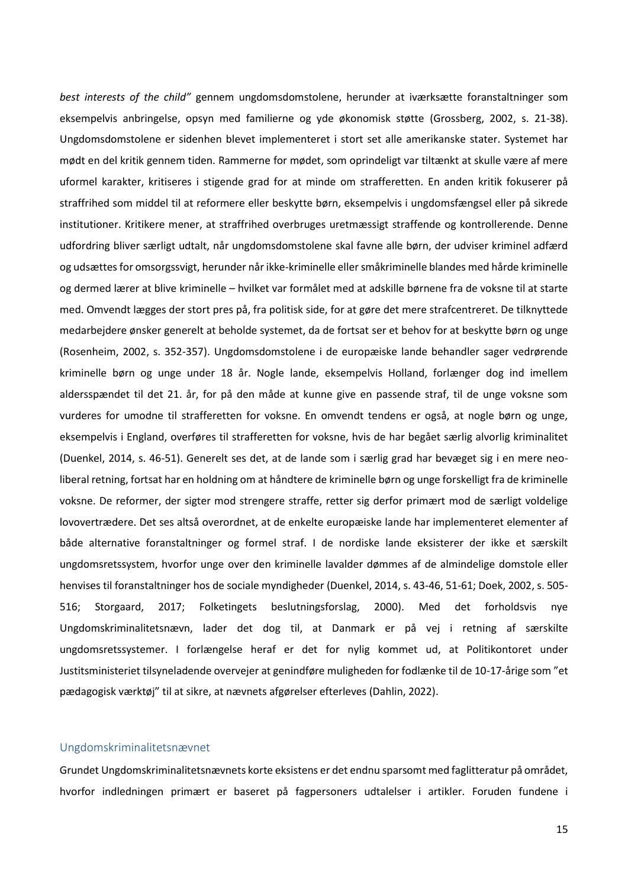*best interests of the child"* gennem ungdomsdomstolene, herunder at iværksætte foranstaltninger som eksempelvis anbringelse, opsyn med familierne og yde økonomisk støtte (Grossberg, 2002, s. 21-38). Ungdomsdomstolene er sidenhen blevet implementeret i stort set alle amerikanske stater. Systemet har mødt en del kritik gennem tiden. Rammerne for mødet, som oprindeligt var tiltænkt at skulle være af mere uformel karakter, kritiseres i stigende grad for at minde om strafferetten. En anden kritik fokuserer på straffrihed som middel til at reformere eller beskytte børn, eksempelvis i ungdomsfængsel eller på sikrede institutioner. Kritikere mener, at straffrihed overbruges uretmæssigt straffende og kontrollerende. Denne udfordring bliver særligt udtalt, når ungdomsdomstolene skal favne alle børn, der udviser kriminel adfærd og udsættes for omsorgssvigt, herunder når ikke-kriminelle eller småkriminelle blandes med hårde kriminelle og dermed lærer at blive kriminelle – hvilket var formålet med at adskille børnene fra de voksne til at starte med. Omvendt lægges der stort pres på, fra politisk side, for at gøre det mere strafcentreret. De tilknyttede medarbejdere ønsker generelt at beholde systemet, da de fortsat ser et behov for at beskytte børn og unge (Rosenheim, 2002, s. 352-357). Ungdomsdomstolene i de europæiske lande behandler sager vedrørende kriminelle børn og unge under 18 år. Nogle lande, eksempelvis Holland, forlænger dog ind imellem aldersspændet til det 21. år, for på den måde at kunne give en passende straf, til de unge voksne som vurderes for umodne til strafferetten for voksne. En omvendt tendens er også, at nogle børn og unge, eksempelvis i England, overføres til strafferetten for voksne, hvis de har begået særlig alvorlig kriminalitet (Duenkel, 2014, s. 46-51). Generelt ses det, at de lande som i særlig grad har bevæget sig i en mere neoliberal retning, fortsat har en holdning om at håndtere de kriminelle børn og unge forskelligt fra de kriminelle voksne. De reformer, der sigter mod strengere straffe, retter sig derfor primært mod de særligt voldelige lovovertrædere. Det ses altså overordnet, at de enkelte europæiske lande har implementeret elementer af både alternative foranstaltninger og formel straf. I de nordiske lande eksisterer der ikke et særskilt ungdomsretssystem, hvorfor unge over den kriminelle lavalder dømmes af de almindelige domstole eller henvises til foranstaltninger hos de sociale myndigheder (Duenkel, 2014, s. 43-46, 51-61; Doek, 2002, s. 505- 516; Storgaard, 2017; Folketingets beslutningsforslag, 2000). Med det forholdsvis nye Ungdomskriminalitetsnævn, lader det dog til, at Danmark er på vej i retning af særskilte ungdomsretssystemer. I forlængelse heraf er det for nylig kommet ud, at Politikontoret under Justitsministeriet tilsyneladende overvejer at genindføre muligheden for fodlænke til de 10-17-årige som "et pædagogisk værktøj" til at sikre, at nævnets afgørelser efterleves (Dahlin, 2022).

#### <span id="page-15-0"></span>Ungdomskriminalitetsnævnet

Grundet Ungdomskriminalitetsnævnets korte eksistens er det endnu sparsomt med faglitteratur på området, hvorfor indledningen primært er baseret på fagpersoners udtalelser i artikler. Foruden fundene i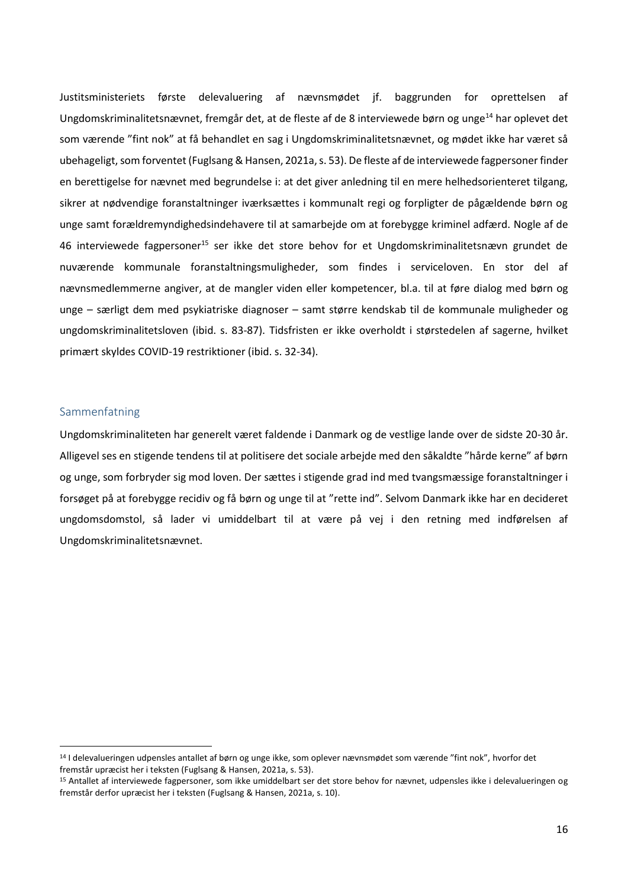Justitsministeriets første delevaluering af nævnsmødet jf. baggrunden for oprettelsen af Ungdomskriminalitetsnævnet, fremgår det, at de fleste af de 8 interviewede børn og unge<sup>14</sup> har oplevet det som værende "fint nok" at få behandlet en sag i Ungdomskriminalitetsnævnet, og mødet ikke har været så ubehageligt, som forventet (Fuglsang & Hansen, 2021a, s. 53). De fleste af de interviewede fagpersoner finder en berettigelse for nævnet med begrundelse i: at det giver anledning til en mere helhedsorienteret tilgang, sikrer at nødvendige foranstaltninger iværksættes i kommunalt regi og forpligter de pågældende børn og unge samt forældremyndighedsindehavere til at samarbejde om at forebygge kriminel adfærd. Nogle af de 46 interviewede fagpersoner<sup>15</sup> ser ikke det store behov for et Ungdomskriminalitetsnævn grundet de nuværende kommunale foranstaltningsmuligheder, som findes i serviceloven. En stor del af nævnsmedlemmerne angiver, at de mangler viden eller kompetencer, bl.a. til at føre dialog med børn og unge – særligt dem med psykiatriske diagnoser – samt større kendskab til de kommunale muligheder og ungdomskriminalitetsloven (ibid. s. 83-87). Tidsfristen er ikke overholdt i størstedelen af sagerne, hvilket primært skyldes COVID-19 restriktioner (ibid. s. 32-34).

# <span id="page-16-0"></span>Sammenfatning

<span id="page-16-1"></span>Ungdomskriminaliteten har generelt været faldende i Danmark og de vestlige lande over de sidste 20-30 år. Alligevel ses en stigende tendens til at politisere det sociale arbejde med den såkaldte "hårde kerne" af børn og unge, som forbryder sig mod loven. Der sættes i stigende grad ind med tvangsmæssige foranstaltninger i forsøget på at forebygge recidiv og få børn og unge til at "rette ind". Selvom Danmark ikke har en decideret ungdomsdomstol, så lader vi umiddelbart til at være på vej i den retning med indførelsen af Ungdomskriminalitetsnævnet.

<sup>14</sup> I delevalueringen udpensles antallet af børn og unge ikke, som oplever nævnsmødet som værende "fint nok", hvorfor det fremstår upræcist her i teksten (Fuglsang & Hansen, 2021a, s. 53).

<sup>15</sup> Antallet af interviewede fagpersoner, som ikke umiddelbart ser det store behov for nævnet, udpensles ikke i delevalueringen og fremstår derfor upræcist her i teksten (Fuglsang & Hansen, 2021a, s. 10).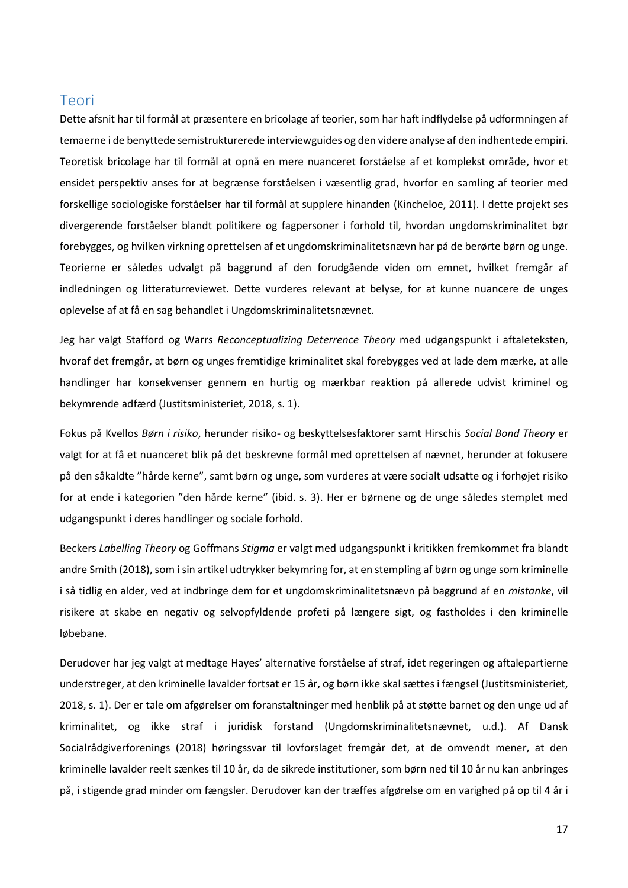# Teori

Dette afsnit har til formål at præsentere en bricolage af teorier, som har haft indflydelse på udformningen af temaerne i de benyttede semistrukturerede interviewguides og den videre analyse af den indhentede empiri. Teoretisk bricolage har til formål at opnå en mere nuanceret forståelse af et komplekst område, hvor et ensidet perspektiv anses for at begrænse forståelsen i væsentlig grad, hvorfor en samling af teorier med forskellige sociologiske forståelser har til formål at supplere hinanden (Kincheloe, 2011). I dette projekt ses divergerende forståelser blandt politikere og fagpersoner i forhold til, hvordan ungdomskriminalitet bør forebygges, og hvilken virkning oprettelsen af et ungdomskriminalitetsnævn har på de berørte børn og unge. Teorierne er således udvalgt på baggrund af den forudgående viden om emnet, hvilket fremgår af indledningen og litteraturreviewet. Dette vurderes relevant at belyse, for at kunne nuancere de unges oplevelse af at få en sag behandlet i Ungdomskriminalitetsnævnet.

Jeg har valgt Stafford og Warrs *Reconceptualizing Deterrence Theory* med udgangspunkt i aftaleteksten, hvoraf det fremgår, at børn og unges fremtidige kriminalitet skal forebygges ved at lade dem mærke, at alle handlinger har konsekvenser gennem en hurtig og mærkbar reaktion på allerede udvist kriminel og bekymrende adfærd (Justitsministeriet, 2018, s. 1).

Fokus på Kvellos *Børn i risiko*, herunder risiko- og beskyttelsesfaktorer samt Hirschis *Social Bond Theory* er valgt for at få et nuanceret blik på det beskrevne formål med oprettelsen af nævnet, herunder at fokusere på den såkaldte "hårde kerne", samt børn og unge, som vurderes at være socialt udsatte og i forhøjet risiko for at ende i kategorien "den hårde kerne" (ibid. s. 3). Her er børnene og de unge således stemplet med udgangspunkt i deres handlinger og sociale forhold.

Beckers *Labelling Theory* og Goffmans *Stigma* er valgt med udgangspunkt i kritikken fremkommet fra blandt andre Smith (2018), som i sin artikel udtrykker bekymring for, at en stempling af børn og unge som kriminelle i så tidlig en alder, ved at indbringe dem for et ungdomskriminalitetsnævn på baggrund af en *mistanke*, vil risikere at skabe en negativ og selvopfyldende profeti på længere sigt, og fastholdes i den kriminelle løbebane.

Derudover har jeg valgt at medtage Hayes' alternative forståelse af straf, idet regeringen og aftalepartierne understreger, at den kriminelle lavalder fortsat er 15 år, og børn ikke skal sættes i fængsel (Justitsministeriet, 2018, s. 1). Der er tale om afgørelser om foranstaltninger med henblik på at støtte barnet og den unge ud af kriminalitet, og ikke straf i juridisk forstand (Ungdomskriminalitetsnævnet, u.d.). Af Dansk Socialrådgiverforenings (2018) høringssvar til lovforslaget fremgår det, at de omvendt mener, at den kriminelle lavalder reelt sænkes til 10 år, da de sikrede institutioner, som børn ned til 10 år nu kan anbringes på, i stigende grad minder om fængsler. Derudover kan der træffes afgørelse om en varighed på op til 4 år i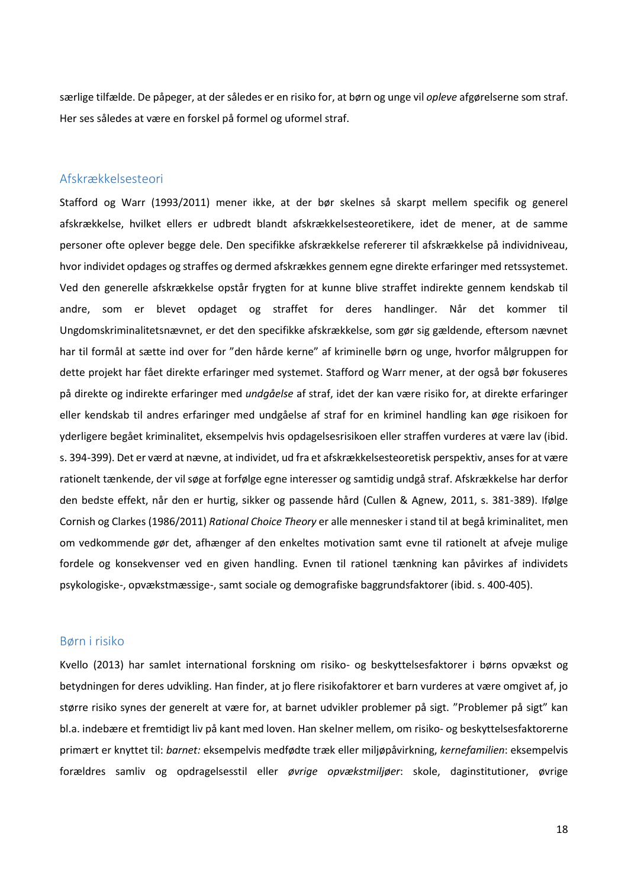særlige tilfælde. De påpeger, at der således er en risiko for, at børn og unge vil *opleve* afgørelserne som straf. Her ses således at være en forskel på formel og uformel straf.

## <span id="page-18-0"></span>Afskrækkelsesteori

Stafford og Warr (1993/2011) mener ikke, at der bør skelnes så skarpt mellem specifik og generel afskrækkelse, hvilket ellers er udbredt blandt afskrækkelsesteoretikere, idet de mener, at de samme personer ofte oplever begge dele. Den specifikke afskrækkelse refererer til afskrækkelse på individniveau, hvor individet opdages og straffes og dermed afskrækkes gennem egne direkte erfaringer med retssystemet. Ved den generelle afskrækkelse opstår frygten for at kunne blive straffet indirekte gennem kendskab til andre, som er blevet opdaget og straffet for deres handlinger. Når det kommer til Ungdomskriminalitetsnævnet, er det den specifikke afskrækkelse, som gør sig gældende, eftersom nævnet har til formål at sætte ind over for "den hårde kerne" af kriminelle børn og unge, hvorfor målgruppen for dette projekt har fået direkte erfaringer med systemet. Stafford og Warr mener, at der også bør fokuseres på direkte og indirekte erfaringer med *undgåelse* af straf, idet der kan være risiko for, at direkte erfaringer eller kendskab til andres erfaringer med undgåelse af straf for en kriminel handling kan øge risikoen for yderligere begået kriminalitet, eksempelvis hvis opdagelsesrisikoen eller straffen vurderes at være lav (ibid. s. 394-399). Det er værd at nævne, at individet, ud fra et afskrækkelsesteoretisk perspektiv, anses for at være rationelt tænkende, der vil søge at forfølge egne interesser og samtidig undgå straf. Afskrækkelse har derfor den bedste effekt, når den er hurtig, sikker og passende hård (Cullen & Agnew, 2011, s. 381-389). Ifølge Cornish og Clarkes (1986/2011) *Rational Choice Theory* er alle mennesker i stand til at begå kriminalitet, men om vedkommende gør det, afhænger af den enkeltes motivation samt evne til rationelt at afveje mulige fordele og konsekvenser ved en given handling. Evnen til rationel tænkning kan påvirkes af individets psykologiske-, opvækstmæssige-, samt sociale og demografiske baggrundsfaktorer (ibid. s. 400-405).

### <span id="page-18-1"></span>Børn i risiko

Kvello (2013) har samlet international forskning om risiko- og beskyttelsesfaktorer i børns opvækst og betydningen for deres udvikling. Han finder, at jo flere risikofaktorer et barn vurderes at være omgivet af, jo større risiko synes der generelt at være for, at barnet udvikler problemer på sigt. "Problemer på sigt" kan bl.a. indebære et fremtidigt liv på kant med loven. Han skelner mellem, om risiko- og beskyttelsesfaktorerne primært er knyttet til: *barnet:* eksempelvis medfødte træk eller miljøpåvirkning, *kernefamilien*: eksempelvis forældres samliv og opdragelsesstil eller *øvrige opvækstmiljøer*: skole, daginstitutioner, øvrige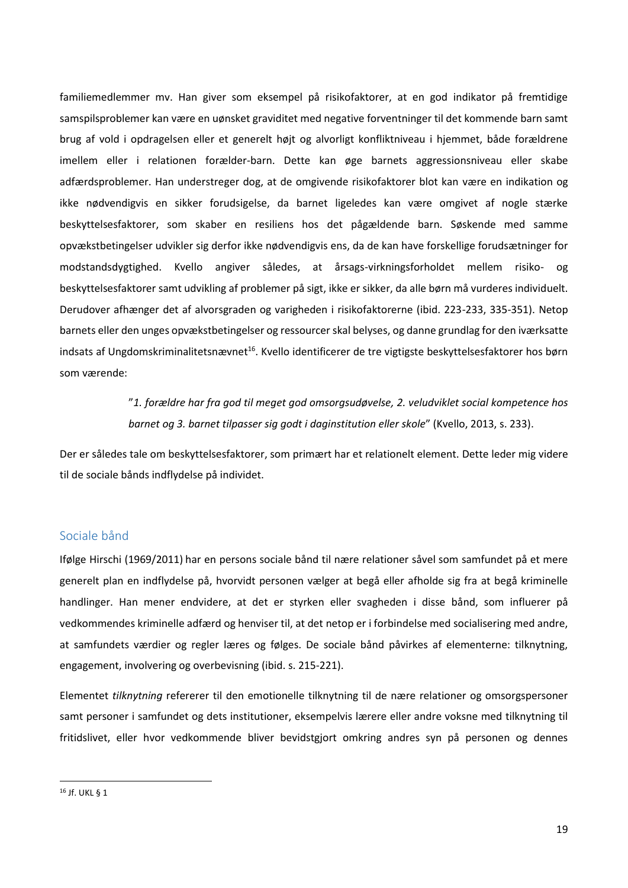familiemedlemmer mv. Han giver som eksempel på risikofaktorer, at en god indikator på fremtidige samspilsproblemer kan være en uønsket graviditet med negative forventninger til det kommende barn samt brug af vold i opdragelsen eller et generelt højt og alvorligt konfliktniveau i hjemmet, både forældrene imellem eller i relationen forælder-barn. Dette kan øge barnets aggressionsniveau eller skabe adfærdsproblemer. Han understreger dog, at de omgivende risikofaktorer blot kan være en indikation og ikke nødvendigvis en sikker forudsigelse, da barnet ligeledes kan være omgivet af nogle stærke beskyttelsesfaktorer, som skaber en resiliens hos det pågældende barn. Søskende med samme opvækstbetingelser udvikler sig derfor ikke nødvendigvis ens, da de kan have forskellige forudsætninger for modstandsdygtighed. Kvello angiver således, at årsags-virkningsforholdet mellem risiko- og beskyttelsesfaktorer samt udvikling af problemer på sigt, ikke er sikker, da alle børn må vurderes individuelt. Derudover afhænger det af alvorsgraden og varigheden i risikofaktorerne (ibid. 223-233, 335-351). Netop barnets eller den unges opvækstbetingelser og ressourcer skal belyses, og danne grundlag for den iværksatte indsats af Ungdomskriminalitetsnævnet<sup>16</sup>. Kvello identificerer de tre vigtigste beskyttelsesfaktorer hos børn som værende:

> "*1. forældre har fra god til meget god omsorgsudøvelse, 2. veludviklet social kompetence hos barnet og 3. barnet tilpasser sig godt i daginstitution eller skole*" (Kvello, 2013, s. 233).

Der er således tale om beskyttelsesfaktorer, som primært har et relationelt element. Dette leder mig videre til de sociale bånds indflydelse på individet.

## <span id="page-19-0"></span>Sociale bånd

Ifølge Hirschi (1969/2011) har en persons sociale bånd til nære relationer såvel som samfundet på et mere generelt plan en indflydelse på, hvorvidt personen vælger at begå eller afholde sig fra at begå kriminelle handlinger. Han mener endvidere, at det er styrken eller svagheden i disse bånd, som influerer på vedkommendes kriminelle adfærd og henviser til, at det netop er i forbindelse med socialisering med andre, at samfundets værdier og regler læres og følges. De sociale bånd påvirkes af elementerne: tilknytning, engagement, involvering og overbevisning (ibid. s. 215-221).

Elementet *tilknytning* refererer til den emotionelle tilknytning til de nære relationer og omsorgspersoner samt personer i samfundet og dets institutioner, eksempelvis lærere eller andre voksne med tilknytning til fritidslivet, eller hvor vedkommende bliver bevidstgjort omkring andres syn på personen og dennes

<sup>16</sup> Jf. UKL § 1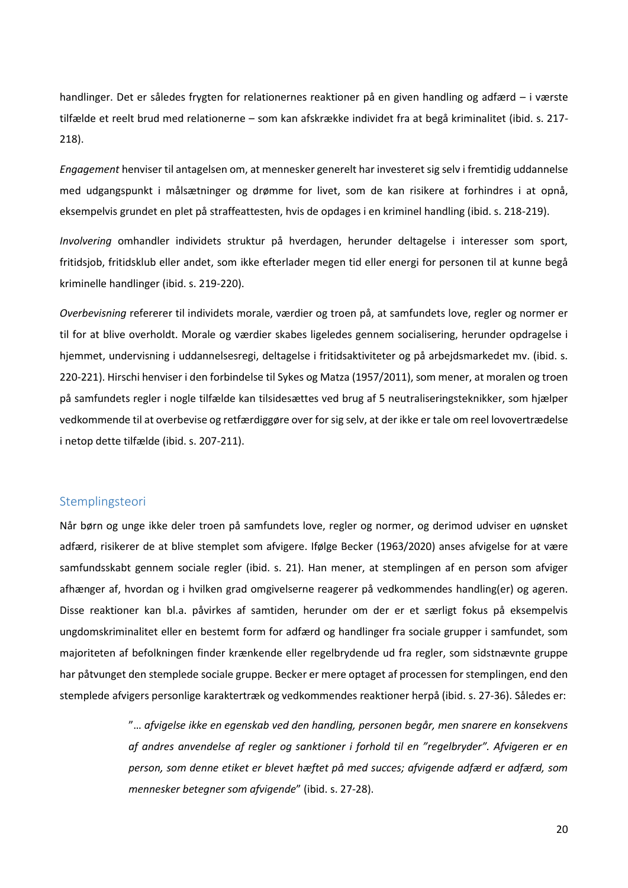handlinger. Det er således frygten for relationernes reaktioner på en given handling og adfærd – i værste tilfælde et reelt brud med relationerne – som kan afskrække individet fra at begå kriminalitet (ibid. s. 217- 218).

*Engagement* henviser til antagelsen om, at mennesker generelt har investeret sig selv i fremtidig uddannelse med udgangspunkt i målsætninger og drømme for livet, som de kan risikere at forhindres i at opnå, eksempelvis grundet en plet på straffeattesten, hvis de opdages i en kriminel handling (ibid. s. 218-219).

*Involvering* omhandler individets struktur på hverdagen, herunder deltagelse i interesser som sport, fritidsjob, fritidsklub eller andet, som ikke efterlader megen tid eller energi for personen til at kunne begå kriminelle handlinger (ibid. s. 219-220).

*Overbevisning* refererer til individets morale, værdier og troen på, at samfundets love, regler og normer er til for at blive overholdt. Morale og værdier skabes ligeledes gennem socialisering, herunder opdragelse i hjemmet, undervisning i uddannelsesregi, deltagelse i fritidsaktiviteter og på arbejdsmarkedet mv. (ibid. s. 220-221). Hirschi henviser i den forbindelse til Sykes og Matza (1957/2011), som mener, at moralen og troen på samfundets regler i nogle tilfælde kan tilsidesættes ved brug af 5 neutraliseringsteknikker, som hjælper vedkommende til at overbevise og retfærdiggøre over for sig selv, at der ikke er tale om reel lovovertrædelse i netop dette tilfælde (ibid. s. 207-211).

## <span id="page-20-0"></span>Stemplingsteori

Når børn og unge ikke deler troen på samfundets love, regler og normer, og derimod udviser en uønsket adfærd, risikerer de at blive stemplet som afvigere. Ifølge Becker (1963/2020) anses afvigelse for at være samfundsskabt gennem sociale regler (ibid. s. 21). Han mener, at stemplingen af en person som afviger afhænger af, hvordan og i hvilken grad omgivelserne reagerer på vedkommendes handling(er) og ageren. Disse reaktioner kan bl.a. påvirkes af samtiden, herunder om der er et særligt fokus på eksempelvis ungdomskriminalitet eller en bestemt form for adfærd og handlinger fra sociale grupper i samfundet, som majoriteten af befolkningen finder krænkende eller regelbrydende ud fra regler, som sidstnævnte gruppe har påtvunget den stemplede sociale gruppe. Becker er mere optaget af processen for stemplingen, end den stemplede afvigers personlige karaktertræk og vedkommendes reaktioner herpå (ibid. s. 27-36). Således er:

> "… *afvigelse ikke en egenskab ved den handling, personen begår, men snarere en konsekvens af andres anvendelse af regler og sanktioner i forhold til en "regelbryder". Afvigeren er en person, som denne etiket er blevet hæftet på med succes; afvigende adfærd er adfærd, som mennesker betegner som afvigende*" (ibid. s. 27-28).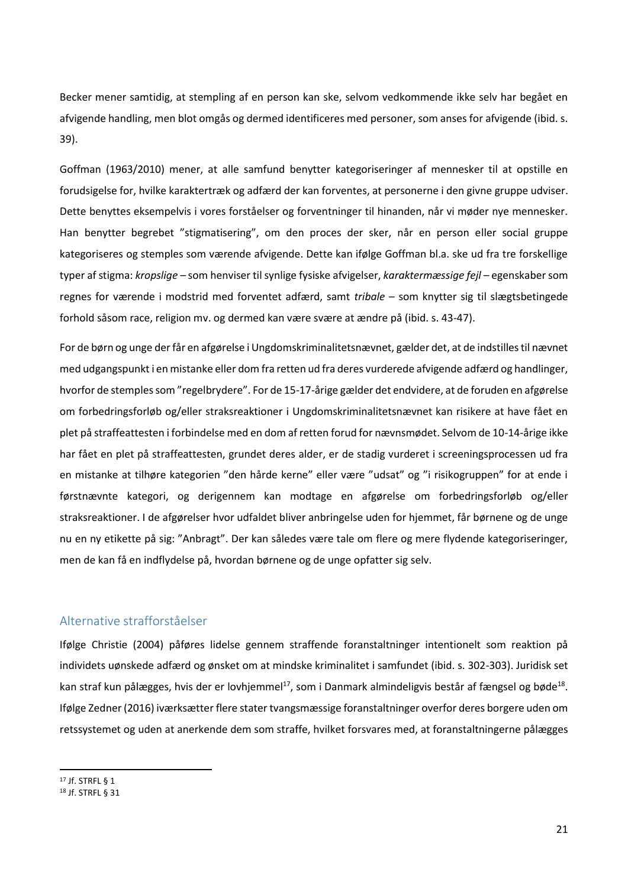Becker mener samtidig, at stempling af en person kan ske, selvom vedkommende ikke selv har begået en afvigende handling, men blot omgås og dermed identificeres med personer, som anses for afvigende (ibid. s. 39).

Goffman (1963/2010) mener, at alle samfund benytter kategoriseringer af mennesker til at opstille en forudsigelse for, hvilke karaktertræk og adfærd der kan forventes, at personerne i den givne gruppe udviser. Dette benyttes eksempelvis i vores forståelser og forventninger til hinanden, når vi møder nye mennesker. Han benytter begrebet "stigmatisering", om den proces der sker, når en person eller social gruppe kategoriseres og stemples som værende afvigende. Dette kan ifølge Goffman bl.a. ske ud fra tre forskellige typer af stigma: *kropslige –* som henviser til synlige fysiske afvigelser, *karaktermæssige fejl* – egenskaber som regnes for værende i modstrid med forventet adfærd, samt *tribale* – som knytter sig til slægtsbetingede forhold såsom race, religion mv. og dermed kan være svære at ændre på (ibid. s. 43-47).

For de børn og unge der får en afgørelse i Ungdomskriminalitetsnævnet, gælder det, at de indstilles til nævnet med udgangspunkt i en mistanke eller dom fra retten ud fra deres vurderede afvigende adfærd og handlinger, hvorfor de stemples som "regelbrydere". For de 15-17-årige gælder det endvidere, at de foruden en afgørelse om forbedringsforløb og/eller straksreaktioner i Ungdomskriminalitetsnævnet kan risikere at have fået en plet på straffeattesten i forbindelse med en dom af retten forud for nævnsmødet. Selvom de 10-14-årige ikke har fået en plet på straffeattesten, grundet deres alder, er de stadig vurderet i screeningsprocessen ud fra en mistanke at tilhøre kategorien "den hårde kerne" eller være "udsat" og "i risikogruppen" for at ende i førstnævnte kategori, og derigennem kan modtage en afgørelse om forbedringsforløb og/eller straksreaktioner. I de afgørelser hvor udfaldet bliver anbringelse uden for hjemmet, får børnene og de unge nu en ny etikette på sig: "Anbragt". Der kan således være tale om flere og mere flydende kategoriseringer, men de kan få en indflydelse på, hvordan børnene og de unge opfatter sig selv.

# <span id="page-21-0"></span>Alternative strafforståelser

Ifølge Christie (2004) påføres lidelse gennem straffende foranstaltninger intentionelt som reaktion på individets uønskede adfærd og ønsket om at mindske kriminalitet i samfundet (ibid. s. 302-303). Juridisk set kan straf kun pålægges, hvis der er lovhjemmel<sup>17</sup>, som i Danmark almindeligvis består af fængsel og bøde<sup>18</sup>. Ifølge Zedner (2016) iværksætter flere stater tvangsmæssige foranstaltninger overfor deres borgere uden om retssystemet og uden at anerkende dem som straffe, hvilket forsvares med, at foranstaltningerne pålægges

<sup>17</sup> Jf. STRFL § 1

<sup>18</sup> Jf. STRFL § 31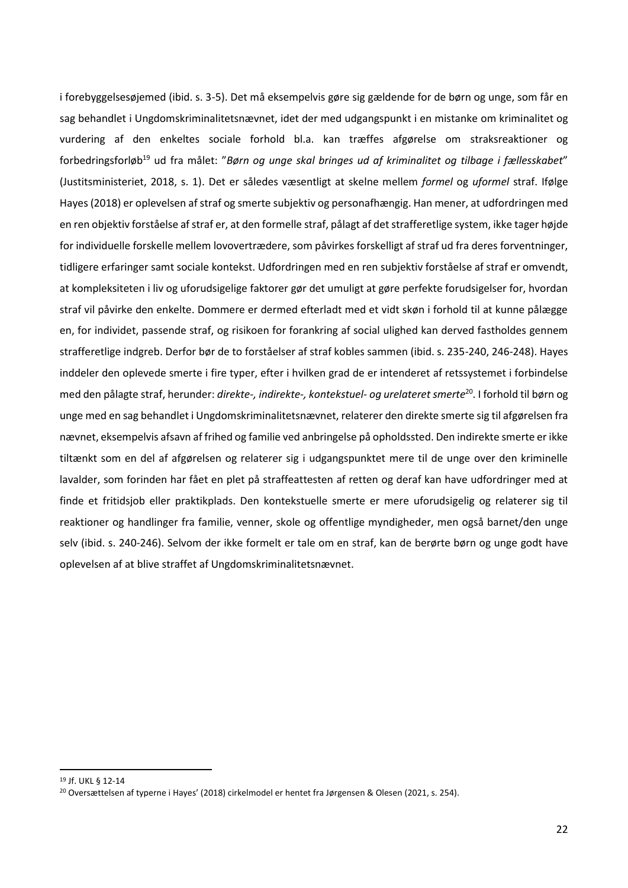i forebyggelsesøjemed (ibid. s. 3-5). Det må eksempelvis gøre sig gældende for de børn og unge, som får en sag behandlet i Ungdomskriminalitetsnævnet, idet der med udgangspunkt i en mistanke om kriminalitet og vurdering af den enkeltes sociale forhold bl.a. kan træffes afgørelse om straksreaktioner og forbedringsforløb<sup>19</sup> ud fra målet: "Børn og unge skal bringes ud af kriminalitet og tilbage i fællesskabet" (Justitsministeriet, 2018, s. 1). Det er således væsentligt at skelne mellem *formel* og *uformel* straf. Ifølge Hayes (2018) er oplevelsen af straf og smerte subjektiv og personafhængig. Han mener, at udfordringen med en ren objektiv forståelse af straf er, at den formelle straf, pålagt af det strafferetlige system, ikke tager højde for individuelle forskelle mellem lovovertrædere, som påvirkes forskelligt af straf ud fra deres forventninger, tidligere erfaringer samt sociale kontekst. Udfordringen med en ren subjektiv forståelse af straf er omvendt, at kompleksiteten i liv og uforudsigelige faktorer gør det umuligt at gøre perfekte forudsigelser for, hvordan straf vil påvirke den enkelte. Dommere er dermed efterladt med et vidt skøn i forhold til at kunne pålægge en, for individet, passende straf, og risikoen for forankring af social ulighed kan derved fastholdes gennem strafferetlige indgreb. Derfor bør de to forståelser af straf kobles sammen (ibid. s. 235-240, 246-248). Hayes inddeler den oplevede smerte i fire typer, efter i hvilken grad de er intenderet af retssystemet i forbindelse med den pålagte straf, herunder: *direkte-, indirekte-, kontekstuel- og urelateret smerte*<sup>20</sup>. I forhold til børn og unge med en sag behandlet i Ungdomskriminalitetsnævnet, relaterer den direkte smerte sig til afgørelsen fra nævnet, eksempelvis afsavn af frihed og familie ved anbringelse på opholdssted. Den indirekte smerte er ikke tiltænkt som en del af afgørelsen og relaterer sig i udgangspunktet mere til de unge over den kriminelle lavalder, som forinden har fået en plet på straffeattesten af retten og deraf kan have udfordringer med at finde et fritidsjob eller praktikplads. Den kontekstuelle smerte er mere uforudsigelig og relaterer sig til reaktioner og handlinger fra familie, venner, skole og offentlige myndigheder, men også barnet/den unge selv (ibid. s. 240-246). Selvom der ikke formelt er tale om en straf, kan de berørte børn og unge godt have oplevelsen af at blive straffet af Ungdomskriminalitetsnævnet.

<sup>19</sup> Jf. UKL § 12-14

<sup>20</sup> Oversættelsen af typerne i Hayes' (2018) cirkelmodel er hentet fra Jørgensen & Olesen (2021, s. 254).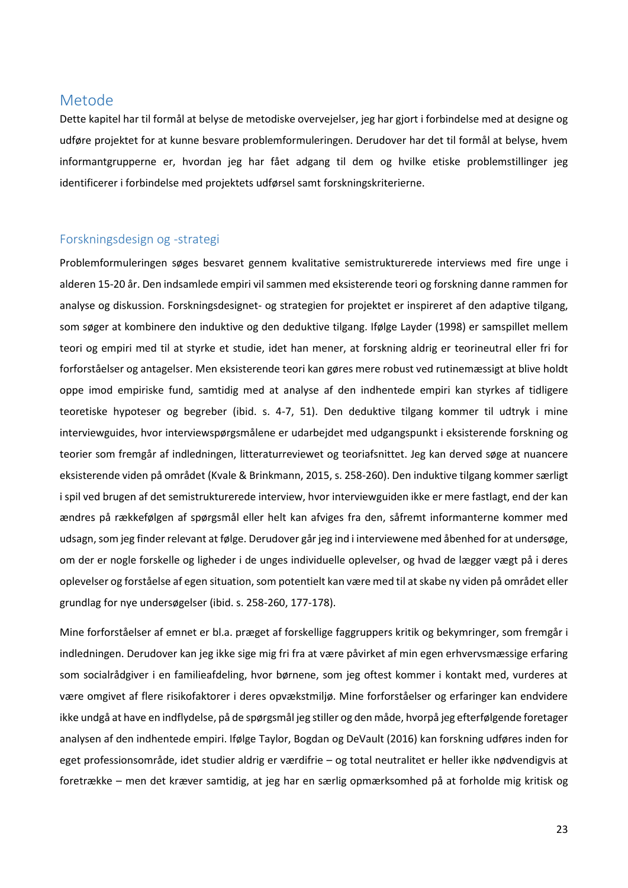# <span id="page-23-0"></span>Metode

Dette kapitel har til formål at belyse de metodiske overvejelser, jeg har gjort i forbindelse med at designe og udføre projektet for at kunne besvare problemformuleringen. Derudover har det til formål at belyse, hvem informantgrupperne er, hvordan jeg har fået adgang til dem og hvilke etiske problemstillinger jeg identificerer i forbindelse med projektets udførsel samt forskningskriterierne.

## <span id="page-23-1"></span>Forskningsdesign og -strategi

Problemformuleringen søges besvaret gennem kvalitative semistrukturerede interviews med fire unge i alderen 15-20 år. Den indsamlede empiri vil sammen med eksisterende teori og forskning danne rammen for analyse og diskussion. Forskningsdesignet- og strategien for projektet er inspireret af den adaptive tilgang, som søger at kombinere den induktive og den deduktive tilgang. Ifølge Layder (1998) er samspillet mellem teori og empiri med til at styrke et studie, idet han mener, at forskning aldrig er teorineutral eller fri for forforståelser og antagelser. Men eksisterende teori kan gøres mere robust ved rutinemæssigt at blive holdt oppe imod empiriske fund, samtidig med at analyse af den indhentede empiri kan styrkes af tidligere teoretiske hypoteser og begreber (ibid. s. 4-7, 51). Den deduktive tilgang kommer til udtryk i mine interviewguides, hvor interviewspørgsmålene er udarbejdet med udgangspunkt i eksisterende forskning og teorier som fremgår af indledningen, litteraturreviewet og teoriafsnittet. Jeg kan derved søge at nuancere eksisterende viden på området (Kvale & Brinkmann, 2015, s. 258-260). Den induktive tilgang kommer særligt i spil ved brugen af det semistrukturerede interview, hvor interviewguiden ikke er mere fastlagt, end der kan ændres på rækkefølgen af spørgsmål eller helt kan afviges fra den, såfremt informanterne kommer med udsagn, som jeg finder relevant at følge. Derudover går jeg ind i interviewene med åbenhed for at undersøge, om der er nogle forskelle og ligheder i de unges individuelle oplevelser, og hvad de lægger vægt på i deres oplevelser og forståelse af egen situation, som potentielt kan være med til at skabe ny viden på området eller grundlag for nye undersøgelser (ibid. s. 258-260, 177-178).

Mine forforståelser af emnet er bl.a. præget af forskellige faggruppers kritik og bekymringer, som fremgår i indledningen. Derudover kan jeg ikke sige mig fri fra at være påvirket af min egen erhvervsmæssige erfaring som socialrådgiver i en familieafdeling, hvor børnene, som jeg oftest kommer i kontakt med, vurderes at være omgivet af flere risikofaktorer i deres opvækstmiljø. Mine forforståelser og erfaringer kan endvidere ikke undgå at have en indflydelse, på de spørgsmål jeg stiller og den måde, hvorpå jeg efterfølgende foretager analysen af den indhentede empiri. Ifølge Taylor, Bogdan og DeVault (2016) kan forskning udføres inden for eget professionsområde, idet studier aldrig er værdifrie – og total neutralitet er heller ikke nødvendigvis at foretrække – men det kræver samtidig, at jeg har en særlig opmærksomhed på at forholde mig kritisk og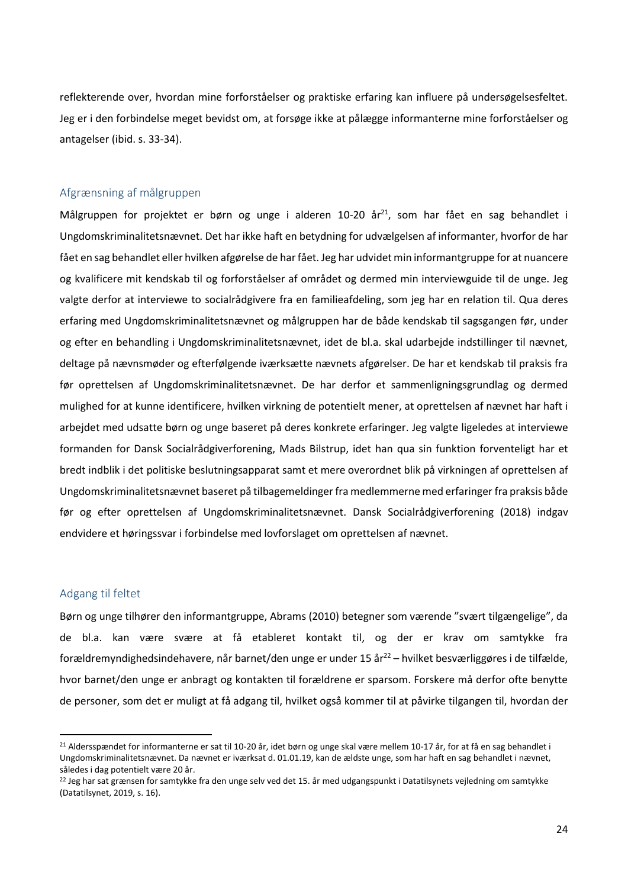reflekterende over, hvordan mine forforståelser og praktiske erfaring kan influere på undersøgelsesfeltet. Jeg er i den forbindelse meget bevidst om, at forsøge ikke at pålægge informanterne mine forforståelser og antagelser (ibid. s. 33-34).

## <span id="page-24-0"></span>Afgrænsning af målgruppen

Målgruppen for projektet er børn og unge i alderen 10-20 år $^{21}$ , som har fået en sag behandlet i Ungdomskriminalitetsnævnet. Det har ikke haft en betydning for udvælgelsen af informanter, hvorfor de har fået en sag behandlet eller hvilken afgørelse de har fået. Jeg har udvidet min informantgruppe for at nuancere og kvalificere mit kendskab til og forforståelser af området og dermed min interviewguide til de unge. Jeg valgte derfor at interviewe to socialrådgivere fra en familieafdeling, som jeg har en relation til. Qua deres erfaring med Ungdomskriminalitetsnævnet og målgruppen har de både kendskab til sagsgangen før, under og efter en behandling i Ungdomskriminalitetsnævnet, idet de bl.a. skal udarbejde indstillinger til nævnet, deltage på nævnsmøder og efterfølgende iværksætte nævnets afgørelser. De har et kendskab til praksis fra før oprettelsen af Ungdomskriminalitetsnævnet. De har derfor et sammenligningsgrundlag og dermed mulighed for at kunne identificere, hvilken virkning de potentielt mener, at oprettelsen af nævnet har haft i arbejdet med udsatte børn og unge baseret på deres konkrete erfaringer. Jeg valgte ligeledes at interviewe formanden for Dansk Socialrådgiverforening, Mads Bilstrup, idet han qua sin funktion forventeligt har et bredt indblik i det politiske beslutningsapparat samt et mere overordnet blik på virkningen af oprettelsen af Ungdomskriminalitetsnævnet baseret på tilbagemeldinger fra medlemmerne med erfaringer fra praksis både før og efter oprettelsen af Ungdomskriminalitetsnævnet. Dansk Socialrådgiverforening (2018) indgav endvidere et høringssvar i forbindelse med lovforslaget om oprettelsen af nævnet.

#### <span id="page-24-1"></span>Adgang til feltet

Børn og unge tilhører den informantgruppe, Abrams (2010) betegner som værende "svært tilgængelige", da de bl.a. kan være svære at få etableret kontakt til, og der er krav om samtykke fra forældremyndighedsindehavere, når barnet/den unge er under 15 år<sup>22</sup> – hvilket besværliggøres i de tilfælde, hvor barnet/den unge er anbragt og kontakten til forældrene er sparsom. Forskere må derfor ofte benytte de personer, som det er muligt at få adgang til, hvilket også kommer til at påvirke tilgangen til, hvordan der

<sup>&</sup>lt;sup>21</sup> Aldersspændet for informanterne er sat til 10-20 år, idet børn og unge skal være mellem 10-17 år, for at få en sag behandlet i Ungdomskriminalitetsnævnet. Da nævnet er iværksat d. 01.01.19, kan de ældste unge, som har haft en sag behandlet i nævnet, således i dag potentielt være 20 år.

<sup>22</sup> Jeg har sat grænsen for samtykke fra den unge selv ved det 15. år med udgangspunkt i Datatilsynets vejledning om samtykke (Datatilsynet, 2019, s. 16).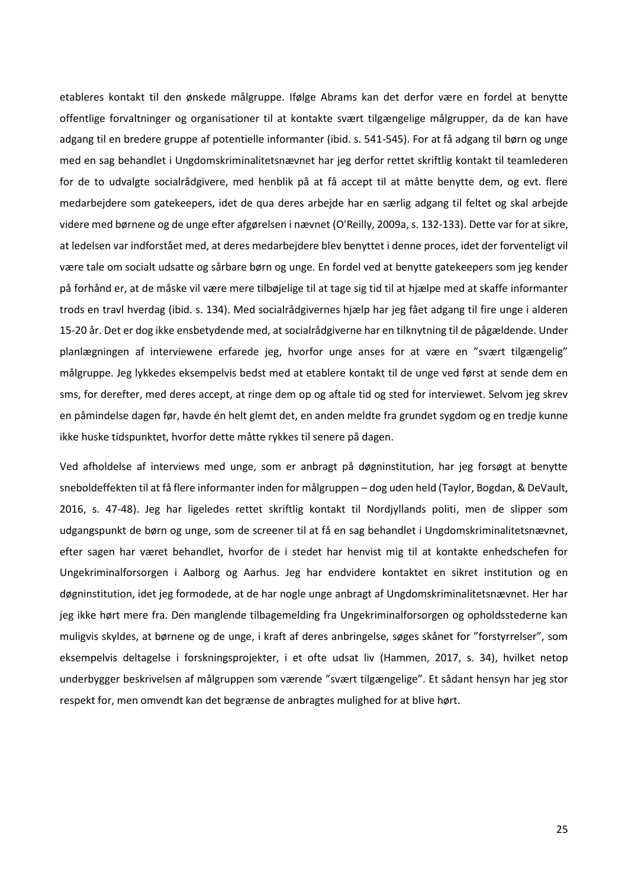etableres kontakt til den ønskede målgruppe. Ifølge Abrams kan det derfor være en fordel at benytte offentlige forvaltninger og organisationer til at kontakte svært tilgængelige målgrupper, da de kan have adgang til en bredere gruppe af potentielle informanter (ibid. s. 541-545). For at få adgang til børn og unge med en sag behandlet i Ungdomskriminalitetsnævnet har jeg derfor rettet skriftlig kontakt til teamlederen for de to udvalgte socialrådgivere, med henblik på at få accept til at måtte benytte dem, og evt. flere medarbejdere som gatekeepers, idet de qua deres arbejde har en særlig adgang til feltet og skal arbejde videre med børnene og de unge efter afgørelsen i nævnet (O'Reilly, 2009a, s. 132-133). Dette var for at sikre, at ledelsen var indforstået med, at deres medarbejdere blev benyttet i denne proces, idet der forventeligt vil være tale om socialt udsatte og sårbare børn og unge. En fordel ved at benytte gatekeepers som jeg kender på forhånd er, at de måske vil være mere tilbøjelige til at tage sig tid til at hjælpe med at skaffe informanter trods en travl hverdag (ibid. s. 134). Med socialrådgivernes hjælp har jeg fået adgang til fire unge i alderen 15-20 år. Det er dog ikke ensbetydende med, at socialrådgiverne har en tilknytning til de pågældende. Under planlægningen af interviewene erfarede jeg, hvorfor unge anses for at være en "svært tilgængelig" målgruppe. Jeg lykkedes eksempelvis bedst med at etablere kontakt til de unge ved først at sende dem en sms, for derefter, med deres accept, at ringe dem op og aftale tid og sted for interviewet. Selvom jeg skrev en påmindelse dagen før, havde én helt glemt det, en anden meldte fra grundet sygdom og en tredje kunne ikke huske tidspunktet, hvorfor dette måtte rykkes til senere på dagen.

Ved afholdelse af interviews med unge, som er anbragt på døgninstitution, har jeg forsøgt at benytte sneboldeffekten til at få flere informanter inden for målgruppen – dog uden held (Taylor, Bogdan, & DeVault, 2016, s. 47-48). Jeg har ligeledes rettet skriftlig kontakt til Nordjyllands politi, men de slipper som udgangspunkt de børn og unge, som de screener til at få en sag behandlet i Ungdomskriminalitetsnævnet, efter sagen har været behandlet, hvorfor de i stedet har henvist mig til at kontakte enhedschefen for Ungekriminalforsorgen i Aalborg og Aarhus. Jeg har endvidere kontaktet en sikret institution og en døgninstitution, idet jeg formodede, at de har nogle unge anbragt af Ungdomskriminalitetsnævnet. Her har jeg ikke hørt mere fra. Den manglende tilbagemelding fra Ungekriminalforsorgen og opholdsstederne kan muligvis skyldes, at børnene og de unge, i kraft af deres anbringelse, søges skånet for "forstyrrelser", som eksempelvis deltagelse i forskningsprojekter, i et ofte udsat liv (Hammen, 2017, s. 34), hvilket netop underbygger beskrivelsen af målgruppen som værende "svært tilgængelige". Et sådant hensyn har jeg stor respekt for, men omvendt kan det begrænse de anbragtes mulighed for at blive hørt.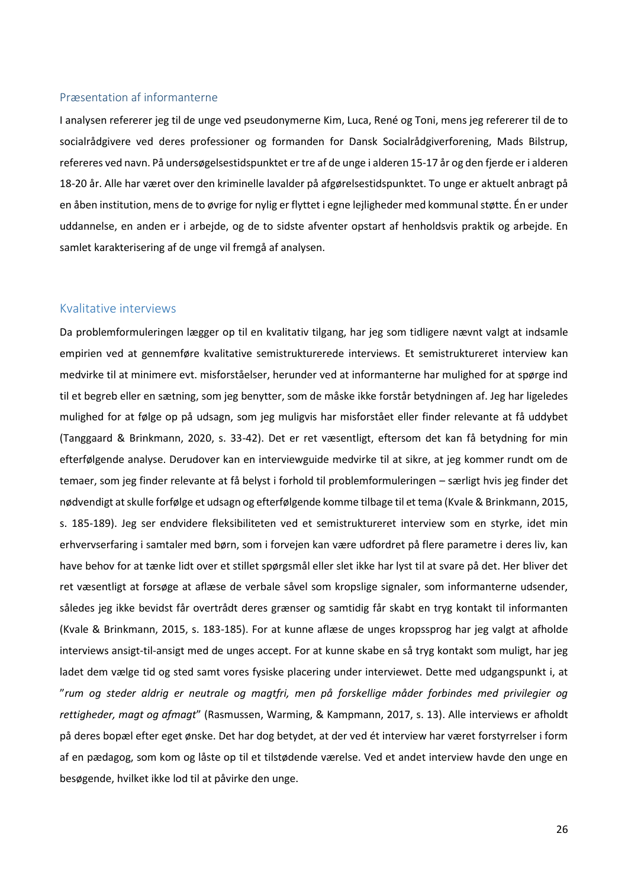#### <span id="page-26-0"></span>Præsentation af informanterne

I analysen refererer jeg til de unge ved pseudonymerne Kim, Luca, René og Toni, mens jeg refererer til de to socialrådgivere ved deres professioner og formanden for Dansk Socialrådgiverforening, Mads Bilstrup, refereres ved navn. På undersøgelsestidspunktet er tre af de unge i alderen 15-17 år og den fjerde er i alderen 18-20 år. Alle har været over den kriminelle lavalder på afgørelsestidspunktet. To unge er aktuelt anbragt på en åben institution, mens de to øvrige for nylig er flyttet i egne lejligheder med kommunal støtte. Én er under uddannelse, en anden er i arbejde, og de to sidste afventer opstart af henholdsvis praktik og arbejde. En samlet karakterisering af de unge vil fremgå af analysen.

#### <span id="page-26-1"></span>Kvalitative interviews

Da problemformuleringen lægger op til en kvalitativ tilgang, har jeg som tidligere nævnt valgt at indsamle empirien ved at gennemføre kvalitative semistrukturerede interviews. Et semistruktureret interview kan medvirke til at minimere evt. misforståelser, herunder ved at informanterne har mulighed for at spørge ind til et begreb eller en sætning, som jeg benytter, som de måske ikke forstår betydningen af. Jeg har ligeledes mulighed for at følge op på udsagn, som jeg muligvis har misforstået eller finder relevante at få uddybet (Tanggaard & Brinkmann, 2020, s. 33-42). Det er ret væsentligt, eftersom det kan få betydning for min efterfølgende analyse. Derudover kan en interviewguide medvirke til at sikre, at jeg kommer rundt om de temaer, som jeg finder relevante at få belyst i forhold til problemformuleringen – særligt hvis jeg finder det nødvendigt at skulle forfølge et udsagn og efterfølgende komme tilbage til et tema (Kvale & Brinkmann, 2015, s. 185-189). Jeg ser endvidere fleksibiliteten ved et semistruktureret interview som en styrke, idet min erhvervserfaring i samtaler med børn, som i forvejen kan være udfordret på flere parametre i deres liv, kan have behov for at tænke lidt over et stillet spørgsmål eller slet ikke har lyst til at svare på det. Her bliver det ret væsentligt at forsøge at aflæse de verbale såvel som kropslige signaler, som informanterne udsender, således jeg ikke bevidst får overtrådt deres grænser og samtidig får skabt en tryg kontakt til informanten (Kvale & Brinkmann, 2015, s. 183-185). For at kunne aflæse de unges kropssprog har jeg valgt at afholde interviews ansigt-til-ansigt med de unges accept. For at kunne skabe en så tryg kontakt som muligt, har jeg ladet dem vælge tid og sted samt vores fysiske placering under interviewet. Dette med udgangspunkt i, at "*rum og steder aldrig er neutrale og magtfri, men på forskellige måder forbindes med privilegier og rettigheder, magt og afmagt*" (Rasmussen, Warming, & Kampmann, 2017, s. 13). Alle interviews er afholdt på deres bopæl efter eget ønske. Det har dog betydet, at der ved ét interview har været forstyrrelser i form af en pædagog, som kom og låste op til et tilstødende værelse. Ved et andet interview havde den unge en besøgende, hvilket ikke lod til at påvirke den unge.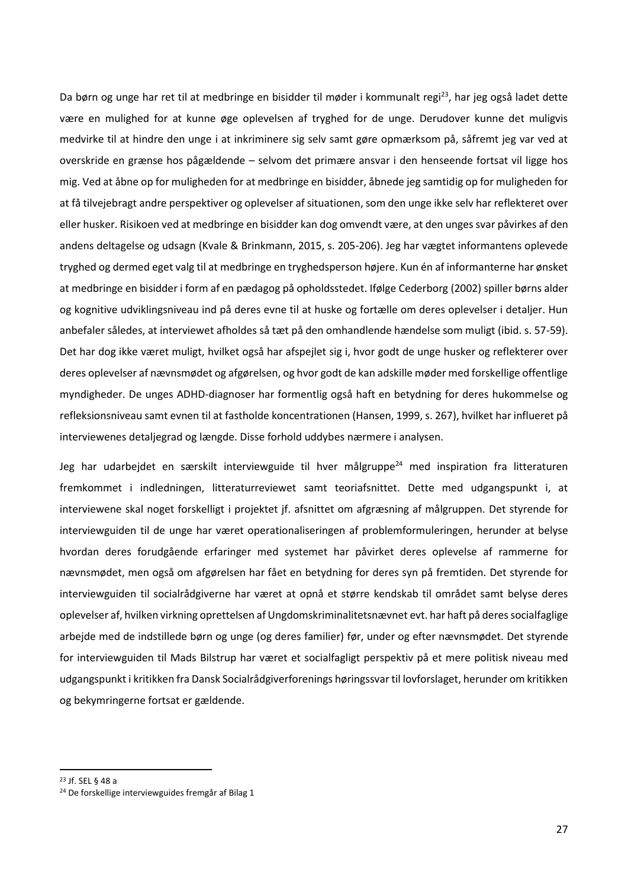Da børn og unge har ret til at medbringe en bisidder til møder i kommunalt regi<sup>23</sup>, har jeg også ladet dette være en mulighed for at kunne øge oplevelsen af tryghed for de unge. Derudover kunne det muligvis medvirke til at hindre den unge i at inkriminere sig selv samt gøre opmærksom på, såfremt jeg var ved at overskride en grænse hos pågældende – selvom det primære ansvar i den henseende fortsat vil ligge hos mig. Ved at åbne op for muligheden for at medbringe en bisidder, åbnede jeg samtidig op for muligheden for at få tilvejebragt andre perspektiver og oplevelser af situationen, som den unge ikke selv har reflekteret over eller husker. Risikoen ved at medbringe en bisidder kan dog omvendt være, at den unges svar påvirkes af den andens deltagelse og udsagn (Kvale & Brinkmann, 2015, s. 205-206). Jeg har vægtet informantens oplevede tryghed og dermed eget valg til at medbringe en tryghedsperson højere. Kun én af informanterne har ønsket at medbringe en bisidder i form af en pædagog på opholdsstedet. Ifølge Cederborg (2002) spiller børns alder og kognitive udviklingsniveau ind på deres evne til at huske og fortælle om deres oplevelser i detaljer. Hun anbefaler således, at interviewet afholdes så tæt på den omhandlende hændelse som muligt (ibid. s. 57-59). Det har dog ikke været muligt, hvilket også har afspejlet sig i, hvor godt de unge husker og reflekterer over deres oplevelser af nævnsmødet og afgørelsen, og hvor godt de kan adskille møder med forskellige offentlige myndigheder. De unges ADHD-diagnoser har formentlig også haft en betydning for deres hukommelse og refleksionsniveau samt evnen til at fastholde koncentrationen (Hansen, 1999, s. 267), hvilket har influeret på interviewenes detaljegrad og længde. Disse forhold uddybes nærmere i analysen.

Jeg har udarbejdet en særskilt interviewguide til hver målgruppe<sup>24</sup> med inspiration fra litteraturen fremkommet i indledningen, litteraturreviewet samt teoriafsnittet. Dette med udgangspunkt i, at interviewene skal noget forskelligt i projektet jf. afsnittet om afgræsning af målgruppen. Det styrende for interviewguiden til de unge har været operationaliseringen af problemformuleringen, herunder at belyse hvordan deres forudgående erfaringer med systemet har påvirket deres oplevelse af rammerne for nævnsmødet, men også om afgørelsen har fået en betydning for deres syn på fremtiden. Det styrende for interviewguiden til socialrådgiverne har været at opnå et større kendskab til området samt belyse deres oplevelser af, hvilken virkning oprettelsen af Ungdomskriminalitetsnævnet evt. har haft på deres socialfaglige arbejde med de indstillede børn og unge (og deres familier) før, under og efter nævnsmødet. Det styrende for interviewguiden til Mads Bilstrup har været et socialfagligt perspektiv på et mere politisk niveau med udgangspunkt i kritikken fra Dansk Socialrådgiverforenings høringssvar til lovforslaget, herunder om kritikken og bekymringerne fortsat er gældende.

<sup>23</sup> Jf. SEL § 48 a

<sup>24</sup> De forskellige interviewguides fremgår af Bilag 1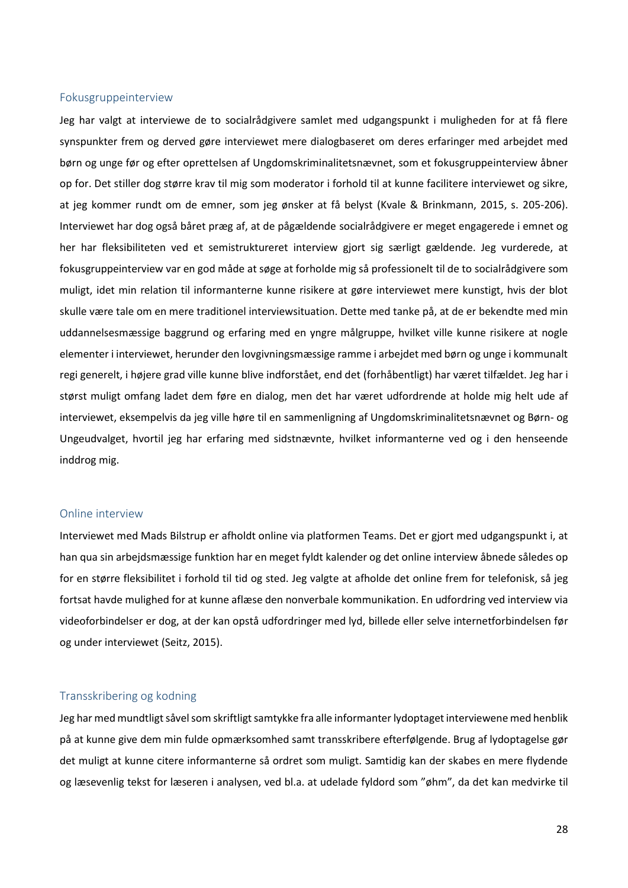### <span id="page-28-0"></span>Fokusgruppeinterview

Jeg har valgt at interviewe de to socialrådgivere samlet med udgangspunkt i muligheden for at få flere synspunkter frem og derved gøre interviewet mere dialogbaseret om deres erfaringer med arbejdet med børn og unge før og efter oprettelsen af Ungdomskriminalitetsnævnet, som et fokusgruppeinterview åbner op for. Det stiller dog større krav til mig som moderator i forhold til at kunne facilitere interviewet og sikre, at jeg kommer rundt om de emner, som jeg ønsker at få belyst (Kvale & Brinkmann, 2015, s. 205-206). Interviewet har dog også båret præg af, at de pågældende socialrådgivere er meget engagerede i emnet og her har fleksibiliteten ved et semistruktureret interview gjort sig særligt gældende. Jeg vurderede, at fokusgruppeinterview var en god måde at søge at forholde mig så professionelt til de to socialrådgivere som muligt, idet min relation til informanterne kunne risikere at gøre interviewet mere kunstigt, hvis der blot skulle være tale om en mere traditionel interviewsituation. Dette med tanke på, at de er bekendte med min uddannelsesmæssige baggrund og erfaring med en yngre målgruppe, hvilket ville kunne risikere at nogle elementer i interviewet, herunder den lovgivningsmæssige ramme i arbejdet med børn og unge i kommunalt regi generelt, i højere grad ville kunne blive indforstået, end det (forhåbentligt) har været tilfældet. Jeg har i størst muligt omfang ladet dem føre en dialog, men det har været udfordrende at holde mig helt ude af interviewet, eksempelvis da jeg ville høre til en sammenligning af Ungdomskriminalitetsnævnet og Børn- og Ungeudvalget, hvortil jeg har erfaring med sidstnævnte, hvilket informanterne ved og i den henseende inddrog mig.

#### <span id="page-28-1"></span>Online interview

Interviewet med Mads Bilstrup er afholdt online via platformen Teams. Det er gjort med udgangspunkt i, at han qua sin arbejdsmæssige funktion har en meget fyldt kalender og det online interview åbnede således op for en større fleksibilitet i forhold til tid og sted. Jeg valgte at afholde det online frem for telefonisk, så jeg fortsat havde mulighed for at kunne aflæse den nonverbale kommunikation. En udfordring ved interview via videoforbindelser er dog, at der kan opstå udfordringer med lyd, billede eller selve internetforbindelsen før og under interviewet (Seitz, 2015).

#### <span id="page-28-2"></span>Transskribering og kodning

Jeg har med mundtligt såvel som skriftligt samtykke fra alle informanter lydoptaget interviewene med henblik på at kunne give dem min fulde opmærksomhed samt transskribere efterfølgende. Brug af lydoptagelse gør det muligt at kunne citere informanterne så ordret som muligt. Samtidig kan der skabes en mere flydende og læsevenlig tekst for læseren i analysen, ved bl.a. at udelade fyldord som "øhm", da det kan medvirke til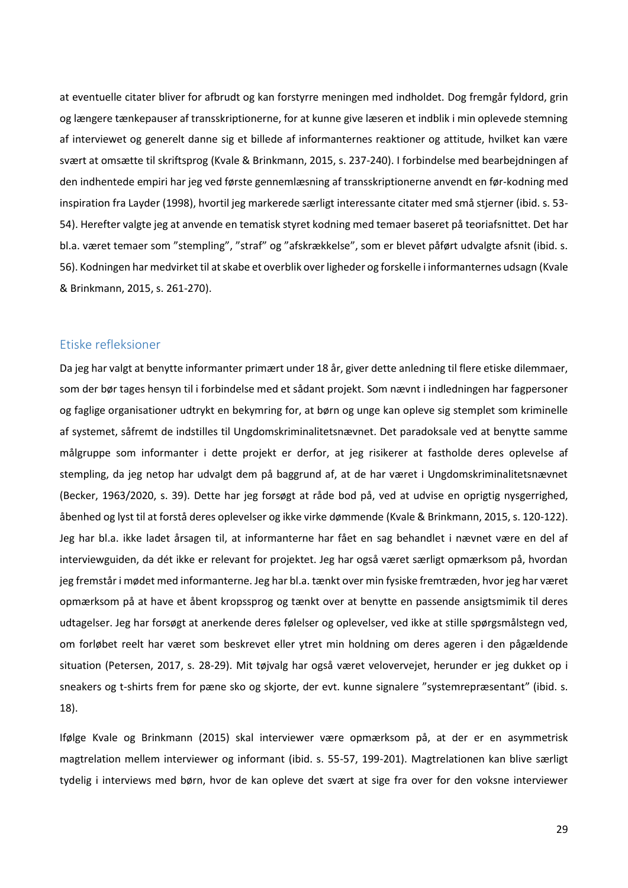at eventuelle citater bliver for afbrudt og kan forstyrre meningen med indholdet. Dog fremgår fyldord, grin og længere tænkepauser af transskriptionerne, for at kunne give læseren et indblik i min oplevede stemning af interviewet og generelt danne sig et billede af informanternes reaktioner og attitude, hvilket kan være svært at omsætte til skriftsprog (Kvale & Brinkmann, 2015, s. 237-240). I forbindelse med bearbejdningen af den indhentede empiri har jeg ved første gennemlæsning af transskriptionerne anvendt en før-kodning med inspiration fra Layder (1998), hvortil jeg markerede særligt interessante citater med små stjerner (ibid. s. 53- 54). Herefter valgte jeg at anvende en tematisk styret kodning med temaer baseret på teoriafsnittet. Det har bl.a. været temaer som "stempling", "straf" og "afskrækkelse", som er blevet påført udvalgte afsnit (ibid. s. 56). Kodningen har medvirket til at skabe et overblik over ligheder og forskelle i informanternes udsagn (Kvale & Brinkmann, 2015, s. 261-270).

# <span id="page-29-0"></span>Etiske refleksioner

Da jeg har valgt at benytte informanter primært under 18 år, giver dette anledning til flere etiske dilemmaer, som der bør tages hensyn til i forbindelse med et sådant projekt. Som nævnt i indledningen har fagpersoner og faglige organisationer udtrykt en bekymring for, at børn og unge kan opleve sig stemplet som kriminelle af systemet, såfremt de indstilles til Ungdomskriminalitetsnævnet. Det paradoksale ved at benytte samme målgruppe som informanter i dette projekt er derfor, at jeg risikerer at fastholde deres oplevelse af stempling, da jeg netop har udvalgt dem på baggrund af, at de har været i Ungdomskriminalitetsnævnet (Becker, 1963/2020, s. 39). Dette har jeg forsøgt at råde bod på, ved at udvise en oprigtig nysgerrighed, åbenhed og lyst til at forstå deres oplevelser og ikke virke dømmende (Kvale & Brinkmann, 2015, s. 120-122). Jeg har bl.a. ikke ladet årsagen til, at informanterne har fået en sag behandlet i nævnet være en del af interviewguiden, da dét ikke er relevant for projektet. Jeg har også været særligt opmærksom på, hvordan jeg fremstår i mødet med informanterne. Jeg har bl.a. tænkt over min fysiske fremtræden, hvor jeg har været opmærksom på at have et åbent kropssprog og tænkt over at benytte en passende ansigtsmimik til deres udtagelser. Jeg har forsøgt at anerkende deres følelser og oplevelser, ved ikke at stille spørgsmålstegn ved, om forløbet reelt har været som beskrevet eller ytret min holdning om deres ageren i den pågældende situation (Petersen, 2017, s. 28-29). Mit tøjvalg har også været velovervejet, herunder er jeg dukket op i sneakers og t-shirts frem for pæne sko og skjorte, der evt. kunne signalere "systemrepræsentant" (ibid. s. 18).

Ifølge Kvale og Brinkmann (2015) skal interviewer være opmærksom på, at der er en asymmetrisk magtrelation mellem interviewer og informant (ibid. s. 55-57, 199-201). Magtrelationen kan blive særligt tydelig i interviews med børn, hvor de kan opleve det svært at sige fra over for den voksne interviewer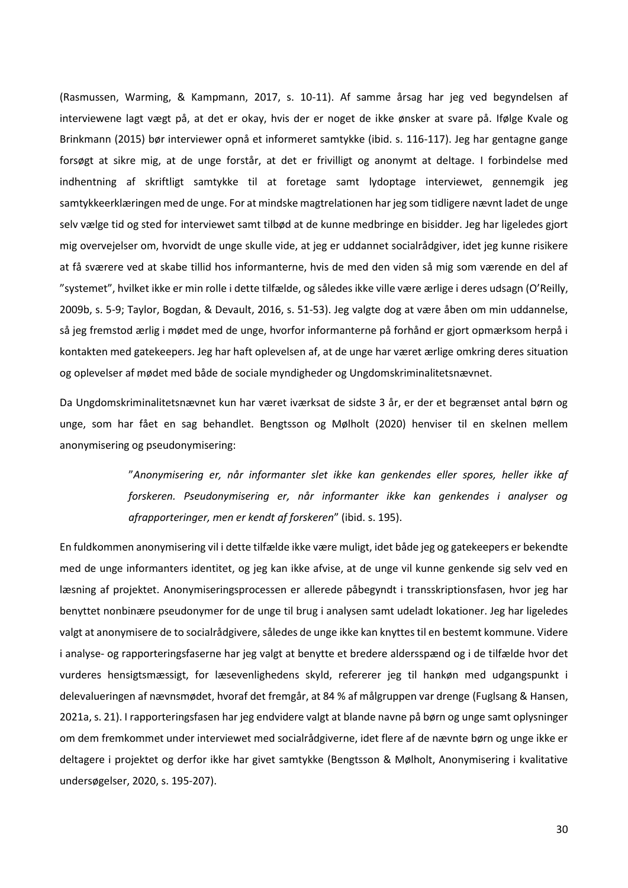(Rasmussen, Warming, & Kampmann, 2017, s. 10-11). Af samme årsag har jeg ved begyndelsen af interviewene lagt vægt på, at det er okay, hvis der er noget de ikke ønsker at svare på. Ifølge Kvale og Brinkmann (2015) bør interviewer opnå et informeret samtykke (ibid. s. 116-117). Jeg har gentagne gange forsøgt at sikre mig, at de unge forstår, at det er frivilligt og anonymt at deltage. I forbindelse med indhentning af skriftligt samtykke til at foretage samt lydoptage interviewet, gennemgik jeg samtykkeerklæringen med de unge. For at mindske magtrelationen har jeg som tidligere nævnt ladet de unge selv vælge tid og sted for interviewet samt tilbød at de kunne medbringe en bisidder. Jeg har ligeledes gjort mig overvejelser om, hvorvidt de unge skulle vide, at jeg er uddannet socialrådgiver, idet jeg kunne risikere at få sværere ved at skabe tillid hos informanterne, hvis de med den viden så mig som værende en del af "systemet", hvilket ikke er min rolle i dette tilfælde, og således ikke ville være ærlige i deres udsagn (O'Reilly, 2009b, s. 5-9; Taylor, Bogdan, & Devault, 2016, s. 51-53). Jeg valgte dog at være åben om min uddannelse, så jeg fremstod ærlig i mødet med de unge, hvorfor informanterne på forhånd er gjort opmærksom herpå i kontakten med gatekeepers. Jeg har haft oplevelsen af, at de unge har været ærlige omkring deres situation og oplevelser af mødet med både de sociale myndigheder og Ungdomskriminalitetsnævnet.

Da Ungdomskriminalitetsnævnet kun har været iværksat de sidste 3 år, er der et begrænset antal børn og unge, som har fået en sag behandlet. Bengtsson og Mølholt (2020) henviser til en skelnen mellem anonymisering og pseudonymisering:

> "*Anonymisering er, når informanter slet ikke kan genkendes eller spores, heller ikke af forskeren. Pseudonymisering er, når informanter ikke kan genkendes i analyser og afrapporteringer, men er kendt af forskeren*" (ibid. s. 195).

En fuldkommen anonymisering vil i dette tilfælde ikke være muligt, idet både jeg og gatekeepers er bekendte med de unge informanters identitet, og jeg kan ikke afvise, at de unge vil kunne genkende sig selv ved en læsning af projektet. Anonymiseringsprocessen er allerede påbegyndt i transskriptionsfasen, hvor jeg har benyttet nonbinære pseudonymer for de unge til brug i analysen samt udeladt lokationer. Jeg har ligeledes valgt at anonymisere de to socialrådgivere, således de unge ikke kan knyttes til en bestemt kommune. Videre i analyse- og rapporteringsfaserne har jeg valgt at benytte et bredere aldersspænd og i de tilfælde hvor det vurderes hensigtsmæssigt, for læsevenlighedens skyld, refererer jeg til hankøn med udgangspunkt i delevalueringen af nævnsmødet, hvoraf det fremgår, at 84 % af målgruppen var drenge (Fuglsang & Hansen, 2021a, s. 21). I rapporteringsfasen har jeg endvidere valgt at blande navne på børn og unge samt oplysninger om dem fremkommet under interviewet med socialrådgiverne, idet flere af de nævnte børn og unge ikke er deltagere i projektet og derfor ikke har givet samtykke (Bengtsson & Mølholt, Anonymisering i kvalitative undersøgelser, 2020, s. 195-207).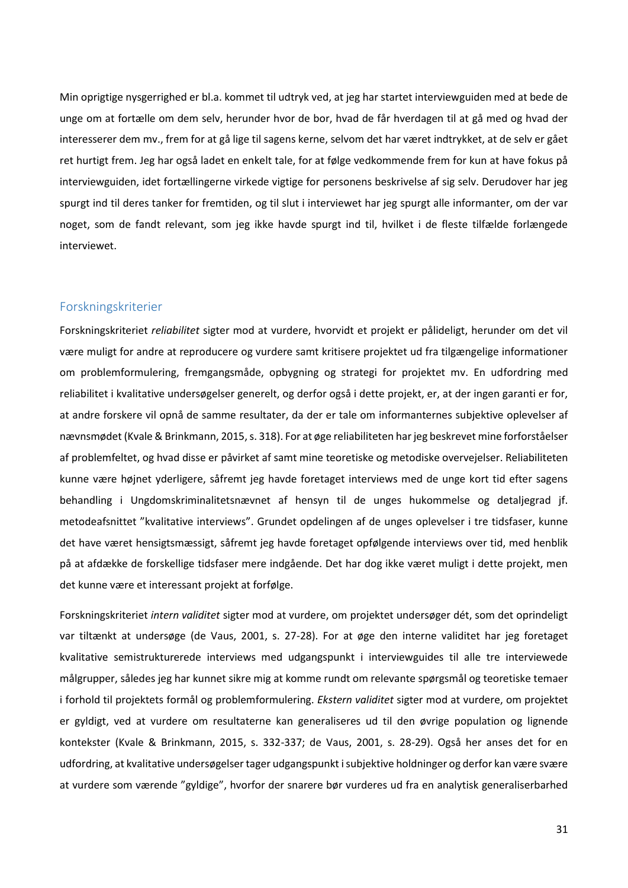Min oprigtige nysgerrighed er bl.a. kommet til udtryk ved, at jeg har startet interviewguiden med at bede de unge om at fortælle om dem selv, herunder hvor de bor, hvad de får hverdagen til at gå med og hvad der interesserer dem mv., frem for at gå lige til sagens kerne, selvom det har været indtrykket, at de selv er gået ret hurtigt frem. Jeg har også ladet en enkelt tale, for at følge vedkommende frem for kun at have fokus på interviewguiden, idet fortællingerne virkede vigtige for personens beskrivelse af sig selv. Derudover har jeg spurgt ind til deres tanker for fremtiden, og til slut i interviewet har jeg spurgt alle informanter, om der var noget, som de fandt relevant, som jeg ikke havde spurgt ind til, hvilket i de fleste tilfælde forlængede interviewet.

# <span id="page-31-0"></span>Forskningskriterier

Forskningskriteriet *reliabilitet* sigter mod at vurdere, hvorvidt et projekt er pålideligt, herunder om det vil være muligt for andre at reproducere og vurdere samt kritisere projektet ud fra tilgængelige informationer om problemformulering, fremgangsmåde, opbygning og strategi for projektet mv. En udfordring med reliabilitet i kvalitative undersøgelser generelt, og derfor også i dette projekt, er, at der ingen garanti er for, at andre forskere vil opnå de samme resultater, da der er tale om informanternes subjektive oplevelser af nævnsmødet (Kvale & Brinkmann, 2015, s. 318). For at øge reliabiliteten har jeg beskrevet mine forforståelser af problemfeltet, og hvad disse er påvirket af samt mine teoretiske og metodiske overvejelser. Reliabiliteten kunne være højnet yderligere, såfremt jeg havde foretaget interviews med de unge kort tid efter sagens behandling i Ungdomskriminalitetsnævnet af hensyn til de unges hukommelse og detaljegrad jf. metodeafsnittet "kvalitative interviews". Grundet opdelingen af de unges oplevelser i tre tidsfaser, kunne det have været hensigtsmæssigt, såfremt jeg havde foretaget opfølgende interviews over tid, med henblik på at afdække de forskellige tidsfaser mere indgående. Det har dog ikke været muligt i dette projekt, men det kunne være et interessant projekt at forfølge.

Forskningskriteriet *intern validitet* sigter mod at vurdere, om projektet undersøger dét, som det oprindeligt var tiltænkt at undersøge (de Vaus, 2001, s. 27-28). For at øge den interne validitet har jeg foretaget kvalitative semistrukturerede interviews med udgangspunkt i interviewguides til alle tre interviewede målgrupper, således jeg har kunnet sikre mig at komme rundt om relevante spørgsmål og teoretiske temaer i forhold til projektets formål og problemformulering. *Ekstern validitet* sigter mod at vurdere, om projektet er gyldigt, ved at vurdere om resultaterne kan generaliseres ud til den øvrige population og lignende kontekster (Kvale & Brinkmann, 2015, s. 332-337; de Vaus, 2001, s. 28-29). Også her anses det for en udfordring, at kvalitative undersøgelser tager udgangspunkt i subjektive holdninger og derfor kan være svære at vurdere som værende "gyldige", hvorfor der snarere bør vurderes ud fra en analytisk generaliserbarhed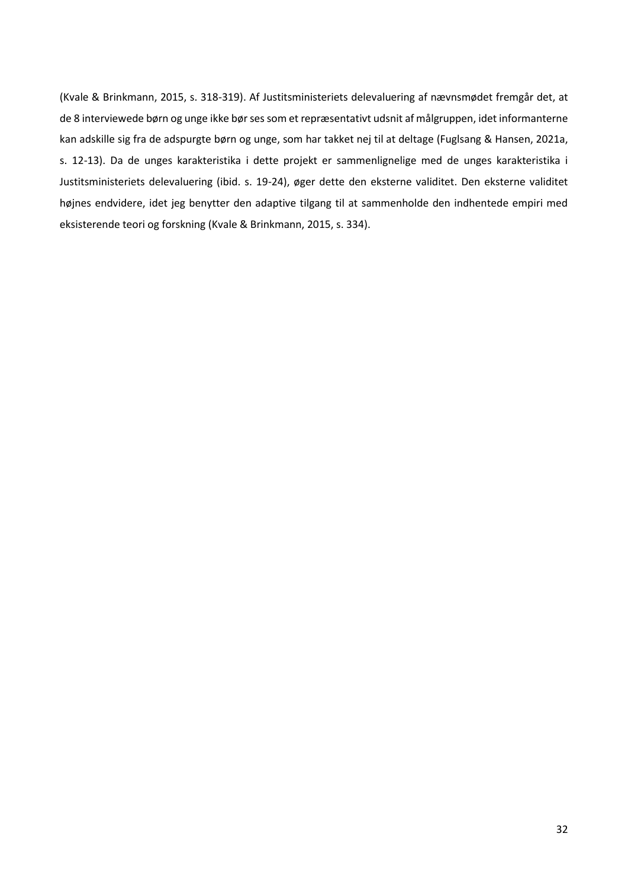(Kvale & Brinkmann, 2015, s. 318-319). Af Justitsministeriets delevaluering af nævnsmødet fremgår det, at de 8 interviewede børn og unge ikke bør ses som et repræsentativt udsnit af målgruppen, idet informanterne kan adskille sig fra de adspurgte børn og unge, som har takket nej til at deltage (Fuglsang & Hansen, 2021a, s. 12-13). Da de unges karakteristika i dette projekt er sammenlignelige med de unges karakteristika i Justitsministeriets delevaluering (ibid. s. 19-24), øger dette den eksterne validitet. Den eksterne validitet højnes endvidere, idet jeg benytter den adaptive tilgang til at sammenholde den indhentede empiri med eksisterende teori og forskning (Kvale & Brinkmann, 2015, s. 334).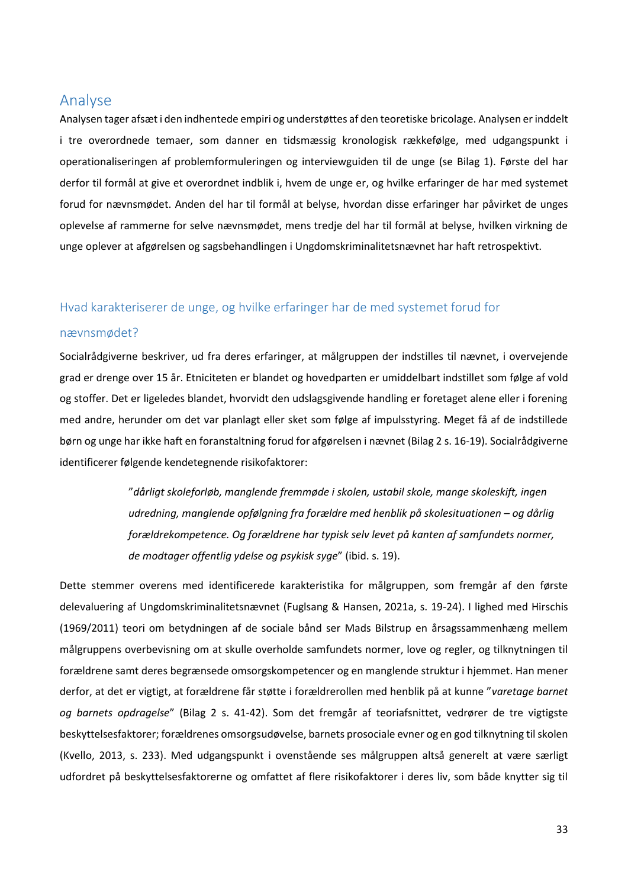# <span id="page-33-0"></span>Analyse

Analysen tager afsæt i den indhentede empiri og understøttes af den teoretiske bricolage. Analysen er inddelt i tre overordnede temaer, som danner en tidsmæssig kronologisk rækkefølge, med udgangspunkt i operationaliseringen af problemformuleringen og interviewguiden til de unge (se Bilag 1). Første del har derfor til formål at give et overordnet indblik i, hvem de unge er, og hvilke erfaringer de har med systemet forud for nævnsmødet. Anden del har til formål at belyse, hvordan disse erfaringer har påvirket de unges oplevelse af rammerne for selve nævnsmødet, mens tredje del har til formål at belyse, hvilken virkning de unge oplever at afgørelsen og sagsbehandlingen i Ungdomskriminalitetsnævnet har haft retrospektivt.

# <span id="page-33-1"></span>Hvad karakteriserer de unge, og hvilke erfaringer har de med systemet forud for

#### nævnsmødet?

Socialrådgiverne beskriver, ud fra deres erfaringer, at målgruppen der indstilles til nævnet, i overvejende grad er drenge over 15 år. Etniciteten er blandet og hovedparten er umiddelbart indstillet som følge af vold og stoffer. Det er ligeledes blandet, hvorvidt den udslagsgivende handling er foretaget alene eller i forening med andre, herunder om det var planlagt eller sket som følge af impulsstyring. Meget få af de indstillede børn og unge har ikke haft en foranstaltning forud for afgørelsen i nævnet (Bilag 2 s. 16-19). Socialrådgiverne identificerer følgende kendetegnende risikofaktorer:

> "*dårligt skoleforløb, manglende fremmøde i skolen, ustabil skole, mange skoleskift, ingen udredning, manglende opfølgning fra forældre med henblik på skolesituationen – og dårlig forældrekompetence. Og forældrene har typisk selv levet på kanten af samfundets normer, de modtager offentlig ydelse og psykisk syge*" (ibid. s. 19).

Dette stemmer overens med identificerede karakteristika for målgruppen, som fremgår af den første delevaluering af Ungdomskriminalitetsnævnet (Fuglsang & Hansen, 2021a, s. 19-24). I lighed med Hirschis (1969/2011) teori om betydningen af de sociale bånd ser Mads Bilstrup en årsagssammenhæng mellem målgruppens overbevisning om at skulle overholde samfundets normer, love og regler, og tilknytningen til forældrene samt deres begrænsede omsorgskompetencer og en manglende struktur i hjemmet. Han mener derfor, at det er vigtigt, at forældrene får støtte i forældrerollen med henblik på at kunne "*varetage barnet og barnets opdragelse*" (Bilag 2 s. 41-42). Som det fremgår af teoriafsnittet, vedrører de tre vigtigste beskyttelsesfaktorer; forældrenes omsorgsudøvelse, barnets prosociale evner og en god tilknytning til skolen (Kvello, 2013, s. 233). Med udgangspunkt i ovenstående ses målgruppen altså generelt at være særligt udfordret på beskyttelsesfaktorerne og omfattet af flere risikofaktorer i deres liv, som både knytter sig til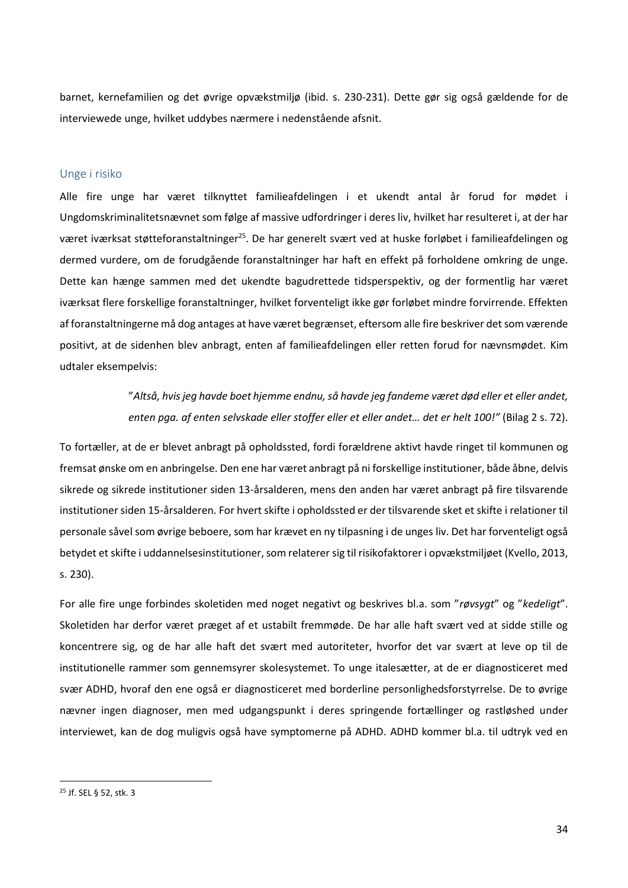barnet, kernefamilien og det øvrige opvækstmiljø (ibid. s. 230-231). Dette gør sig også gældende for de interviewede unge, hvilket uddybes nærmere i nedenstående afsnit.

#### <span id="page-34-0"></span>Unge i risiko

Alle fire unge har været tilknyttet familieafdelingen i et ukendt antal år forud for mødet i Ungdomskriminalitetsnævnet som følge af massive udfordringer i deres liv, hvilket har resulteret i, at der har været iværksat støtteforanstaltninger<sup>25</sup>. De har generelt svært ved at huske forløbet i familieafdelingen og dermed vurdere, om de forudgående foranstaltninger har haft en effekt på forholdene omkring de unge. Dette kan hænge sammen med det ukendte bagudrettede tidsperspektiv, og der formentlig har været iværksat flere forskellige foranstaltninger, hvilket forventeligt ikke gør forløbet mindre forvirrende. Effekten af foranstaltningerne må dog antages at have været begrænset, eftersom alle fire beskriver det som værende positivt, at de sidenhen blev anbragt, enten af familieafdelingen eller retten forud for nævnsmødet. Kim udtaler eksempelvis:

> "*Altså, hvis jeg havde boet hjemme endnu, så havde jeg fandeme været død eller et eller andet, enten pga. af enten selvskade eller stoffer eller et eller andet… det er helt 100!"* (Bilag 2 s. 72).

To fortæller, at de er blevet anbragt på opholdssted, fordi forældrene aktivt havde ringet til kommunen og fremsat ønske om en anbringelse. Den ene har været anbragt på ni forskellige institutioner, både åbne, delvis sikrede og sikrede institutioner siden 13-årsalderen, mens den anden har været anbragt på fire tilsvarende institutioner siden 15-årsalderen. For hvert skifte i opholdssted er der tilsvarende sket et skifte i relationer til personale såvel som øvrige beboere, som har krævet en ny tilpasning i de unges liv. Det har forventeligt også betydet et skifte i uddannelsesinstitutioner, som relaterer sig til risikofaktorer i opvækstmiljøet (Kvello, 2013, s. 230).

For alle fire unge forbindes skoletiden med noget negativt og beskrives bl.a. som "*røvsygt*" og "*kedeligt*". Skoletiden har derfor været præget af et ustabilt fremmøde. De har alle haft svært ved at sidde stille og koncentrere sig, og de har alle haft det svært med autoriteter, hvorfor det var svært at leve op til de institutionelle rammer som gennemsyrer skolesystemet. To unge italesætter, at de er diagnosticeret med svær ADHD, hvoraf den ene også er diagnosticeret med borderline personlighedsforstyrrelse. De to øvrige nævner ingen diagnoser, men med udgangspunkt i deres springende fortællinger og rastløshed under interviewet, kan de dog muligvis også have symptomerne på ADHD. ADHD kommer bl.a. til udtryk ved en

<sup>25</sup> Jf. SEL § 52, stk. 3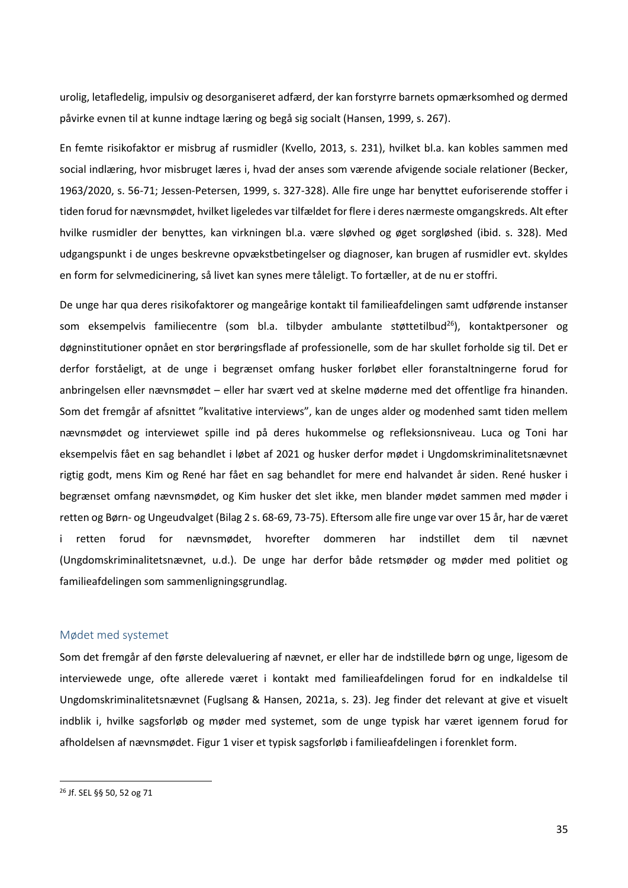urolig, letafledelig, impulsiv og desorganiseret adfærd, der kan forstyrre barnets opmærksomhed og dermed påvirke evnen til at kunne indtage læring og begå sig socialt (Hansen, 1999, s. 267).

En femte risikofaktor er misbrug af rusmidler (Kvello, 2013, s. 231), hvilket bl.a. kan kobles sammen med social indlæring, hvor misbruget læres i, hvad der anses som værende afvigende sociale relationer (Becker, 1963/2020, s. 56-71; Jessen-Petersen, 1999, s. 327-328). Alle fire unge har benyttet euforiserende stoffer i tiden forud for nævnsmødet, hvilket ligeledes var tilfældet for flere i deres nærmeste omgangskreds. Alt efter hvilke rusmidler der benyttes, kan virkningen bl.a. være sløvhed og øget sorgløshed (ibid. s. 328). Med udgangspunkt i de unges beskrevne opvækstbetingelser og diagnoser, kan brugen af rusmidler evt. skyldes en form for selvmedicinering, så livet kan synes mere tåleligt. To fortæller, at de nu er stoffri.

De unge har qua deres risikofaktorer og mangeårige kontakt til familieafdelingen samt udførende instanser som eksempelvis familiecentre (som bl.a. tilbyder ambulante støttetilbud<sup>26</sup>), kontaktpersoner og døgninstitutioner opnået en stor berøringsflade af professionelle, som de har skullet forholde sig til. Det er derfor forståeligt, at de unge i begrænset omfang husker forløbet eller foranstaltningerne forud for anbringelsen eller nævnsmødet – eller har svært ved at skelne møderne med det offentlige fra hinanden. Som det fremgår af afsnittet "kvalitative interviews", kan de unges alder og modenhed samt tiden mellem nævnsmødet og interviewet spille ind på deres hukommelse og refleksionsniveau. Luca og Toni har eksempelvis fået en sag behandlet i løbet af 2021 og husker derfor mødet i Ungdomskriminalitetsnævnet rigtig godt, mens Kim og René har fået en sag behandlet for mere end halvandet år siden. René husker i begrænset omfang nævnsmødet, og Kim husker det slet ikke, men blander mødet sammen med møder i retten og Børn- og Ungeudvalget (Bilag 2 s. 68-69, 73-75). Eftersom alle fire unge var over 15 år, har de været i retten forud for nævnsmødet, hvorefter dommeren har indstillet dem til nævnet (Ungdomskriminalitetsnævnet, u.d.). De unge har derfor både retsmøder og møder med politiet og familieafdelingen som sammenligningsgrundlag.

### <span id="page-35-0"></span>Mødet med systemet

Som det fremgår af den første delevaluering af nævnet, er eller har de indstillede børn og unge, ligesom de interviewede unge, ofte allerede været i kontakt med familieafdelingen forud for en indkaldelse til Ungdomskriminalitetsnævnet (Fuglsang & Hansen, 2021a, s. 23). Jeg finder det relevant at give et visuelt indblik i, hvilke sagsforløb og møder med systemet, som de unge typisk har været igennem forud for afholdelsen af nævnsmødet. Figur 1 viser et typisk sagsforløb i familieafdelingen i forenklet form.

<sup>26</sup> Jf. SEL §§ 50, 52 og 71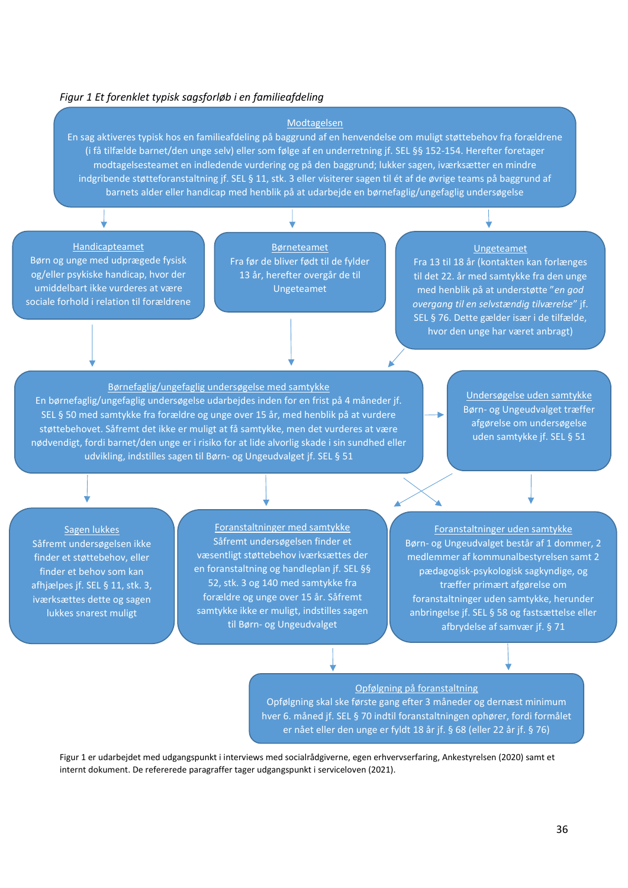#### *Figur 1 Et forenklet typisk sagsforløb i en familieafdeling*

#### Modtagelsen

En sag aktiveres typisk hos en familieafdeling på baggrund af en henvendelse om muligt støttebehov fra forældrene (i få tilfælde barnet/den unge selv) eller som følge af en underretning jf. SEL §§ 152-154. Herefter foretager modtagelsesteamet en indledende vurdering og på den baggrund; lukker sagen, iværksætter en mindre indgribende støtteforanstaltning jf. SEL § 11, stk. 3 eller visiterer sagen til ét af de øvrige teams på baggrund af barnets alder eller handicap med henblik på at udarbejde en børnefaglig/ungefaglig undersøgelse

#### Handicapteamet

Børn og unge med udprægede fysisk og/eller psykiske handicap, hvor der umiddelbart ikke vurderes at være sociale forhold i relation til forældrene

Børneteamet Fra før de bliver født til de fylder 13 år, herefter overgår de til Ungeteamet

#### Ungeteamet

Fra 13 til 18 år (kontakten kan forlænges til det 22. år med samtykke fra den unge med henblik på at understøtte "*en god overgang til en selvstændig tilværelse*" jf. SEL § 76. Dette gælder især i de tilfælde, hvor den unge har været anbragt)

Børnefaglig/ungefaglig undersøgelse med samtykke En børnefaglig/ungefaglig undersøgelse udarbejdes inden for en frist på 4 måneder jf. SEL § 50 med samtykke fra forældre og unge over 15 år, med henblik på at vurdere støttebehovet. Såfremt det ikke er muligt at få samtykke, men det vurderes at være nødvendigt, fordi barnet/den unge er i risiko for at lide alvorlig skade i sin sundhed eller udvikling, indstilles sagen til Børn- og Ungeudvalget jf. SEL § 51

Undersøgelse uden samtykke Børn- og Ungeudvalget træffer afgørelse om undersøgelse uden samtykke jf. SEL § 51

Sagen lukkes Såfremt undersøgelsen ikke finder et støttebehov, eller finder et behov som kan afhjælpes jf. SEL § 11, stk. 3, iværksættes dette og sagen lukkes snarest muligt

Foranstaltninger med samtykke Såfremt undersøgelsen finder et væsentligt støttebehov iværksættes der en foranstaltning og handleplan jf. SEL §§ 52, stk. 3 og 140 med samtykke fra forældre og unge over 15 år. Såfremt samtykke ikke er muligt, indstilles sagen til Børn- og Ungeudvalget

Foranstaltninger uden samtykke Børn- og Ungeudvalget består af 1 dommer, 2 medlemmer af kommunalbestyrelsen samt 2 pædagogisk-psykologisk sagkyndige, og træffer primært afgørelse om foranstaltninger uden samtykke, herunder anbringelse jf. SEL § 58 og fastsættelse eller afbrydelse af samvær jf. § 71

#### Opfølgning på foranstaltning

Opfølgning skal ske første gang efter 3 måneder og dernæst minimum hver 6. måned jf. SEL § 70 indtil foranstaltningen ophører, fordi formålet er nået eller den unge er fyldt 18 år jf. § 68 (eller 22 år jf. § 76)

Figur 1 er udarbejdet med udgangspunkt i interviews med socialrådgiverne, egen erhvervserfaring, Ankestyrelsen (2020) samt et internt dokument. De refererede paragraffer tager udgangspunkt i serviceloven (2021).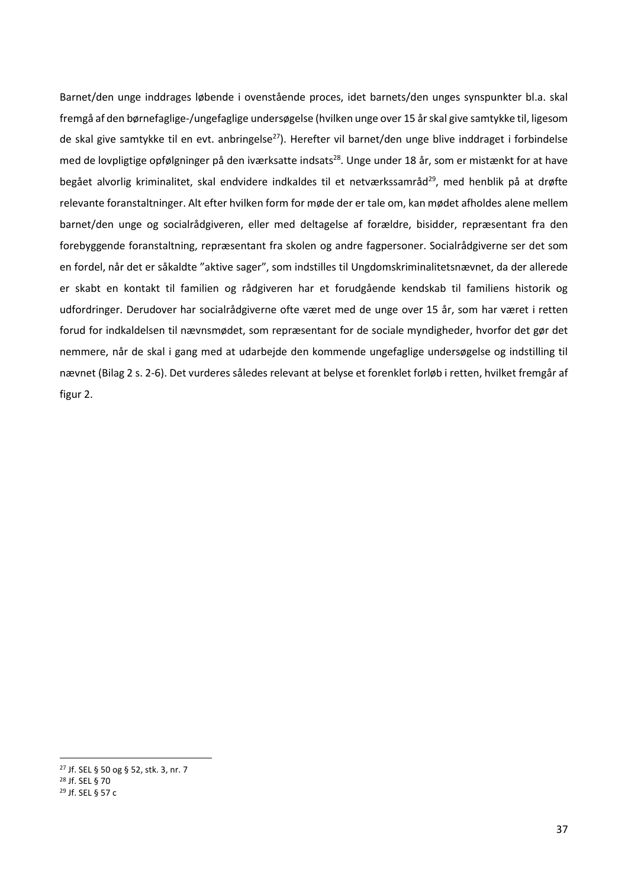Barnet/den unge inddrages løbende i ovenstående proces, idet barnets/den unges synspunkter bl.a. skal fremgå af den børnefaglige-/ungefaglige undersøgelse (hvilken unge over 15 år skal give samtykke til, ligesom de skal give samtykke til en evt. anbringelse<sup>27</sup>). Herefter vil barnet/den unge blive inddraget i forbindelse med de lovpligtige opfølgninger på den iværksatte indsats<sup>28</sup>. Unge under 18 år, som er mistænkt for at have begået alvorlig kriminalitet, skal endvidere indkaldes til et netværkssamråd<sup>29</sup>, med henblik på at drøfte relevante foranstaltninger. Alt efter hvilken form for møde der er tale om, kan mødet afholdes alene mellem barnet/den unge og socialrådgiveren, eller med deltagelse af forældre, bisidder, repræsentant fra den forebyggende foranstaltning, repræsentant fra skolen og andre fagpersoner. Socialrådgiverne ser det som en fordel, når det er såkaldte "aktive sager", som indstilles til Ungdomskriminalitetsnævnet, da der allerede er skabt en kontakt til familien og rådgiveren har et forudgående kendskab til familiens historik og udfordringer. Derudover har socialrådgiverne ofte været med de unge over 15 år, som har været i retten forud for indkaldelsen til nævnsmødet, som repræsentant for de sociale myndigheder, hvorfor det gør det nemmere, når de skal i gang med at udarbejde den kommende ungefaglige undersøgelse og indstilling til nævnet (Bilag 2 s. 2-6). Det vurderes således relevant at belyse et forenklet forløb i retten, hvilket fremgår af figur 2.

<sup>27</sup> Jf. SEL § 50 og § 52, stk. 3, nr. 7 <sup>28</sup> Jf. SEL § 70

<sup>29</sup> Jf. SEL § 57 c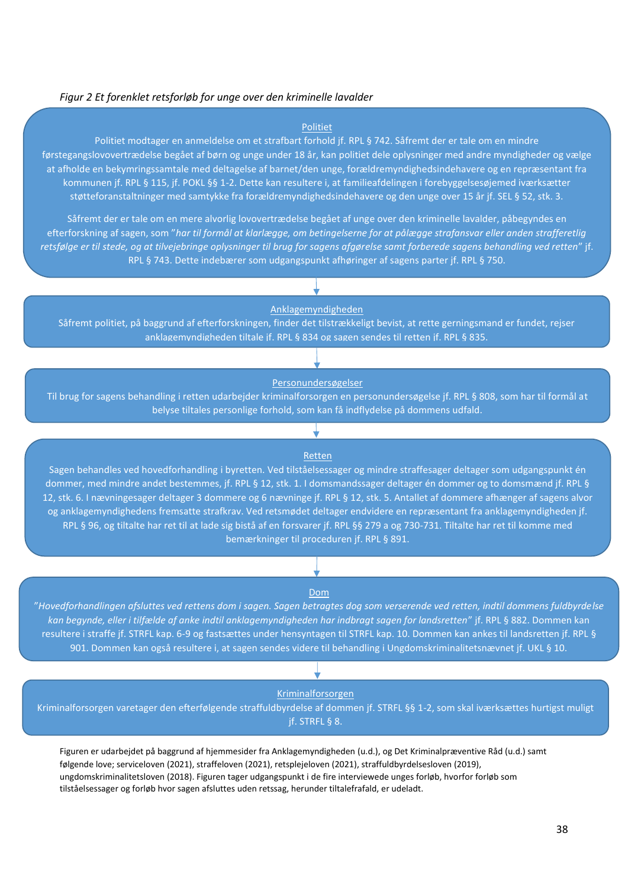#### *Figur 2 Et forenklet retsforløb for unge over den kriminelle lavalder*

#### Politiet

Politiet modtager en anmeldelse om et strafbart forhold jf. RPL § 742. Såfremt der er tale om en mindre førstegangslovovertrædelse begået af børn og unge under 18 år, kan politiet dele oplysninger med andre myndigheder og vælge at afholde en bekymringssamtale med deltagelse af barnet/den unge, forældremyndighedsindehavere og en repræsentant fra kommunen jf. RPL § 115, jf. POKL §§ 1-2. Dette kan resultere i, at familieafdelingen i forebyggelsesøjemed iværksætter støtteforanstaltninger med samtykke fra forældremyndighedsindehavere og den unge over 15 år jf. SEL § 52, stk. 3.

Såfremt der er tale om en mere alvorlig lovovertrædelse begået af unge over den kriminelle lavalder, påbegyndes en efterforskning af sagen, som "*har til formål at klarlægge, om betingelserne for at pålægge strafansvar eller anden strafferetlig retsfølge er til stede, og at tilvejebringe oplysninger til brug for sagens afgørelse samt forberede sagens behandling ved retten*" jf. RPL § 743. Dette indebærer som udgangspunkt afhøringer af sagens parter jf. RPL § 750.

Anklagemyndigheden

Såfremt politiet, på baggrund af efterforskningen, finder det tilstrækkeligt bevist, at rette gerningsmand er fundet, rejser anklagemyndigheden tiltale jf. RPL § 834 og sagen sendes til retten jf. RPL § 835.

#### Personundersøgelser

Til brug for sagens behandling i retten udarbejder kriminalforsorgen en personundersøgelse jf. RPL § 808, som har til formål at belyse tiltales personlige forhold, som kan få indflydelse på dommens udfald.

#### Retten

Sagen behandles ved hovedforhandling i byretten. Ved tilståelsessager og mindre straffesager deltager som udgangspunkt én dommer, med mindre andet bestemmes, jf. RPL § 12, stk. 1. I domsmandssager deltager én dommer og to domsmænd jf. RPL § 12, stk. 6. I nævningesager deltager 3 dommere og 6 nævninge jf. RPL § 12, stk. 5. Antallet af dommere afhænger af sagens alvor og anklagemyndighedens fremsatte strafkrav. Ved retsmødet deltager endvidere en repræsentant fra anklagemyndigheden jf. RPL § 96, og tiltalte har ret til at lade sig bistå af en forsvarer jf. RPL §§ 279 a og 730-731. Tiltalte har ret til komme med bemærkninger til proceduren jf. RPL § 891.

#### Dom

"*Hovedforhandlingen afsluttes ved rettens dom i sagen. Sagen betragtes dog som verserende ved retten, indtil dommens fuldbyrdelse kan begynde, eller i tilfælde af anke indtil anklagemyndigheden har indbragt sagen for landsretten*" jf. RPL § 882. Dommen kan resultere i straffe jf. STRFL kap. 6-9 og fastsættes under hensyntagen til STRFL kap. 10. Dommen kan ankes til landsretten jf. RPL § 901. Dommen kan også resultere i, at sagen sendes videre til behandling i Ungdomskriminalitetsnævnet jf. UKL § 10.

#### Kriminalforsorgen

Kriminalforsorgen varetager den efterfølgende straffuldbyrdelse af dommen jf. STRFL §§ 1-2, som skal iværksættes hurtigst muligt jf. STRFL § 8.

Figuren er udarbejdet på baggrund af hjemmesider fra Anklagemyndigheden (u.d.), og Det Kriminalpræventive Råd (u.d.) samt følgende love; serviceloven (2021), straffeloven (2021), retsplejeloven (2021), straffuldbyrdelsesloven (2019), ungdomskriminalitetsloven (2018). Figuren tager udgangspunkt i de fire interviewede unges forløb, hvorfor forløb som tilståelsessager og forløb hvor sagen afsluttes uden retssag, herunder tiltalefrafald, er udeladt.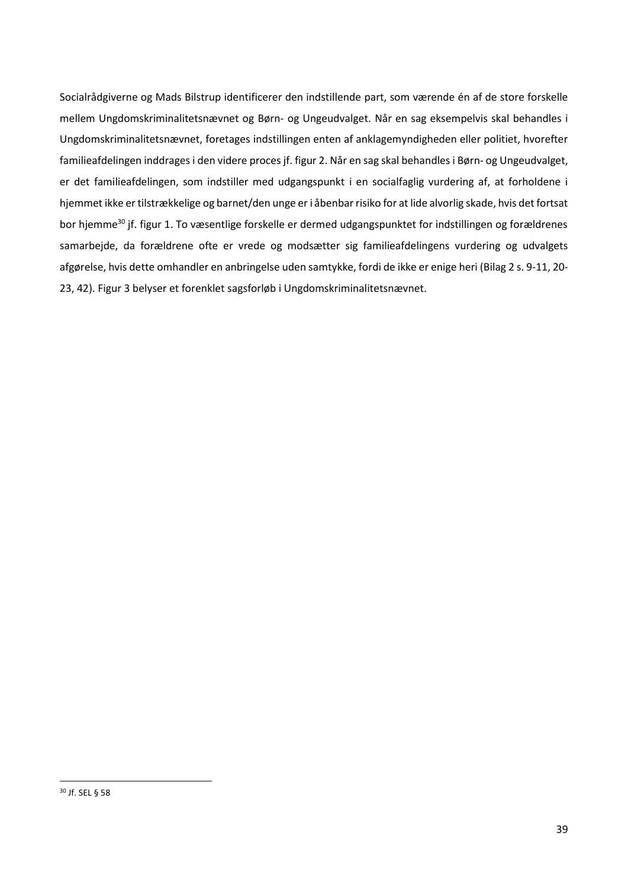Socialrådgiverne og Mads Bilstrup identificerer den indstillende part, som værende én af de store forskelle mellem Ungdomskriminalitetsnævnet og Børn- og Ungeudvalget. Når en sag eksempelvis skal behandles i Ungdomskriminalitetsnævnet, foretages indstillingen enten af anklagemyndigheden eller politiet, hvorefter familieafdelingen inddrages i den videre proces jf. figur 2. Når en sag skal behandles i Børn- og Ungeudvalget, er det familieafdelingen, som indstiller med udgangspunkt i en socialfaglig vurdering af, at forholdene i hjemmet ikke er tilstrækkelige og barnet/den unge er i åbenbar risiko for at lide alvorlig skade, hvis det fortsat bor hjemme<sup>30</sup> jf. figur 1. To væsentlige forskelle er dermed udgangspunktet for indstillingen og forældrenes samarbejde, da forældrene ofte er vrede og modsætter sig familieafdelingens vurdering og udvalgets afgørelse, hvis dette omhandler en anbringelse uden samtykke, fordi de ikke er enige heri (Bilag 2 s. 9-11, 20- 23, 42). Figur 3 belyser et forenklet sagsforløb i Ungdomskriminalitetsnævnet.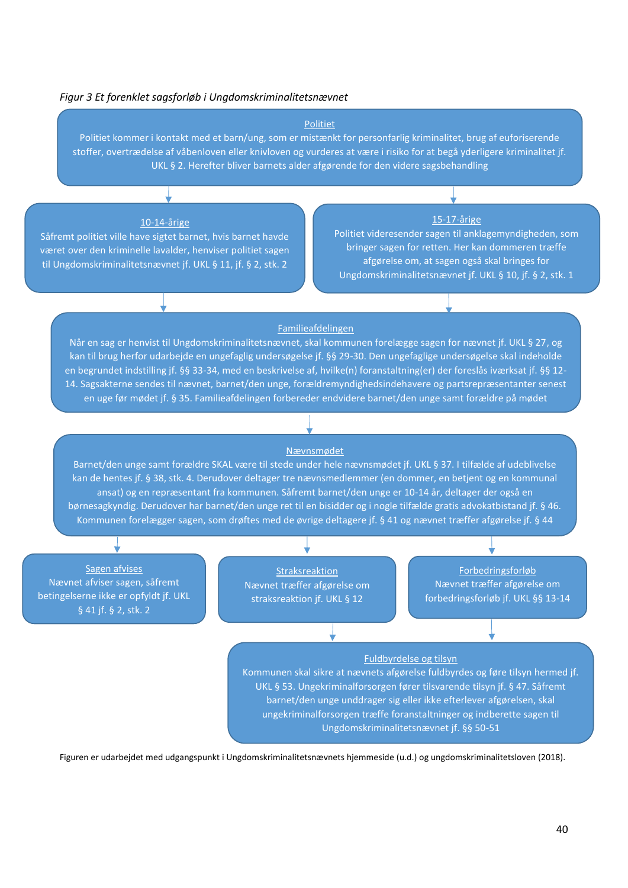#### *Figur 3 Et forenklet sagsforløb i Ungdomskriminalitetsnævnet*

#### Politiet

Politiet kommer i kontakt med et barn/ung, som er mistænkt for personfarlig kriminalitet, brug af euforiserende stoffer, overtrædelse af våbenloven eller knivloven og vurderes at være i risiko for at begå yderligere kriminalitet jf. UKL § 2. Herefter bliver barnets alder afgørende for den videre sagsbehandling

#### 10-14-årige

Såfremt politiet ville have sigtet barnet, hvis barnet havde været over den kriminelle lavalder, henviser politiet sagen til Ungdomskriminalitetsnævnet jf. UKL § 11, jf. § 2, stk. 2

#### 15-17-årige

Politiet videresender sagen til anklagemyndigheden, som bringer sagen for retten. Her kan dommeren træffe afgørelse om, at sagen også skal bringes for Ungdomskriminalitetsnævnet jf. UKL § 10, jf. § 2, stk. 1

#### Familieafdelingen

Når en sag er henvist til Ungdomskriminalitetsnævnet, skal kommunen forelægge sagen for nævnet jf. UKL § 27, og kan til brug herfor udarbejde en ungefaglig undersøgelse jf. §§ 29-30. Den ungefaglige undersøgelse skal indeholde en begrundet indstilling jf. §§ 33-34, med en beskrivelse af, hvilke(n) foranstaltning(er) der foreslås iværksat jf. §§ 12- 14. Sagsakterne sendes til nævnet, barnet/den unge, forældremyndighedsindehavere og partsrepræsentanter senest en uge før mødet jf. § 35. Familieafdelingen forbereder endvidere barnet/den unge samt forældre på mødet

#### Nævnsmødet

Barnet/den unge samt forældre SKAL være til stede under hele nævnsmødet jf. UKL § 37. I tilfælde af udeblivelse kan de hentes jf. § 38, stk. 4. Derudover deltager tre nævnsmedlemmer (en dommer, en betjent og en kommunal ansat) og en repræsentant fra kommunen. Såfremt barnet/den unge er 10-14 år, deltager der også en børnesagkyndig. Derudover har barnet/den unge ret til en bisidder og i nogle tilfælde gratis advokatbistand jf. § 46. Kommunen forelægger sagen, som drøftes med de øvrige deltagere jf. § 41 og nævnet træffer afgørelse jf. § 44

Sagen afvises Nævnet afviser sagen, såfremt betingelserne ikke er opfyldt jf. UKL § 41 jf. § 2, stk. 2

Straksreaktion Nævnet træffer afgørelse om straksreaktion jf. UKL § 12

Forbedringsforløb Nævnet træffer afgørelse om forbedringsforløb jf. UKL §§ 13-14

#### Fuldbyrdelse og tilsyn

Kommunen skal sikre at nævnets afgørelse fuldbyrdes og føre tilsyn hermed jf. UKL § 53. Ungekriminalforsorgen fører tilsvarende tilsyn jf. § 47. Såfremt barnet/den unge unddrager sig eller ikke efterlever afgørelsen, skal ungekriminalforsorgen træffe foranstaltninger og indberette sagen til Ungdomskriminalitetsnævnet jf. §§ 50-51

Figuren er udarbejdet med udgangspunkt i Ungdomskriminalitetsnævnets hjemmeside (u.d.) og ungdomskriminalitetsloven (2018).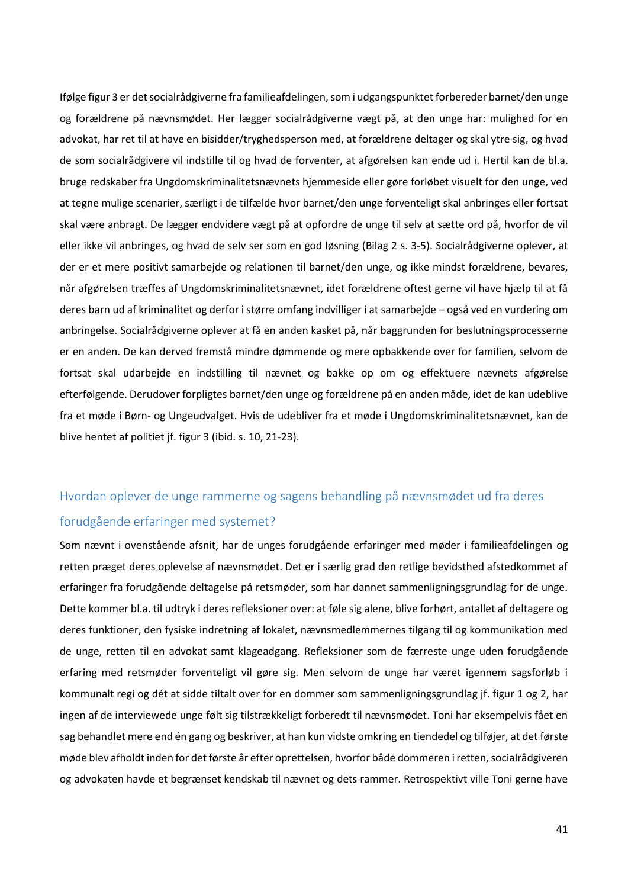Ifølge figur 3 er det socialrådgiverne fra familieafdelingen, som i udgangspunktet forbereder barnet/den unge og forældrene på nævnsmødet. Her lægger socialrådgiverne vægt på, at den unge har: mulighed for en advokat, har ret til at have en bisidder/tryghedsperson med, at forældrene deltager og skal ytre sig, og hvad de som socialrådgivere vil indstille til og hvad de forventer, at afgørelsen kan ende ud i. Hertil kan de bl.a. bruge redskaber fra Ungdomskriminalitetsnævnets hjemmeside eller gøre forløbet visuelt for den unge, ved at tegne mulige scenarier, særligt i de tilfælde hvor barnet/den unge forventeligt skal anbringes eller fortsat skal være anbragt. De lægger endvidere vægt på at opfordre de unge til selv at sætte ord på, hvorfor de vil eller ikke vil anbringes, og hvad de selv ser som en god løsning (Bilag 2 s. 3-5). Socialrådgiverne oplever, at der er et mere positivt samarbejde og relationen til barnet/den unge, og ikke mindst forældrene, bevares, når afgørelsen træffes af Ungdomskriminalitetsnævnet, idet forældrene oftest gerne vil have hjælp til at få deres barn ud af kriminalitet og derfor i større omfang indvilliger i at samarbejde – også ved en vurdering om anbringelse. Socialrådgiverne oplever at få en anden kasket på, når baggrunden for beslutningsprocesserne er en anden. De kan derved fremstå mindre dømmende og mere opbakkende over for familien, selvom de fortsat skal udarbejde en indstilling til nævnet og bakke op om og effektuere nævnets afgørelse efterfølgende. Derudover forpligtes barnet/den unge og forældrene på en anden måde, idet de kan udeblive fra et møde i Børn- og Ungeudvalget. Hvis de udebliver fra et møde i Ungdomskriminalitetsnævnet, kan de blive hentet af politiet jf. figur 3 (ibid. s. 10, 21-23).

# <span id="page-41-0"></span>Hvordan oplever de unge rammerne og sagens behandling på nævnsmødet ud fra deres forudgående erfaringer med systemet?

Som nævnt i ovenstående afsnit, har de unges forudgående erfaringer med møder i familieafdelingen og retten præget deres oplevelse af nævnsmødet. Det er i særlig grad den retlige bevidsthed afstedkommet af erfaringer fra forudgående deltagelse på retsmøder, som har dannet sammenligningsgrundlag for de unge. Dette kommer bl.a. til udtryk i deres refleksioner over: at føle sig alene, blive forhørt, antallet af deltagere og deres funktioner, den fysiske indretning af lokalet, nævnsmedlemmernes tilgang til og kommunikation med de unge, retten til en advokat samt klageadgang. Refleksioner som de færreste unge uden forudgående erfaring med retsmøder forventeligt vil gøre sig. Men selvom de unge har været igennem sagsforløb i kommunalt regi og dét at sidde tiltalt over for en dommer som sammenligningsgrundlag jf. figur 1 og 2, har ingen af de interviewede unge følt sig tilstrækkeligt forberedt til nævnsmødet. Toni har eksempelvis fået en sag behandlet mere end én gang og beskriver, at han kun vidste omkring en tiendedel og tilføjer, at det første møde blev afholdt inden for det første år efter oprettelsen, hvorfor både dommeren i retten, socialrådgiveren og advokaten havde et begrænset kendskab til nævnet og dets rammer. Retrospektivt ville Toni gerne have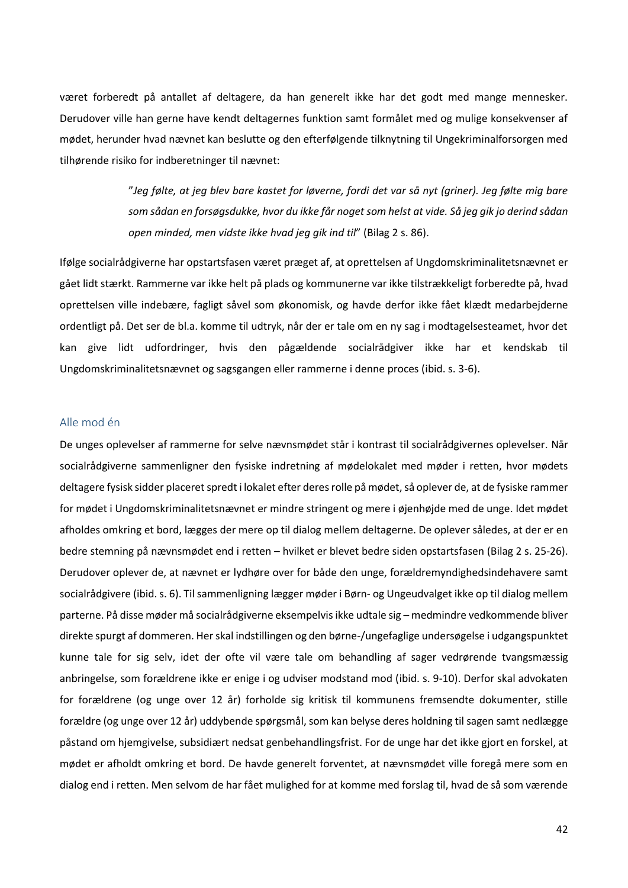været forberedt på antallet af deltagere, da han generelt ikke har det godt med mange mennesker. Derudover ville han gerne have kendt deltagernes funktion samt formålet med og mulige konsekvenser af mødet, herunder hvad nævnet kan beslutte og den efterfølgende tilknytning til Ungekriminalforsorgen med tilhørende risiko for indberetninger til nævnet:

> "*Jeg følte, at jeg blev bare kastet for løverne, fordi det var så nyt (griner). Jeg følte mig bare som sådan en forsøgsdukke, hvor du ikke får noget som helst at vide. Så jeg gik jo derind sådan open minded, men vidste ikke hvad jeg gik ind til*" (Bilag 2 s. 86).

Ifølge socialrådgiverne har opstartsfasen været præget af, at oprettelsen af Ungdomskriminalitetsnævnet er gået lidt stærkt. Rammerne var ikke helt på plads og kommunerne var ikke tilstrækkeligt forberedte på, hvad oprettelsen ville indebære, fagligt såvel som økonomisk, og havde derfor ikke fået klædt medarbejderne ordentligt på. Det ser de bl.a. komme til udtryk, når der er tale om en ny sag i modtagelsesteamet, hvor det kan give lidt udfordringer, hvis den pågældende socialrådgiver ikke har et kendskab til Ungdomskriminalitetsnævnet og sagsgangen eller rammerne i denne proces (ibid. s. 3-6).

## <span id="page-42-0"></span>Alle mod én

De unges oplevelser af rammerne for selve nævnsmødet står i kontrast til socialrådgivernes oplevelser. Når socialrådgiverne sammenligner den fysiske indretning af mødelokalet med møder i retten, hvor mødets deltagere fysisk sidder placeret spredt i lokalet efter deres rolle på mødet, så oplever de, at de fysiske rammer for mødet i Ungdomskriminalitetsnævnet er mindre stringent og mere i øjenhøjde med de unge. Idet mødet afholdes omkring et bord, lægges der mere op til dialog mellem deltagerne. De oplever således, at der er en bedre stemning på nævnsmødet end i retten – hvilket er blevet bedre siden opstartsfasen (Bilag 2 s. 25-26). Derudover oplever de, at nævnet er lydhøre over for både den unge, forældremyndighedsindehavere samt socialrådgivere (ibid.s. 6). Til sammenligning lægger møder i Børn- og Ungeudvalget ikke op til dialog mellem parterne. På disse møder må socialrådgiverne eksempelvis ikke udtale sig – medmindre vedkommende bliver direkte spurgt af dommeren. Her skal indstillingen og den børne-/ungefaglige undersøgelse i udgangspunktet kunne tale for sig selv, idet der ofte vil være tale om behandling af sager vedrørende tvangsmæssig anbringelse, som forældrene ikke er enige i og udviser modstand mod (ibid. s. 9-10). Derfor skal advokaten for forældrene (og unge over 12 år) forholde sig kritisk til kommunens fremsendte dokumenter, stille forældre (og unge over 12 år) uddybende spørgsmål, som kan belyse deres holdning til sagen samt nedlægge påstand om hjemgivelse, subsidiært nedsat genbehandlingsfrist. For de unge har det ikke gjort en forskel, at mødet er afholdt omkring et bord. De havde generelt forventet, at nævnsmødet ville foregå mere som en dialog end i retten. Men selvom de har fået mulighed for at komme med forslag til, hvad de så som værende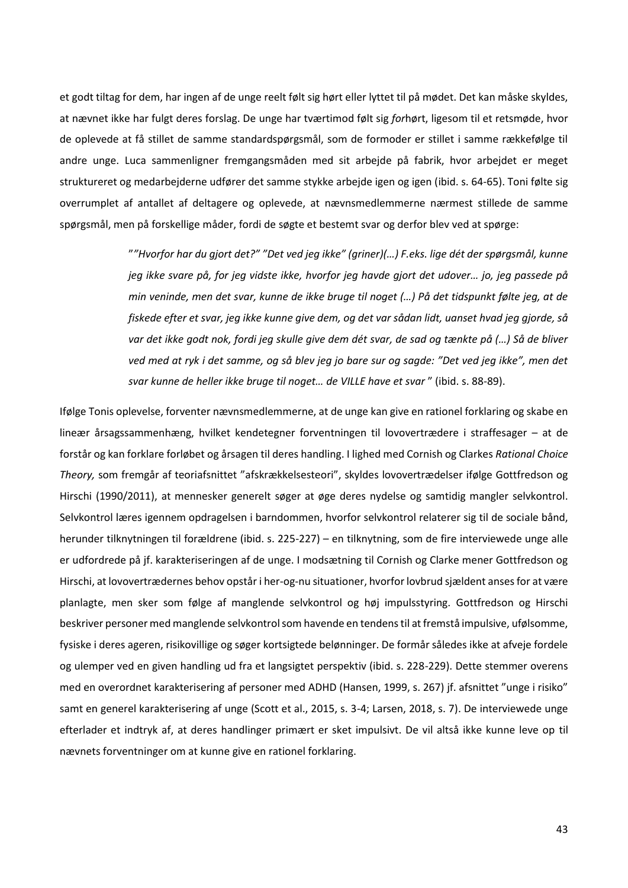et godt tiltag for dem, har ingen af de unge reelt følt sig hørt eller lyttet til på mødet. Det kan måske skyldes, at nævnet ikke har fulgt deres forslag. De unge har tværtimod følt sig *for*hørt, ligesom til et retsmøde, hvor de oplevede at få stillet de samme standardspørgsmål, som de formoder er stillet i samme rækkefølge til andre unge. Luca sammenligner fremgangsmåden med sit arbejde på fabrik, hvor arbejdet er meget struktureret og medarbejderne udfører det samme stykke arbejde igen og igen (ibid. s. 64-65). Toni følte sig overrumplet af antallet af deltagere og oplevede, at nævnsmedlemmerne nærmest stillede de samme spørgsmål, men på forskellige måder, fordi de søgte et bestemt svar og derfor blev ved at spørge:

> "*"Hvorfor har du gjort det?" "Det ved jeg ikke" (griner)(…) F.eks. lige dét der spørgsmål, kunne jeg ikke svare på, for jeg vidste ikke, hvorfor jeg havde gjort det udover… jo, jeg passede på min veninde, men det svar, kunne de ikke bruge til noget (…) På det tidspunkt følte jeg, at de fiskede efter et svar, jeg ikke kunne give dem, og det var sådan lidt, uanset hvad jeg gjorde, så var det ikke godt nok, fordi jeg skulle give dem dét svar, de sad og tænkte på (…) Så de bliver ved med at ryk i det samme, og så blev jeg jo bare sur og sagde: "Det ved jeg ikke", men det svar kunne de heller ikke bruge til noget… de VILLE have et svar* " (ibid. s. 88-89).

Ifølge Tonis oplevelse, forventer nævnsmedlemmerne, at de unge kan give en rationel forklaring og skabe en lineær årsagssammenhæng, hvilket kendetegner forventningen til lovovertrædere i straffesager – at de forstår og kan forklare forløbet og årsagen til deres handling. I lighed med Cornish og Clarkes *Rational Choice Theory,* som fremgår af teoriafsnittet "afskrækkelsesteori", skyldes lovovertrædelser ifølge Gottfredson og Hirschi (1990/2011), at mennesker generelt søger at øge deres nydelse og samtidig mangler selvkontrol. Selvkontrol læres igennem opdragelsen i barndommen, hvorfor selvkontrol relaterer sig til de sociale bånd, herunder tilknytningen til forældrene (ibid. s. 225-227) – en tilknytning, som de fire interviewede unge alle er udfordrede på jf. karakteriseringen af de unge. I modsætning til Cornish og Clarke mener Gottfredson og Hirschi, at lovovertrædernes behov opstår i her-og-nu situationer, hvorfor lovbrud sjældent anses for at være planlagte, men sker som følge af manglende selvkontrol og høj impulsstyring. Gottfredson og Hirschi beskriver personer med manglende selvkontrol som havende en tendens til at fremstå impulsive, ufølsomme, fysiske i deres ageren, risikovillige og søger kortsigtede belønninger. De formår således ikke at afveje fordele og ulemper ved en given handling ud fra et langsigtet perspektiv (ibid. s. 228-229). Dette stemmer overens med en overordnet karakterisering af personer med ADHD (Hansen, 1999, s. 267) jf. afsnittet "unge i risiko" samt en generel karakterisering af unge (Scott et al., 2015, s. 3-4; Larsen, 2018, s. 7). De interviewede unge efterlader et indtryk af, at deres handlinger primært er sket impulsivt. De vil altså ikke kunne leve op til nævnets forventninger om at kunne give en rationel forklaring.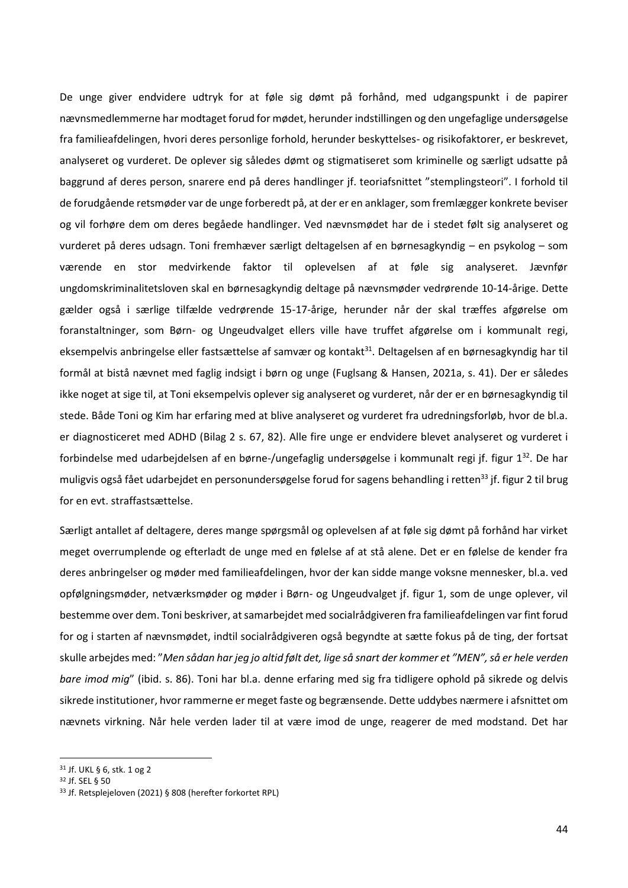De unge giver endvidere udtryk for at føle sig dømt på forhånd, med udgangspunkt i de papirer nævnsmedlemmerne har modtaget forud for mødet, herunder indstillingen og den ungefaglige undersøgelse fra familieafdelingen, hvori deres personlige forhold, herunder beskyttelses- og risikofaktorer, er beskrevet, analyseret og vurderet. De oplever sig således dømt og stigmatiseret som kriminelle og særligt udsatte på baggrund af deres person, snarere end på deres handlinger jf. teoriafsnittet "stemplingsteori". I forhold til de forudgående retsmøder var de unge forberedt på, at der er en anklager, som fremlægger konkrete beviser og vil forhøre dem om deres begåede handlinger. Ved nævnsmødet har de i stedet følt sig analyseret og vurderet på deres udsagn. Toni fremhæver særligt deltagelsen af en børnesagkyndig – en psykolog – som værende en stor medvirkende faktor til oplevelsen af at føle sig analyseret. Jævnfør ungdomskriminalitetsloven skal en børnesagkyndig deltage på nævnsmøder vedrørende 10-14-årige. Dette gælder også i særlige tilfælde vedrørende 15-17-årige, herunder når der skal træffes afgørelse om foranstaltninger, som Børn- og Ungeudvalget ellers ville have truffet afgørelse om i kommunalt regi, eksempelvis anbringelse eller fastsættelse af samvær og kontakt<sup>31</sup>. Deltagelsen af en børnesagkyndig har til formål at bistå nævnet med faglig indsigt i børn og unge (Fuglsang & Hansen, 2021a, s. 41). Der er således ikke noget at sige til, at Toni eksempelvis oplever sig analyseret og vurderet, når der er en børnesagkyndig til stede. Både Toni og Kim har erfaring med at blive analyseret og vurderet fra udredningsforløb, hvor de bl.a. er diagnosticeret med ADHD (Bilag 2 s. 67, 82). Alle fire unge er endvidere blevet analyseret og vurderet i forbindelse med udarbejdelsen af en børne-/ungefaglig undersøgelse i kommunalt regi jf. figur 1<sup>32</sup>. De har muligvis også fået udarbejdet en personundersøgelse forud for sagens behandling i retten<sup>33</sup> jf. figur 2 til brug for en evt. straffastsættelse.

Særligt antallet af deltagere, deres mange spørgsmål og oplevelsen af at føle sig dømt på forhånd har virket meget overrumplende og efterladt de unge med en følelse af at stå alene. Det er en følelse de kender fra deres anbringelser og møder med familieafdelingen, hvor der kan sidde mange voksne mennesker, bl.a. ved opfølgningsmøder, netværksmøder og møder i Børn- og Ungeudvalget jf. figur 1, som de unge oplever, vil bestemme over dem. Toni beskriver, at samarbejdet med socialrådgiveren fra familieafdelingen var fint forud for og i starten af nævnsmødet, indtil socialrådgiveren også begyndte at sætte fokus på de ting, der fortsat skulle arbejdes med: "*Men sådan har jeg jo altid følt det, lige så snart der kommer et "MEN", så er hele verden bare imod mig*" (ibid. s. 86). Toni har bl.a. denne erfaring med sig fra tidligere ophold på sikrede og delvis sikrede institutioner, hvor rammerne er meget faste og begrænsende. Dette uddybes nærmere i afsnittet om nævnets virkning. Når hele verden lader til at være imod de unge, reagerer de med modstand. Det har

<sup>31</sup> Jf. UKL § 6, stk. 1 og 2

<sup>32</sup> Jf. SEL § 50

<sup>33</sup> Jf. Retsplejeloven (2021) § 808 (herefter forkortet RPL)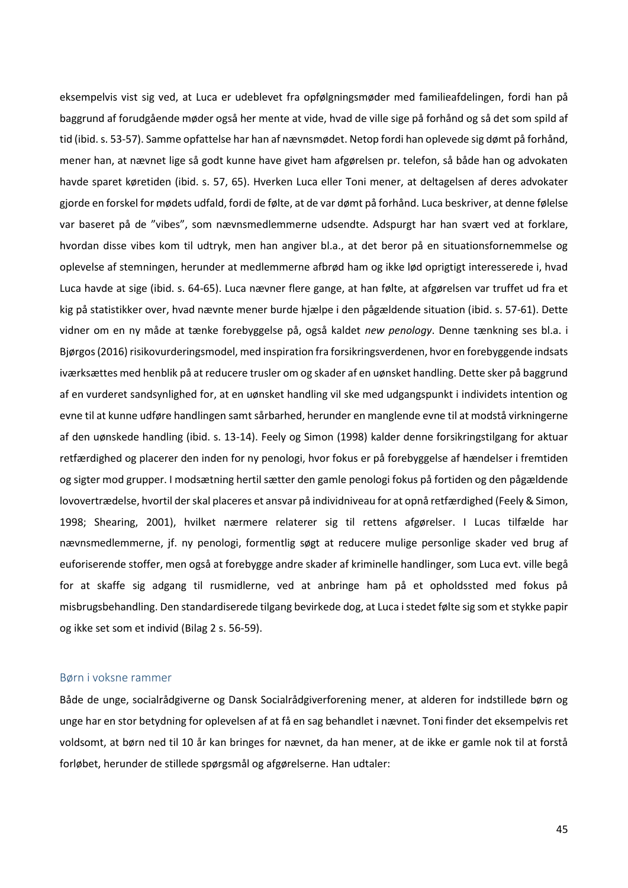eksempelvis vist sig ved, at Luca er udeblevet fra opfølgningsmøder med familieafdelingen, fordi han på baggrund af forudgående møder også her mente at vide, hvad de ville sige på forhånd og så det som spild af tid (ibid.s. 53-57). Samme opfattelse har han af nævnsmødet. Netop fordi han oplevede sig dømt på forhånd, mener han, at nævnet lige så godt kunne have givet ham afgørelsen pr. telefon, så både han og advokaten havde sparet køretiden (ibid. s. 57, 65). Hverken Luca eller Toni mener, at deltagelsen af deres advokater gjorde en forskel for mødets udfald, fordi de følte, at de var dømt på forhånd. Luca beskriver, at denne følelse var baseret på de "vibes", som nævnsmedlemmerne udsendte. Adspurgt har han svært ved at forklare, hvordan disse vibes kom til udtryk, men han angiver bl.a., at det beror på en situationsfornemmelse og oplevelse af stemningen, herunder at medlemmerne afbrød ham og ikke lød oprigtigt interesserede i, hvad Luca havde at sige (ibid. s. 64-65). Luca nævner flere gange, at han følte, at afgørelsen var truffet ud fra et kig på statistikker over, hvad nævnte mener burde hjælpe i den pågældende situation (ibid. s. 57-61). Dette vidner om en ny måde at tænke forebyggelse på, også kaldet *new penology*. Denne tænkning ses bl.a. i Bjørgos (2016) risikovurderingsmodel, med inspiration fra forsikringsverdenen, hvor en forebyggende indsats iværksættes med henblik på at reducere trusler om og skader af en uønsket handling. Dette sker på baggrund af en vurderet sandsynlighed for, at en uønsket handling vil ske med udgangspunkt i individets intention og evne til at kunne udføre handlingen samt sårbarhed, herunder en manglende evne til at modstå virkningerne af den uønskede handling (ibid. s. 13-14). Feely og Simon (1998) kalder denne forsikringstilgang for aktuar retfærdighed og placerer den inden for ny penologi, hvor fokus er på forebyggelse af hændelser i fremtiden og sigter mod grupper. I modsætning hertil sætter den gamle penologi fokus på fortiden og den pågældende lovovertrædelse, hvortil der skal placeres et ansvar på individniveau for at opnå retfærdighed (Feely & Simon, 1998; Shearing, 2001), hvilket nærmere relaterer sig til rettens afgørelser. I Lucas tilfælde har nævnsmedlemmerne, jf. ny penologi, formentlig søgt at reducere mulige personlige skader ved brug af euforiserende stoffer, men også at forebygge andre skader af kriminelle handlinger, som Luca evt. ville begå for at skaffe sig adgang til rusmidlerne, ved at anbringe ham på et opholdssted med fokus på misbrugsbehandling. Den standardiserede tilgang bevirkede dog, at Luca i stedet følte sig som et stykke papir og ikke set som et individ (Bilag 2 s. 56-59).

#### <span id="page-45-0"></span>Børn i voksne rammer

Både de unge, socialrådgiverne og Dansk Socialrådgiverforening mener, at alderen for indstillede børn og unge har en stor betydning for oplevelsen af at få en sag behandlet i nævnet. Toni finder det eksempelvis ret voldsomt, at børn ned til 10 år kan bringes for nævnet, da han mener, at de ikke er gamle nok til at forstå forløbet, herunder de stillede spørgsmål og afgørelserne. Han udtaler: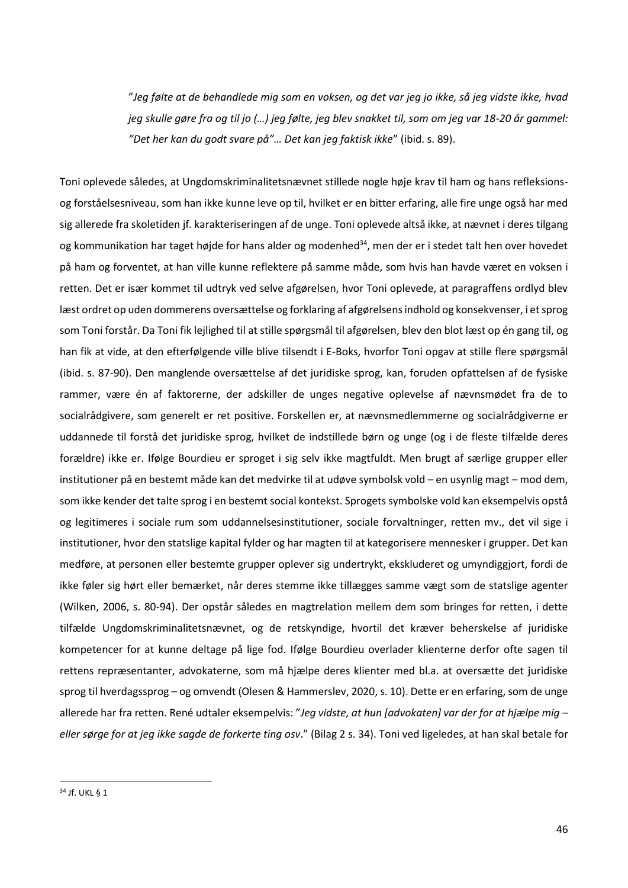"*Jeg følte at de behandlede mig som en voksen, og det var jeg jo ikke, så jeg vidste ikke, hvad jeg skulle gøre fra og til jo (…) jeg følte, jeg blev snakket til, som om jeg var 18-20 år gammel: "Det her kan du godt svare på"… Det kan jeg faktisk ikke*" (ibid. s. 89).

Toni oplevede således, at Ungdomskriminalitetsnævnet stillede nogle høje krav til ham og hans refleksionsog forståelsesniveau, som han ikke kunne leve op til, hvilket er en bitter erfaring, alle fire unge også har med sig allerede fra skoletiden jf. karakteriseringen af de unge. Toni oplevede altså ikke, at nævnet i deres tilgang og kommunikation har taget højde for hans alder og modenhed<sup>34</sup>, men der er i stedet talt hen over hovedet på ham og forventet, at han ville kunne reflektere på samme måde, som hvis han havde været en voksen i retten. Det er især kommet til udtryk ved selve afgørelsen, hvor Toni oplevede, at paragraffens ordlyd blev læst ordret op uden dommerens oversættelse og forklaring af afgørelsens indhold og konsekvenser, i et sprog som Toni forstår. Da Toni fik lejlighed til at stille spørgsmål til afgørelsen, blev den blot læst op én gang til, og han fik at vide, at den efterfølgende ville blive tilsendt i E-Boks, hvorfor Toni opgav at stille flere spørgsmål (ibid. s. 87-90). Den manglende oversættelse af det juridiske sprog, kan, foruden opfattelsen af de fysiske rammer, være én af faktorerne, der adskiller de unges negative oplevelse af nævnsmødet fra de to socialrådgivere, som generelt er ret positive. Forskellen er, at nævnsmedlemmerne og socialrådgiverne er uddannede til forstå det juridiske sprog, hvilket de indstillede børn og unge (og i de fleste tilfælde deres forældre) ikke er. Ifølge Bourdieu er sproget i sig selv ikke magtfuldt. Men brugt af særlige grupper eller institutioner på en bestemt måde kan det medvirke til at udøve symbolsk vold – en usynlig magt – mod dem, som ikke kender det talte sprog i en bestemt social kontekst. Sprogets symbolske vold kan eksempelvis opstå og legitimeres i sociale rum som uddannelsesinstitutioner, sociale forvaltninger, retten mv., det vil sige i institutioner, hvor den statslige kapital fylder og har magten til at kategorisere mennesker i grupper. Det kan medføre, at personen eller bestemte grupper oplever sig undertrykt, ekskluderet og umyndiggjort, fordi de ikke føler sig hørt eller bemærket, når deres stemme ikke tillægges samme vægt som de statslige agenter (Wilken, 2006, s. 80-94). Der opstår således en magtrelation mellem dem som bringes for retten, i dette tilfælde Ungdomskriminalitetsnævnet, og de retskyndige, hvortil det kræver beherskelse af juridiske kompetencer for at kunne deltage på lige fod. Ifølge Bourdieu overlader klienterne derfor ofte sagen til rettens repræsentanter, advokaterne, som må hjælpe deres klienter med bl.a. at oversætte det juridiske sprog til hverdagssprog – og omvendt (Olesen & Hammerslev, 2020, s. 10). Dette er en erfaring, som de unge allerede har fra retten. René udtaler eksempelvis: "*Jeg vidste, at hun [advokaten] var der for at hjælpe mig – eller sørge for at jeg ikke sagde de forkerte ting osv*." (Bilag 2 s. 34). Toni ved ligeledes, at han skal betale for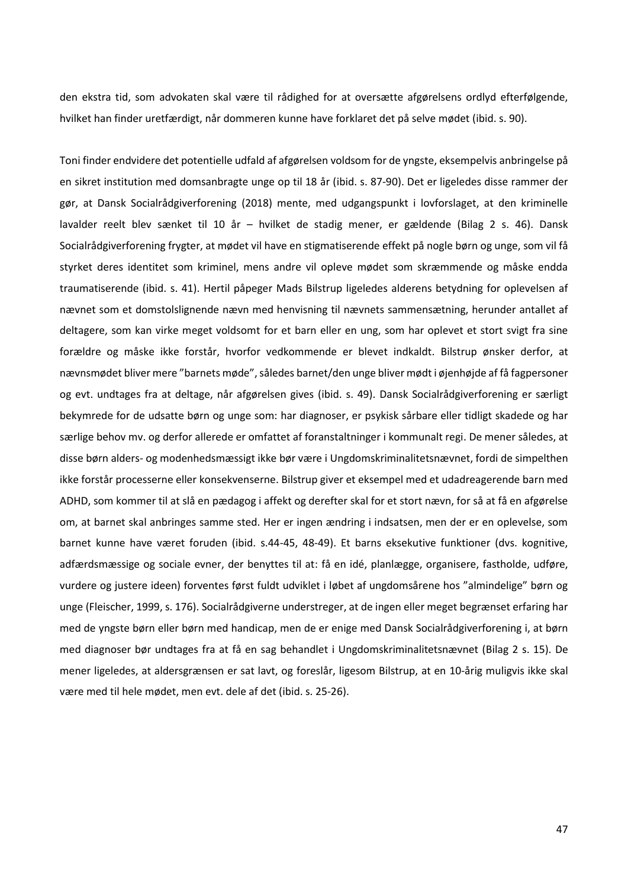den ekstra tid, som advokaten skal være til rådighed for at oversætte afgørelsens ordlyd efterfølgende, hvilket han finder uretfærdigt, når dommeren kunne have forklaret det på selve mødet (ibid. s. 90).

Toni finder endvidere det potentielle udfald af afgørelsen voldsom for de yngste, eksempelvis anbringelse på en sikret institution med domsanbragte unge op til 18 år (ibid. s. 87-90). Det er ligeledes disse rammer der gør, at Dansk Socialrådgiverforening (2018) mente, med udgangspunkt i lovforslaget, at den kriminelle lavalder reelt blev sænket til 10 år – hvilket de stadig mener, er gældende (Bilag 2 s. 46). Dansk Socialrådgiverforening frygter, at mødet vil have en stigmatiserende effekt på nogle børn og unge, som vil få styrket deres identitet som kriminel, mens andre vil opleve mødet som skræmmende og måske endda traumatiserende (ibid. s. 41). Hertil påpeger Mads Bilstrup ligeledes alderens betydning for oplevelsen af nævnet som et domstolslignende nævn med henvisning til nævnets sammensætning, herunder antallet af deltagere, som kan virke meget voldsomt for et barn eller en ung, som har oplevet et stort svigt fra sine forældre og måske ikke forstår, hvorfor vedkommende er blevet indkaldt. Bilstrup ønsker derfor, at nævnsmødet bliver mere "barnets møde", således barnet/den unge bliver mødt i øjenhøjde af få fagpersoner og evt. undtages fra at deltage, når afgørelsen gives (ibid. s. 49). Dansk Socialrådgiverforening er særligt bekymrede for de udsatte børn og unge som: har diagnoser, er psykisk sårbare eller tidligt skadede og har særlige behov mv. og derfor allerede er omfattet af foranstaltninger i kommunalt regi. De mener således, at disse børn alders- og modenhedsmæssigt ikke bør være i Ungdomskriminalitetsnævnet, fordi de simpelthen ikke forstår processerne eller konsekvenserne. Bilstrup giver et eksempel med et udadreagerende barn med ADHD, som kommer til at slå en pædagog i affekt og derefter skal for et stort nævn, for så at få en afgørelse om, at barnet skal anbringes samme sted. Her er ingen ændring i indsatsen, men der er en oplevelse, som barnet kunne have været foruden (ibid. s.44-45, 48-49). Et barns eksekutive funktioner (dvs. kognitive, adfærdsmæssige og sociale evner, der benyttes til at: få en idé, planlægge, organisere, fastholde, udføre, vurdere og justere ideen) forventes først fuldt udviklet i løbet af ungdomsårene hos "almindelige" børn og unge (Fleischer, 1999, s. 176). Socialrådgiverne understreger, at de ingen eller meget begrænset erfaring har med de yngste børn eller børn med handicap, men de er enige med Dansk Socialrådgiverforening i, at børn med diagnoser bør undtages fra at få en sag behandlet i Ungdomskriminalitetsnævnet (Bilag 2 s. 15). De mener ligeledes, at aldersgrænsen er sat lavt, og foreslår, ligesom Bilstrup, at en 10-årig muligvis ikke skal være med til hele mødet, men evt. dele af det (ibid. s. 25-26).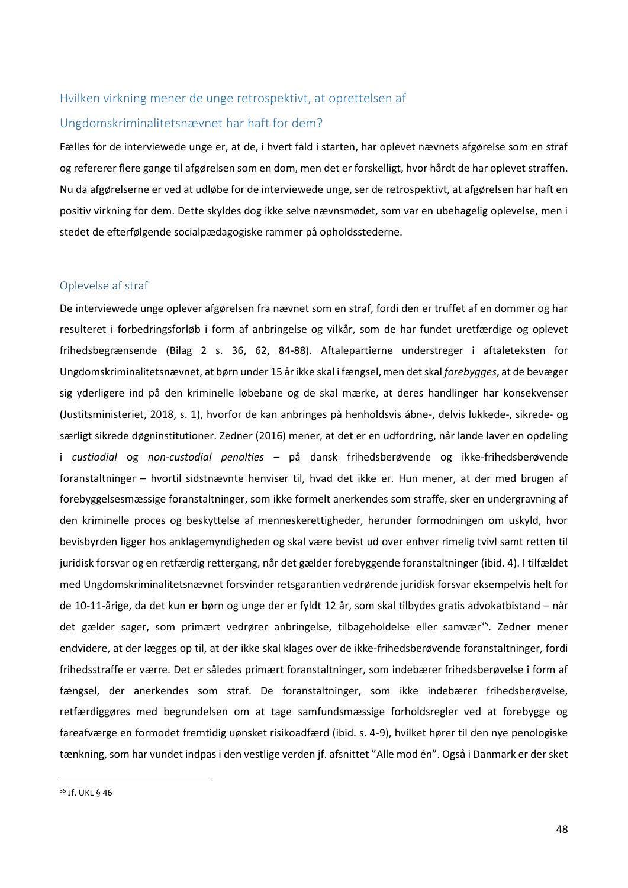# <span id="page-48-0"></span>Hvilken virkning mener de unge retrospektivt, at oprettelsen af

## Ungdomskriminalitetsnævnet har haft for dem?

Fælles for de interviewede unge er, at de, i hvert fald i starten, har oplevet nævnets afgørelse som en straf og refererer flere gange til afgørelsen som en dom, men det er forskelligt, hvor hårdt de har oplevet straffen. Nu da afgørelserne er ved at udløbe for de interviewede unge, ser de retrospektivt, at afgørelsen har haft en positiv virkning for dem. Dette skyldes dog ikke selve nævnsmødet, som var en ubehagelig oplevelse, men i stedet de efterfølgende socialpædagogiske rammer på opholdsstederne.

### <span id="page-48-1"></span>Oplevelse af straf

De interviewede unge oplever afgørelsen fra nævnet som en straf, fordi den er truffet af en dommer og har resulteret i forbedringsforløb i form af anbringelse og vilkår, som de har fundet uretfærdige og oplevet frihedsbegrænsende (Bilag 2 s. 36, 62, 84-88). Aftalepartierne understreger i aftaleteksten for Ungdomskriminalitetsnævnet, at børn under 15 år ikke skal i fængsel, men det skal *forebygges*, at de bevæger sig yderligere ind på den kriminelle løbebane og de skal mærke, at deres handlinger har konsekvenser (Justitsministeriet, 2018, s. 1), hvorfor de kan anbringes på henholdsvis åbne-, delvis lukkede-, sikrede- og særligt sikrede døgninstitutioner. Zedner (2016) mener, at det er en udfordring, når lande laver en opdeling i *custiodial* og *non-custodial penalties –* på dansk frihedsberøvende og ikke-frihedsberøvende foranstaltninger – hvortil sidstnævnte henviser til, hvad det ikke er. Hun mener, at der med brugen af forebyggelsesmæssige foranstaltninger, som ikke formelt anerkendes som straffe, sker en undergravning af den kriminelle proces og beskyttelse af menneskerettigheder, herunder formodningen om uskyld, hvor bevisbyrden ligger hos anklagemyndigheden og skal være bevist ud over enhver rimelig tvivl samt retten til juridisk forsvar og en retfærdig rettergang, når det gælder forebyggende foranstaltninger (ibid. 4). I tilfældet med Ungdomskriminalitetsnævnet forsvinder retsgarantien vedrørende juridisk forsvar eksempelvis helt for de 10-11-årige, da det kun er børn og unge der er fyldt 12 år, som skal tilbydes gratis advokatbistand – når det gælder sager, som primært vedrører anbringelse, tilbageholdelse eller samvær<sup>35</sup>. Zedner mener endvidere, at der lægges op til, at der ikke skal klages over de ikke-frihedsberøvende foranstaltninger, fordi frihedsstraffe er værre. Det er således primært foranstaltninger, som indebærer frihedsberøvelse i form af fængsel, der anerkendes som straf. De foranstaltninger, som ikke indebærer frihedsberøvelse, retfærdiggøres med begrundelsen om at tage samfundsmæssige forholdsregler ved at forebygge og fareafværge en formodet fremtidig uønsket risikoadfærd (ibid. s. 4-9), hvilket hører til den nye penologiske tænkning, som har vundet indpas i den vestlige verden jf. afsnittet "Alle mod én". Også i Danmark er der sket

<sup>35</sup> Jf. UKL § 46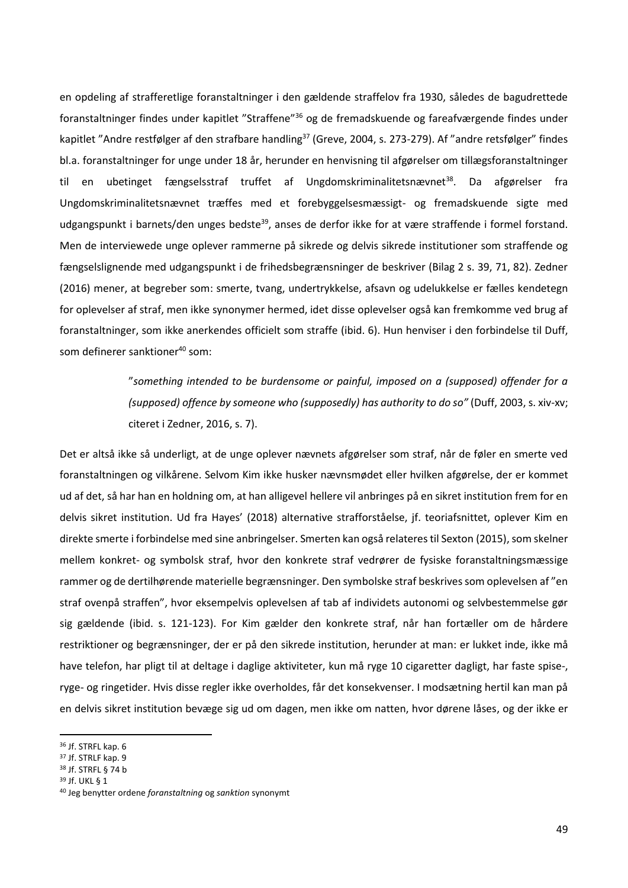en opdeling af strafferetlige foranstaltninger i den gældende straffelov fra 1930, således de bagudrettede foranstaltninger findes under kapitlet "Straffene"<sup>36</sup> og de fremadskuende og fareafværgende findes under kapitlet "Andre restfølger af den strafbare handling<sup>37</sup> (Greve, 2004, s. 273-279). Af "andre retsfølger" findes bl.a. foranstaltninger for unge under 18 år, herunder en henvisning til afgørelser om tillægsforanstaltninger til en ubetinget fængselsstraf truffet af Ungdomskriminalitetsnævnet<sup>38</sup>. Da afgørelser fra Ungdomskriminalitetsnævnet træffes med et forebyggelsesmæssigt- og fremadskuende sigte med udgangspunkt i barnets/den unges bedste<sup>39</sup>, anses de derfor ikke for at være straffende i formel forstand. Men de interviewede unge oplever rammerne på sikrede og delvis sikrede institutioner som straffende og fængselslignende med udgangspunkt i de frihedsbegrænsninger de beskriver (Bilag 2 s. 39, 71, 82). Zedner (2016) mener, at begreber som: smerte, tvang, undertrykkelse, afsavn og udelukkelse er fælles kendetegn for oplevelser af straf, men ikke synonymer hermed, idet disse oplevelser også kan fremkomme ved brug af foranstaltninger, som ikke anerkendes officielt som straffe (ibid. 6). Hun henviser i den forbindelse til Duff, som definerer sanktioner<sup>40</sup> som:

> "*something intended to be burdensome or painful, imposed on a (supposed) offender for a (supposed) offence by someone who (supposedly) has authority to do so"* (Duff, 2003, s. xiv-xv; citeret i Zedner, 2016, s. 7).

Det er altså ikke så underligt, at de unge oplever nævnets afgørelser som straf, når de føler en smerte ved foranstaltningen og vilkårene. Selvom Kim ikke husker nævnsmødet eller hvilken afgørelse, der er kommet ud af det, så har han en holdning om, at han alligevel hellere vil anbringes på en sikret institution frem for en delvis sikret institution. Ud fra Hayes' (2018) alternative strafforståelse, jf. teoriafsnittet, oplever Kim en direkte smerte i forbindelse med sine anbringelser. Smerten kan også relateres til Sexton (2015), som skelner mellem konkret- og symbolsk straf, hvor den konkrete straf vedrører de fysiske foranstaltningsmæssige rammer og de dertilhørende materielle begrænsninger. Den symbolske straf beskrives som oplevelsen af "en straf ovenpå straffen", hvor eksempelvis oplevelsen af tab af individets autonomi og selvbestemmelse gør sig gældende (ibid. s. 121-123). For Kim gælder den konkrete straf, når han fortæller om de hårdere restriktioner og begrænsninger, der er på den sikrede institution, herunder at man: er lukket inde, ikke må have telefon, har pligt til at deltage i daglige aktiviteter, kun må ryge 10 cigaretter dagligt, har faste spise-, ryge- og ringetider. Hvis disse regler ikke overholdes, får det konsekvenser. I modsætning hertil kan man på en delvis sikret institution bevæge sig ud om dagen, men ikke om natten, hvor dørene låses, og der ikke er

<sup>39</sup> Jf. UKL § 1

<sup>36</sup> Jf. STRFL kap. 6

<sup>37</sup> Jf. STRLF kap. 9

<sup>38</sup> Jf. STRFL § 74 b

<sup>40</sup> Jeg benytter ordene *foranstaltning* og *sanktion* synonymt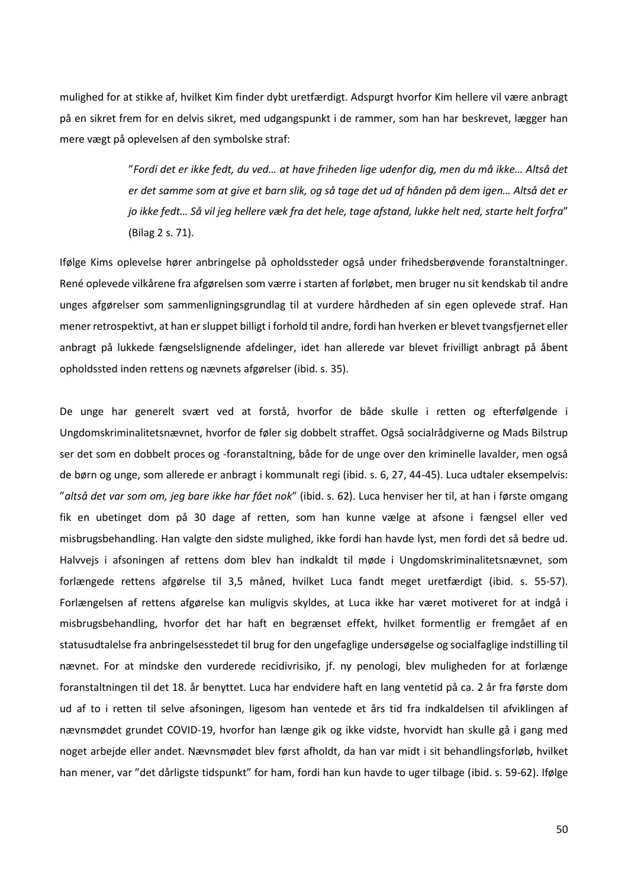mulighed for at stikke af, hvilket Kim finder dybt uretfærdigt. Adspurgt hvorfor Kim hellere vil være anbragt på en sikret frem for en delvis sikret, med udgangspunkt i de rammer, som han har beskrevet, lægger han mere vægt på oplevelsen af den symbolske straf:

> "*Fordi det er ikke fedt, du ved… at have friheden lige udenfor dig, men du må ikke… Altså det er det samme som at give et barn slik, og så tage det ud af hånden på dem igen… Altså det er jo ikke fedt… Så vil jeg hellere væk fra det hele, tage afstand, lukke helt ned, starte helt forfra*" (Bilag 2 s. 71).

Ifølge Kims oplevelse hører anbringelse på opholdssteder også under frihedsberøvende foranstaltninger. René oplevede vilkårene fra afgørelsen som værre i starten af forløbet, men bruger nu sit kendskab til andre unges afgørelser som sammenligningsgrundlag til at vurdere hårdheden af sin egen oplevede straf. Han mener retrospektivt, at han er sluppet billigt i forhold til andre, fordi han hverken er blevet tvangsfjernet eller anbragt på lukkede fængselslignende afdelinger, idet han allerede var blevet frivilligt anbragt på åbent opholdssted inden rettens og nævnets afgørelser (ibid. s. 35).

De unge har generelt svært ved at forstå, hvorfor de både skulle i retten og efterfølgende i Ungdomskriminalitetsnævnet, hvorfor de føler sig dobbelt straffet. Også socialrådgiverne og Mads Bilstrup ser det som en dobbelt proces og -foranstaltning, både for de unge over den kriminelle lavalder, men også de børn og unge, som allerede er anbragt i kommunalt regi (ibid. s. 6, 27, 44-45). Luca udtaler eksempelvis: "*altså det var som om, jeg bare ikke har fået nok*" (ibid. s. 62). Luca henviser her til, at han i første omgang fik en ubetinget dom på 30 dage af retten, som han kunne vælge at afsone i fængsel eller ved misbrugsbehandling. Han valgte den sidste mulighed, ikke fordi han havde lyst, men fordi det så bedre ud. Halvvejs i afsoningen af rettens dom blev han indkaldt til møde i Ungdomskriminalitetsnævnet, som forlængede rettens afgørelse til 3,5 måned, hvilket Luca fandt meget uretfærdigt (ibid. s. 55-57). Forlængelsen af rettens afgørelse kan muligvis skyldes, at Luca ikke har været motiveret for at indgå i misbrugsbehandling, hvorfor det har haft en begrænset effekt, hvilket formentlig er fremgået af en statusudtalelse fra anbringelsesstedet til brug for den ungefaglige undersøgelse og socialfaglige indstilling til nævnet. For at mindske den vurderede recidivrisiko, jf. ny penologi, blev muligheden for at forlænge foranstaltningen til det 18. år benyttet. Luca har endvidere haft en lang ventetid på ca. 2 år fra første dom ud af to i retten til selve afsoningen, ligesom han ventede et års tid fra indkaldelsen til afviklingen af nævnsmødet grundet COVID-19, hvorfor han længe gik og ikke vidste, hvorvidt han skulle gå i gang med noget arbejde eller andet. Nævnsmødet blev først afholdt, da han var midt i sit behandlingsforløb, hvilket han mener, var "det dårligste tidspunkt" for ham, fordi han kun havde to uger tilbage (ibid. s. 59-62). Ifølge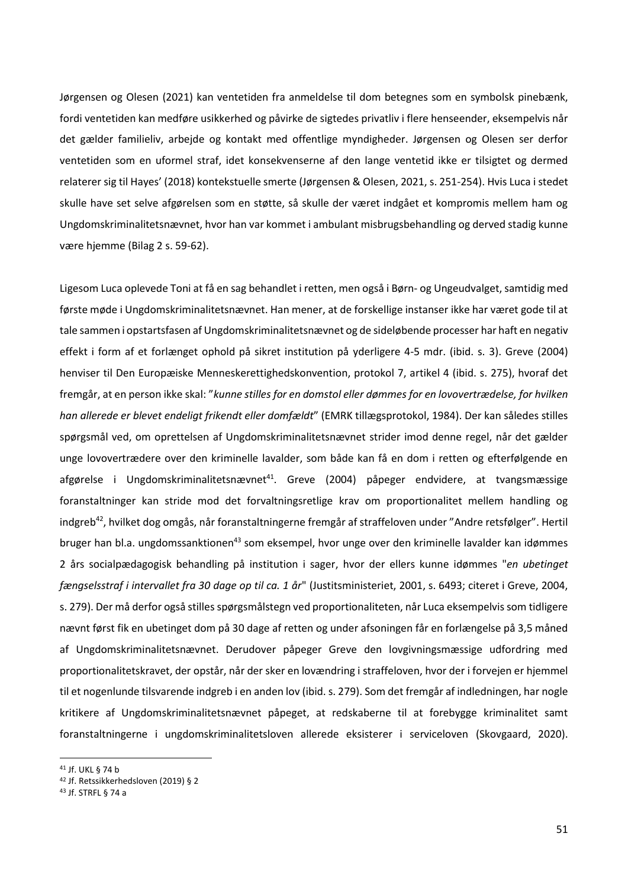Jørgensen og Olesen (2021) kan ventetiden fra anmeldelse til dom betegnes som en symbolsk pinebænk, fordi ventetiden kan medføre usikkerhed og påvirke de sigtedes privatliv i flere henseender, eksempelvis når det gælder familieliv, arbejde og kontakt med offentlige myndigheder. Jørgensen og Olesen ser derfor ventetiden som en uformel straf, idet konsekvenserne af den lange ventetid ikke er tilsigtet og dermed relaterer sig til Hayes' (2018) kontekstuelle smerte (Jørgensen & Olesen, 2021, s. 251-254). Hvis Luca i stedet skulle have set selve afgørelsen som en støtte, så skulle der været indgået et kompromis mellem ham og Ungdomskriminalitetsnævnet, hvor han var kommet i ambulant misbrugsbehandling og derved stadig kunne være hjemme (Bilag 2 s. 59-62).

Ligesom Luca oplevede Toni at få en sag behandlet i retten, men også i Børn- og Ungeudvalget, samtidig med første møde i Ungdomskriminalitetsnævnet. Han mener, at de forskellige instanser ikke har været gode til at tale sammen i opstartsfasen af Ungdomskriminalitetsnævnet og de sideløbende processer har haft en negativ effekt i form af et forlænget ophold på sikret institution på yderligere 4-5 mdr. (ibid. s. 3). Greve (2004) henviser til Den Europæiske Menneskerettighedskonvention, protokol 7, artikel 4 (ibid. s. 275), hvoraf det fremgår, at en person ikke skal: "*kunne stilles for en domstol eller dømmes for en lovovertrædelse, for hvilken han allerede er blevet endeligt frikendt eller domfældt*" (EMRK tillægsprotokol, 1984). Der kan således stilles spørgsmål ved, om oprettelsen af Ungdomskriminalitetsnævnet strider imod denne regel, når det gælder unge lovovertrædere over den kriminelle lavalder, som både kan få en dom i retten og efterfølgende en afgørelse i Ungdomskriminalitetsnævnet<sup>41</sup>. Greve (2004) påpeger endvidere, at tvangsmæssige foranstaltninger kan stride mod det forvaltningsretlige krav om proportionalitet mellem handling og indgreb<sup>42</sup>, hvilket dog omgås, når foranstaltningerne fremgår af straffeloven under "Andre retsfølger". Hertil bruger han bl.a. ungdomssanktionen<sup>43</sup> som eksempel, hvor unge over den kriminelle lavalder kan idømmes 2 års socialpædagogisk behandling på institution i sager, hvor der ellers kunne idømmes "*en ubetinget fængselsstraf i intervallet fra 30 dage op til ca. 1 år*" (Justitsministeriet, 2001, s. 6493; citeret i Greve, 2004, s. 279). Der må derfor også stilles spørgsmålstegn ved proportionaliteten, når Luca eksempelvis som tidligere nævnt først fik en ubetinget dom på 30 dage af retten og under afsoningen får en forlængelse på 3,5 måned af Ungdomskriminalitetsnævnet. Derudover påpeger Greve den lovgivningsmæssige udfordring med proportionalitetskravet, der opstår, når der sker en lovændring i straffeloven, hvor der i forvejen er hjemmel til et nogenlunde tilsvarende indgreb i en anden lov (ibid. s. 279). Som det fremgår af indledningen, har nogle kritikere af Ungdomskriminalitetsnævnet påpeget, at redskaberne til at forebygge kriminalitet samt foranstaltningerne i ungdomskriminalitetsloven allerede eksisterer i serviceloven (Skovgaard, 2020).

<sup>41</sup> Jf. UKL § 74 b

<sup>42</sup> Jf. Retssikkerhedsloven (2019) § 2

<sup>43</sup> Jf. STRFL § 74 a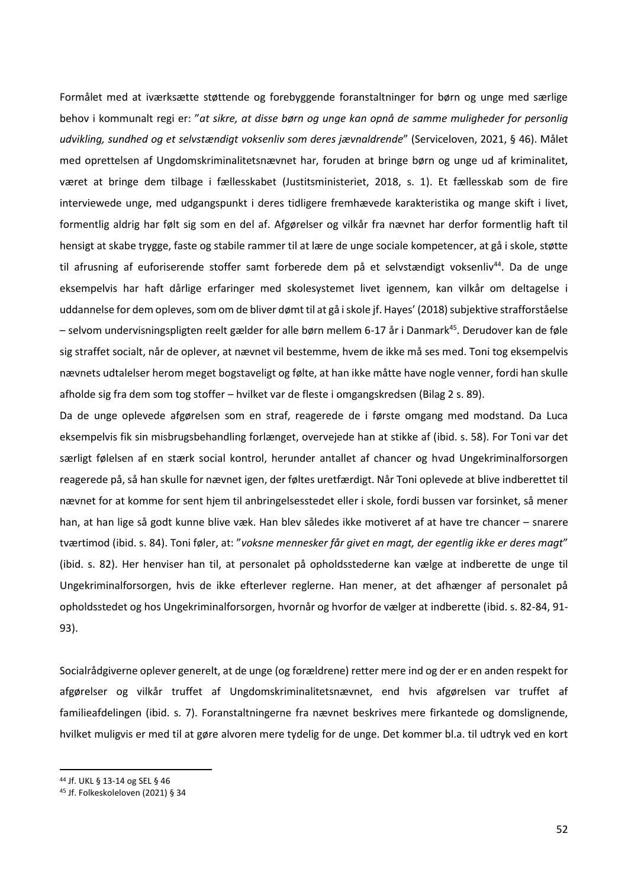Formålet med at iværksætte støttende og forebyggende foranstaltninger for børn og unge med særlige behov i kommunalt regi er: "*at sikre, at disse børn og unge kan opnå de samme muligheder for personlig udvikling, sundhed og et selvstændigt voksenliv som deres jævnaldrende*" (Serviceloven, 2021, § 46). Målet med oprettelsen af Ungdomskriminalitetsnævnet har, foruden at bringe børn og unge ud af kriminalitet, været at bringe dem tilbage i fællesskabet (Justitsministeriet, 2018, s. 1). Et fællesskab som de fire interviewede unge, med udgangspunkt i deres tidligere fremhævede karakteristika og mange skift i livet, formentlig aldrig har følt sig som en del af. Afgørelser og vilkår fra nævnet har derfor formentlig haft til hensigt at skabe trygge, faste og stabile rammer til at lære de unge sociale kompetencer, at gå i skole, støtte til afrusning af euforiserende stoffer samt forberede dem på et selvstændigt voksenliv<sup>44</sup>. Da de unge eksempelvis har haft dårlige erfaringer med skolesystemet livet igennem, kan vilkår om deltagelse i uddannelse for dem opleves, som om de bliver dømt til at gå i skole jf. Hayes' (2018) subjektive strafforståelse – selvom undervisningspligten reelt gælder for alle børn mellem 6-17 år i Danmark<sup>45</sup>. Derudover kan de føle sig straffet socialt, når de oplever, at nævnet vil bestemme, hvem de ikke må ses med. Toni tog eksempelvis nævnets udtalelser herom meget bogstaveligt og følte, at han ikke måtte have nogle venner, fordi han skulle afholde sig fra dem som tog stoffer – hvilket var de fleste i omgangskredsen (Bilag 2 s. 89).

Da de unge oplevede afgørelsen som en straf, reagerede de i første omgang med modstand. Da Luca eksempelvis fik sin misbrugsbehandling forlænget, overvejede han at stikke af (ibid. s. 58). For Toni var det særligt følelsen af en stærk social kontrol, herunder antallet af chancer og hvad Ungekriminalforsorgen reagerede på, så han skulle for nævnet igen, der føltes uretfærdigt. Når Toni oplevede at blive indberettet til nævnet for at komme for sent hjem til anbringelsesstedet eller i skole, fordi bussen var forsinket, så mener han, at han lige så godt kunne blive væk. Han blev således ikke motiveret af at have tre chancer – snarere tværtimod (ibid. s. 84). Toni føler, at: "*voksne mennesker får givet en magt, der egentlig ikke er deres magt*" (ibid. s. 82). Her henviser han til, at personalet på opholdsstederne kan vælge at indberette de unge til Ungekriminalforsorgen, hvis de ikke efterlever reglerne. Han mener, at det afhænger af personalet på opholdsstedet og hos Ungekriminalforsorgen, hvornår og hvorfor de vælger at indberette (ibid. s. 82-84, 91- 93).

Socialrådgiverne oplever generelt, at de unge (og forældrene) retter mere ind og der er en anden respekt for afgørelser og vilkår truffet af Ungdomskriminalitetsnævnet, end hvis afgørelsen var truffet af familieafdelingen (ibid. s. 7). Foranstaltningerne fra nævnet beskrives mere firkantede og domslignende, hvilket muligvis er med til at gøre alvoren mere tydelig for de unge. Det kommer bl.a. til udtryk ved en kort

<sup>44</sup> Jf. UKL § 13-14 og SEL § 46

<sup>45</sup> Jf. Folkeskoleloven (2021) § 34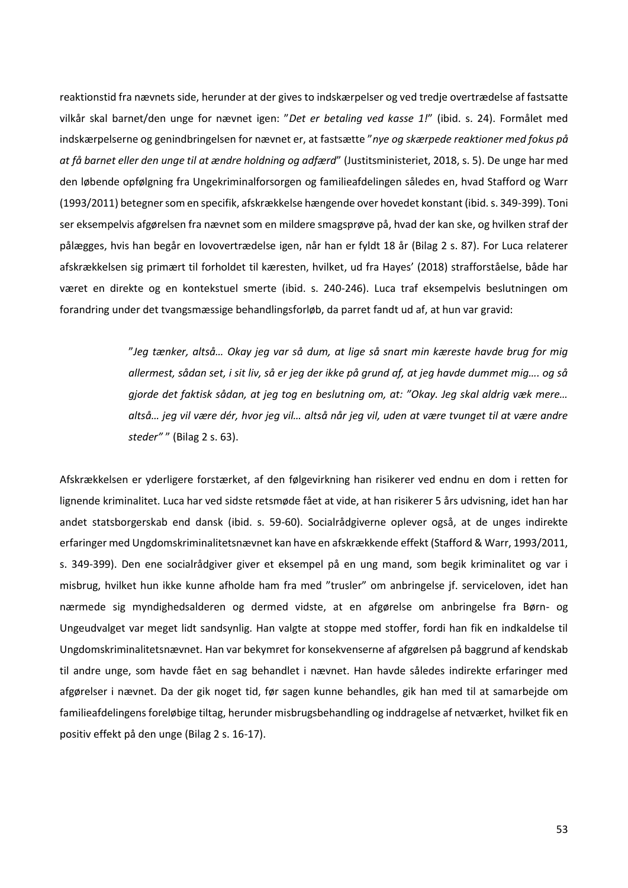reaktionstid fra nævnets side, herunder at der gives to indskærpelser og ved tredje overtrædelse af fastsatte vilkår skal barnet/den unge for nævnet igen: "*Det er betaling ved kasse 1!*" (ibid. s. 24). Formålet med indskærpelserne og genindbringelsen for nævnet er, at fastsætte "*nye og skærpede reaktioner med fokus på at få barnet eller den unge til at ændre holdning og adfærd*" (Justitsministeriet, 2018, s. 5). De unge har med den løbende opfølgning fra Ungekriminalforsorgen og familieafdelingen således en, hvad Stafford og Warr (1993/2011) betegner som en specifik, afskrækkelse hængende over hovedet konstant (ibid. s. 349-399). Toni ser eksempelvis afgørelsen fra nævnet som en mildere smagsprøve på, hvad der kan ske, og hvilken straf der pålægges, hvis han begår en lovovertrædelse igen, når han er fyldt 18 år (Bilag 2 s. 87). For Luca relaterer afskrækkelsen sig primært til forholdet til kæresten, hvilket, ud fra Hayes' (2018) strafforståelse, både har været en direkte og en kontekstuel smerte (ibid. s. 240-246). Luca traf eksempelvis beslutningen om forandring under det tvangsmæssige behandlingsforløb, da parret fandt ud af, at hun var gravid:

> "*Jeg tænker, altså… Okay jeg var så dum, at lige så snart min kæreste havde brug for mig allermest, sådan set, i sit liv, så er jeg der ikke på grund af, at jeg havde dummet mig…. og så gjorde det faktisk sådan, at jeg tog en beslutning om, at: "Okay. Jeg skal aldrig væk mere… altså… jeg vil være dér, hvor jeg vil… altså når jeg vil, uden at være tvunget til at være andre steder"* " (Bilag 2 s. 63).

Afskrækkelsen er yderligere forstærket, af den følgevirkning han risikerer ved endnu en dom i retten for lignende kriminalitet. Luca har ved sidste retsmøde fået at vide, at han risikerer 5 års udvisning, idet han har andet statsborgerskab end dansk (ibid. s. 59-60). Socialrådgiverne oplever også, at de unges indirekte erfaringer med Ungdomskriminalitetsnævnet kan have en afskrækkende effekt (Stafford & Warr, 1993/2011, s. 349-399). Den ene socialrådgiver giver et eksempel på en ung mand, som begik kriminalitet og var i misbrug, hvilket hun ikke kunne afholde ham fra med "trusler" om anbringelse jf. serviceloven, idet han nærmede sig myndighedsalderen og dermed vidste, at en afgørelse om anbringelse fra Børn- og Ungeudvalget var meget lidt sandsynlig. Han valgte at stoppe med stoffer, fordi han fik en indkaldelse til Ungdomskriminalitetsnævnet. Han var bekymret for konsekvenserne af afgørelsen på baggrund af kendskab til andre unge, som havde fået en sag behandlet i nævnet. Han havde således indirekte erfaringer med afgørelser i nævnet. Da der gik noget tid, før sagen kunne behandles, gik han med til at samarbejde om familieafdelingens foreløbige tiltag, herunder misbrugsbehandling og inddragelse af netværket, hvilket fik en positiv effekt på den unge (Bilag 2 s. 16-17).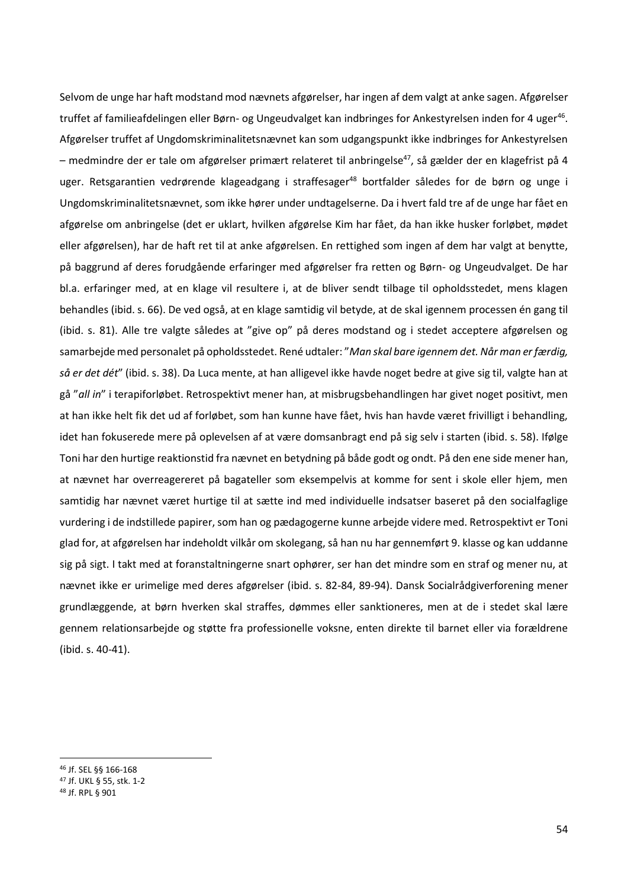Selvom de unge har haft modstand mod nævnets afgørelser, har ingen af dem valgt at anke sagen. Afgørelser truffet af familieafdelingen eller Børn- og Ungeudvalget kan indbringes for Ankestyrelsen inden for 4 uger<sup>46</sup>. Afgørelser truffet af Ungdomskriminalitetsnævnet kan som udgangspunkt ikke indbringes for Ankestyrelsen – medmindre der er tale om afgørelser primært relateret til anbringelse<sup>47</sup>, så gælder der en klagefrist på 4 uger. Retsgarantien vedrørende klageadgang i straffesager<sup>48</sup> bortfalder således for de børn og unge i Ungdomskriminalitetsnævnet, som ikke hører under undtagelserne. Da i hvert fald tre af de unge har fået en afgørelse om anbringelse (det er uklart, hvilken afgørelse Kim har fået, da han ikke husker forløbet, mødet eller afgørelsen), har de haft ret til at anke afgørelsen. En rettighed som ingen af dem har valgt at benytte, på baggrund af deres forudgående erfaringer med afgørelser fra retten og Børn- og Ungeudvalget. De har bl.a. erfaringer med, at en klage vil resultere i, at de bliver sendt tilbage til opholdsstedet, mens klagen behandles (ibid. s. 66). De ved også, at en klage samtidig vil betyde, at de skal igennem processen én gang til (ibid. s. 81). Alle tre valgte således at "give op" på deres modstand og i stedet acceptere afgørelsen og samarbejde med personalet på opholdsstedet. René udtaler: "*Man skal bare igennem det. Når man er færdig, så er det dét*" (ibid. s. 38). Da Luca mente, at han alligevel ikke havde noget bedre at give sig til, valgte han at gå "*all in*" i terapiforløbet. Retrospektivt mener han, at misbrugsbehandlingen har givet noget positivt, men at han ikke helt fik det ud af forløbet, som han kunne have fået, hvis han havde været frivilligt i behandling, idet han fokuserede mere på oplevelsen af at være domsanbragt end på sig selv i starten (ibid. s. 58). Ifølge Toni har den hurtige reaktionstid fra nævnet en betydning på både godt og ondt. På den ene side mener han, at nævnet har overreagereret på bagateller som eksempelvis at komme for sent i skole eller hjem, men samtidig har nævnet været hurtige til at sætte ind med individuelle indsatser baseret på den socialfaglige vurdering i de indstillede papirer, som han og pædagogerne kunne arbejde videre med. Retrospektivt er Toni glad for, at afgørelsen har indeholdt vilkår om skolegang, så han nu har gennemført 9. klasse og kan uddanne sig på sigt. I takt med at foranstaltningerne snart ophører, ser han det mindre som en straf og mener nu, at nævnet ikke er urimelige med deres afgørelser (ibid. s. 82-84, 89-94). Dansk Socialrådgiverforening mener grundlæggende, at børn hverken skal straffes, dømmes eller sanktioneres, men at de i stedet skal lære gennem relationsarbejde og støtte fra professionelle voksne, enten direkte til barnet eller via forældrene (ibid. s. 40-41).

<sup>46</sup> Jf. SEL §§ 166-168

<sup>47</sup> Jf. UKL § 55, stk. 1-2

<sup>48</sup> Jf. RPL § 901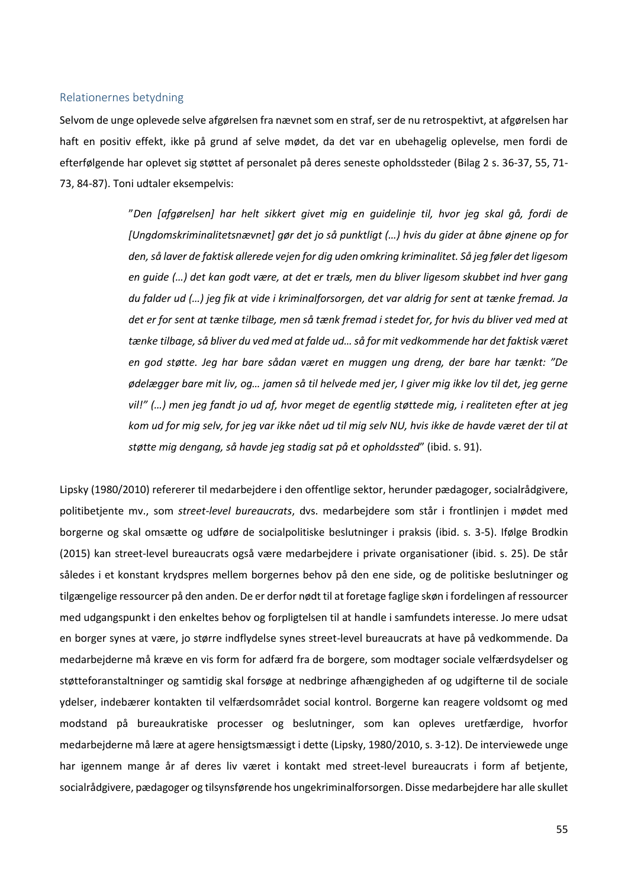### <span id="page-55-0"></span>Relationernes betydning

Selvom de unge oplevede selve afgørelsen fra nævnet som en straf, ser de nu retrospektivt, at afgørelsen har haft en positiv effekt, ikke på grund af selve mødet, da det var en ubehagelig oplevelse, men fordi de efterfølgende har oplevet sig støttet af personalet på deres seneste opholdssteder (Bilag 2 s. 36-37, 55, 71- 73, 84-87). Toni udtaler eksempelvis:

> "*Den [afgørelsen] har helt sikkert givet mig en guidelinje til, hvor jeg skal gå, fordi de [Ungdomskriminalitetsnævnet] gør det jo så punktligt (…) hvis du gider at åbne øjnene op for den, så laver de faktisk allerede vejen for dig uden omkring kriminalitet. Så jeg føler det ligesom en guide (…) det kan godt være, at det er træls, men du bliver ligesom skubbet ind hver gang du falder ud (…) jeg fik at vide i kriminalforsorgen, det var aldrig for sent at tænke fremad. Ja det er for sent at tænke tilbage, men så tænk fremad i stedet for, for hvis du bliver ved med at tænke tilbage, så bliver du ved med at falde ud… så for mit vedkommende har det faktisk været en god støtte. Jeg har bare sådan været en muggen ung dreng, der bare har tænkt: "De ødelægger bare mit liv, og… jamen så til helvede med jer, I giver mig ikke lov til det, jeg gerne vil!" (…) men jeg fandt jo ud af, hvor meget de egentlig støttede mig, i realiteten efter at jeg kom ud for mig selv, for jeg var ikke nået ud til mig selv NU, hvis ikke de havde været der til at støtte mig dengang, så havde jeg stadig sat på et opholdssted*" (ibid. s. 91).

Lipsky (1980/2010) refererer til medarbejdere i den offentlige sektor, herunder pædagoger, socialrådgivere, politibetjente mv., som *street-level bureaucrats*, dvs. medarbejdere som står i frontlinjen i mødet med borgerne og skal omsætte og udføre de socialpolitiske beslutninger i praksis (ibid. s. 3-5). Ifølge Brodkin (2015) kan street-level bureaucrats også være medarbejdere i private organisationer (ibid. s. 25). De står således i et konstant krydspres mellem borgernes behov på den ene side, og de politiske beslutninger og tilgængelige ressourcer på den anden. De er derfor nødt til at foretage faglige skøn i fordelingen af ressourcer med udgangspunkt i den enkeltes behov og forpligtelsen til at handle i samfundets interesse. Jo mere udsat en borger synes at være, jo større indflydelse synes street-level bureaucrats at have på vedkommende. Da medarbejderne må kræve en vis form for adfærd fra de borgere, som modtager sociale velfærdsydelser og støtteforanstaltninger og samtidig skal forsøge at nedbringe afhængigheden af og udgifterne til de sociale ydelser, indebærer kontakten til velfærdsområdet social kontrol. Borgerne kan reagere voldsomt og med modstand på bureaukratiske processer og beslutninger, som kan opleves uretfærdige, hvorfor medarbejderne må lære at agere hensigtsmæssigt i dette (Lipsky, 1980/2010, s. 3-12). De interviewede unge har igennem mange år af deres liv været i kontakt med street-level bureaucrats i form af betjente, socialrådgivere, pædagoger og tilsynsførende hos ungekriminalforsorgen. Disse medarbejdere har alle skullet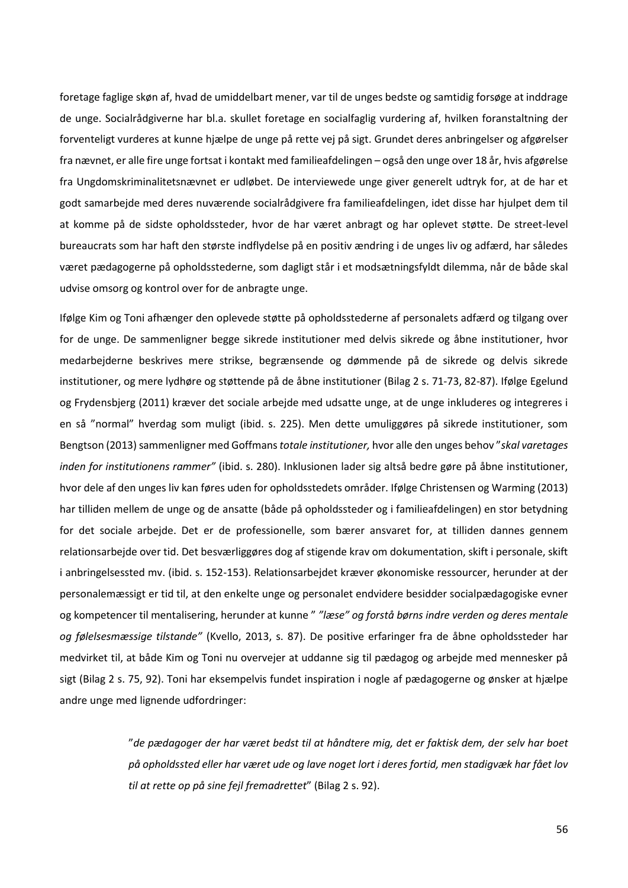foretage faglige skøn af, hvad de umiddelbart mener, var til de unges bedste og samtidig forsøge at inddrage de unge. Socialrådgiverne har bl.a. skullet foretage en socialfaglig vurdering af, hvilken foranstaltning der forventeligt vurderes at kunne hjælpe de unge på rette vej på sigt. Grundet deres anbringelser og afgørelser fra nævnet, er alle fire unge fortsat i kontakt med familieafdelingen – også den unge over 18 år, hvis afgørelse fra Ungdomskriminalitetsnævnet er udløbet. De interviewede unge giver generelt udtryk for, at de har et godt samarbejde med deres nuværende socialrådgivere fra familieafdelingen, idet disse har hjulpet dem til at komme på de sidste opholdssteder, hvor de har været anbragt og har oplevet støtte. De street-level bureaucrats som har haft den største indflydelse på en positiv ændring i de unges liv og adfærd, har således været pædagogerne på opholdsstederne, som dagligt står i et modsætningsfyldt dilemma, når de både skal udvise omsorg og kontrol over for de anbragte unge.

Ifølge Kim og Toni afhænger den oplevede støtte på opholdsstederne af personalets adfærd og tilgang over for de unge. De sammenligner begge sikrede institutioner med delvis sikrede og åbne institutioner, hvor medarbejderne beskrives mere strikse, begrænsende og dømmende på de sikrede og delvis sikrede institutioner, og mere lydhøre og støttende på de åbne institutioner (Bilag 2 s. 71-73, 82-87). Ifølge Egelund og Frydensbjerg (2011) kræver det sociale arbejde med udsatte unge, at de unge inkluderes og integreres i en så "normal" hverdag som muligt (ibid. s. 225). Men dette umuliggøres på sikrede institutioner, som Bengtson (2013)sammenligner med Goffmans *totale institutioner,* hvor alle den unges behov "*skal varetages inden for institutionens rammer"* (ibid. s. 280). Inklusionen lader sig altså bedre gøre på åbne institutioner, hvor dele af den unges liv kan føres uden for opholdsstedets områder. Ifølge Christensen og Warming (2013) har tilliden mellem de unge og de ansatte (både på opholdssteder og i familieafdelingen) en stor betydning for det sociale arbejde. Det er de professionelle, som bærer ansvaret for, at tilliden dannes gennem relationsarbejde over tid. Det besværliggøres dog af stigende krav om dokumentation, skift i personale, skift i anbringelsessted mv. (ibid. s. 152-153). Relationsarbejdet kræver økonomiske ressourcer, herunder at der personalemæssigt er tid til, at den enkelte unge og personalet endvidere besidder socialpædagogiske evner og kompetencer til mentalisering, herunder at kunne " *"læse" og forstå børns indre verden og deres mentale og følelsesmæssige tilstande"* (Kvello, 2013, s. 87). De positive erfaringer fra de åbne opholdssteder har medvirket til, at både Kim og Toni nu overvejer at uddanne sig til pædagog og arbejde med mennesker på sigt (Bilag 2 s. 75, 92). Toni har eksempelvis fundet inspiration i nogle af pædagogerne og ønsker at hjælpe andre unge med lignende udfordringer:

> "*de pædagoger der har været bedst til at håndtere mig, det er faktisk dem, der selv har boet på opholdssted eller har været ude og lave noget lort i deres fortid, men stadigvæk har fået lov til at rette op på sine fejl fremadrettet*" (Bilag 2 s. 92).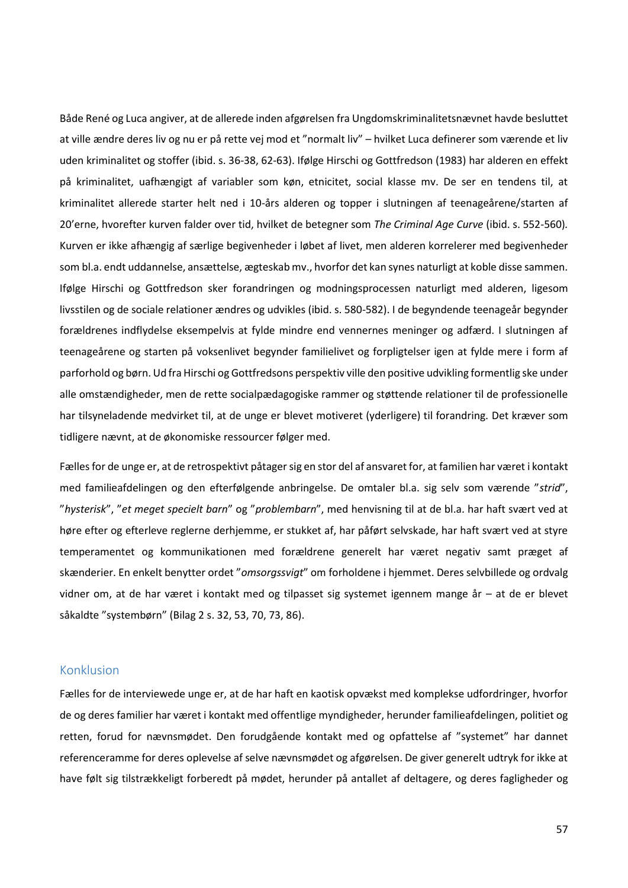Både René og Luca angiver, at de allerede inden afgørelsen fra Ungdomskriminalitetsnævnet havde besluttet at ville ændre deres liv og nu er på rette vej mod et "normalt liv" – hvilket Luca definerer som værende et liv uden kriminalitet og stoffer (ibid. s. 36-38, 62-63). Ifølge Hirschi og Gottfredson (1983) har alderen en effekt på kriminalitet, uafhængigt af variabler som køn, etnicitet, social klasse mv. De ser en tendens til, at kriminalitet allerede starter helt ned i 10-års alderen og topper i slutningen af teenageårene/starten af 20'erne, hvorefter kurven falder over tid, hvilket de betegner som *The Criminal Age Curve* (ibid. s. 552-560)*.* Kurven er ikke afhængig af særlige begivenheder i løbet af livet, men alderen korrelerer med begivenheder som bl.a. endt uddannelse, ansættelse, ægteskab mv., hvorfor det kan synes naturligt at koble disse sammen. Ifølge Hirschi og Gottfredson sker forandringen og modningsprocessen naturligt med alderen, ligesom livsstilen og de sociale relationer ændres og udvikles (ibid. s. 580-582). I de begyndende teenageår begynder forældrenes indflydelse eksempelvis at fylde mindre end vennernes meninger og adfærd. I slutningen af teenageårene og starten på voksenlivet begynder familielivet og forpligtelser igen at fylde mere i form af parforhold og børn. Ud fra Hirschi og Gottfredsons perspektiv ville den positive udvikling formentlig ske under alle omstændigheder, men de rette socialpædagogiske rammer og støttende relationer til de professionelle har tilsyneladende medvirket til, at de unge er blevet motiveret (yderligere) til forandring. Det kræver som tidligere nævnt, at de økonomiske ressourcer følger med.

Fælles for de unge er, at de retrospektivt påtager sig en stor del af ansvaret for, at familien har været i kontakt med familieafdelingen og den efterfølgende anbringelse. De omtaler bl.a. sig selv som værende "*strid*", "*hysterisk*", "*et meget specielt barn*" og "*problembarn*", med henvisning til at de bl.a. har haft svært ved at høre efter og efterleve reglerne derhjemme, er stukket af, har påført selvskade, har haft svært ved at styre temperamentet og kommunikationen med forældrene generelt har været negativ samt præget af skænderier. En enkelt benytter ordet "*omsorgssvigt*" om forholdene i hjemmet. Deres selvbillede og ordvalg vidner om, at de har været i kontakt med og tilpasset sig systemet igennem mange år – at de er blevet såkaldte "systembørn" (Bilag 2 s. 32, 53, 70, 73, 86).

# <span id="page-57-0"></span>Konklusion

Fælles for de interviewede unge er, at de har haft en kaotisk opvækst med komplekse udfordringer, hvorfor de og deres familier har været i kontakt med offentlige myndigheder, herunder familieafdelingen, politiet og retten, forud for nævnsmødet. Den forudgående kontakt med og opfattelse af "systemet" har dannet referenceramme for deres oplevelse af selve nævnsmødet og afgørelsen. De giver generelt udtryk for ikke at have følt sig tilstrækkeligt forberedt på mødet, herunder på antallet af deltagere, og deres fagligheder og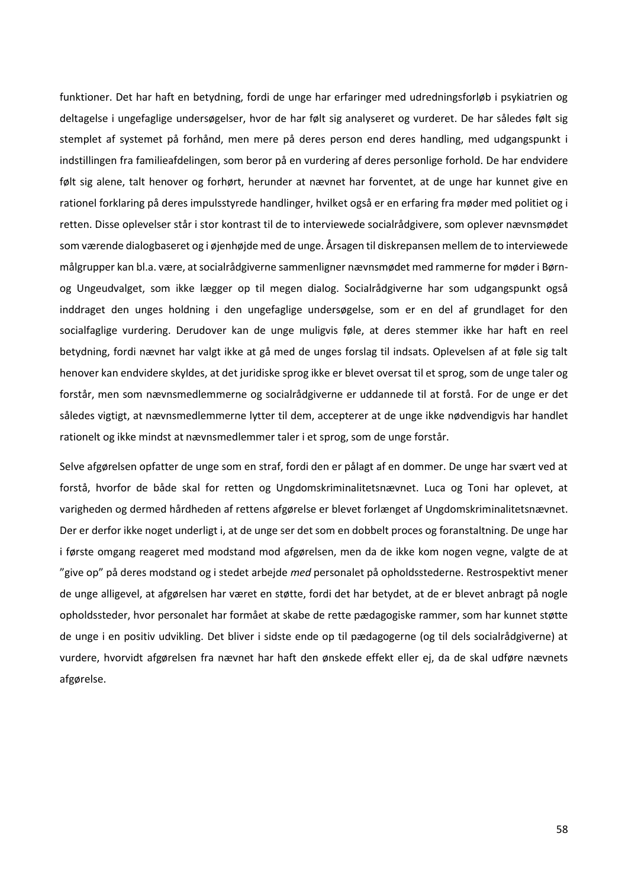funktioner. Det har haft en betydning, fordi de unge har erfaringer med udredningsforløb i psykiatrien og deltagelse i ungefaglige undersøgelser, hvor de har følt sig analyseret og vurderet. De har således følt sig stemplet af systemet på forhånd, men mere på deres person end deres handling, med udgangspunkt i indstillingen fra familieafdelingen, som beror på en vurdering af deres personlige forhold. De har endvidere følt sig alene, talt henover og forhørt, herunder at nævnet har forventet, at de unge har kunnet give en rationel forklaring på deres impulsstyrede handlinger, hvilket også er en erfaring fra møder med politiet og i retten. Disse oplevelser står i stor kontrast til de to interviewede socialrådgivere, som oplever nævnsmødet som værende dialogbaseret og i øjenhøjde med de unge. Årsagen til diskrepansen mellem de to interviewede målgrupper kan bl.a. være, at socialrådgiverne sammenligner nævnsmødet med rammerne for møder i Børnog Ungeudvalget, som ikke lægger op til megen dialog. Socialrådgiverne har som udgangspunkt også inddraget den unges holdning i den ungefaglige undersøgelse, som er en del af grundlaget for den socialfaglige vurdering. Derudover kan de unge muligvis føle, at deres stemmer ikke har haft en reel betydning, fordi nævnet har valgt ikke at gå med de unges forslag til indsats. Oplevelsen af at føle sig talt henover kan endvidere skyldes, at det juridiske sprog ikke er blevet oversat til et sprog, som de unge taler og forstår, men som nævnsmedlemmerne og socialrådgiverne er uddannede til at forstå. For de unge er det således vigtigt, at nævnsmedlemmerne lytter til dem, accepterer at de unge ikke nødvendigvis har handlet rationelt og ikke mindst at nævnsmedlemmer taler i et sprog, som de unge forstår.

Selve afgørelsen opfatter de unge som en straf, fordi den er pålagt af en dommer. De unge har svært ved at forstå, hvorfor de både skal for retten og Ungdomskriminalitetsnævnet. Luca og Toni har oplevet, at varigheden og dermed hårdheden af rettens afgørelse er blevet forlænget af Ungdomskriminalitetsnævnet. Der er derfor ikke noget underligt i, at de unge ser det som en dobbelt proces og foranstaltning. De unge har i første omgang reageret med modstand mod afgørelsen, men da de ikke kom nogen vegne, valgte de at "give op" på deres modstand og i stedet arbejde *med* personalet på opholdsstederne. Restrospektivt mener de unge alligevel, at afgørelsen har været en støtte, fordi det har betydet, at de er blevet anbragt på nogle opholdssteder, hvor personalet har formået at skabe de rette pædagogiske rammer, som har kunnet støtte de unge i en positiv udvikling. Det bliver i sidste ende op til pædagogerne (og til dels socialrådgiverne) at vurdere, hvorvidt afgørelsen fra nævnet har haft den ønskede effekt eller ej, da de skal udføre nævnets afgørelse.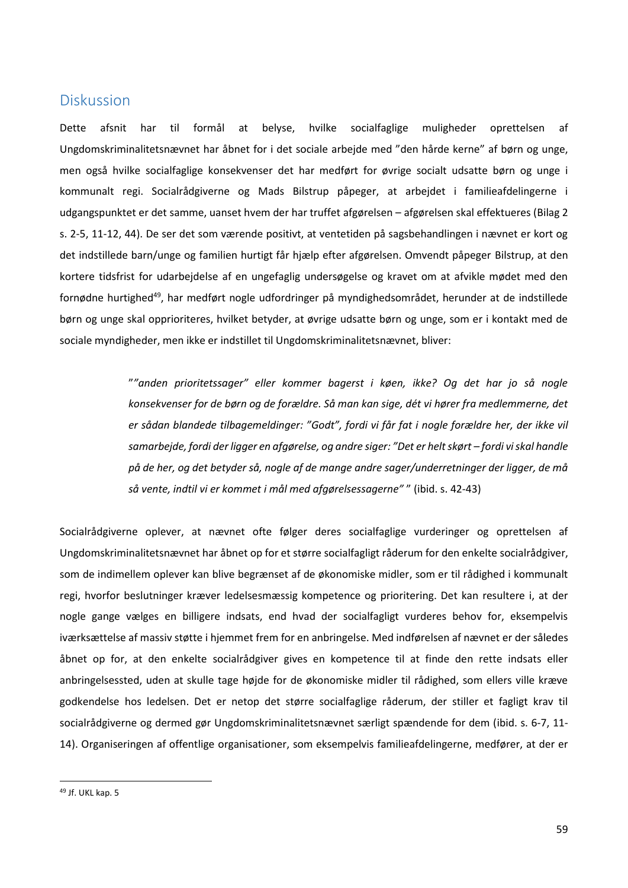# <span id="page-59-0"></span>**Diskussion**

Dette afsnit har til formål at belyse, hvilke socialfaglige muligheder oprettelsen af Ungdomskriminalitetsnævnet har åbnet for i det sociale arbejde med "den hårde kerne" af børn og unge, men også hvilke socialfaglige konsekvenser det har medført for øvrige socialt udsatte børn og unge i kommunalt regi. Socialrådgiverne og Mads Bilstrup påpeger, at arbejdet i familieafdelingerne i udgangspunktet er det samme, uanset hvem der har truffet afgørelsen – afgørelsen skal effektueres (Bilag 2 s. 2-5, 11-12, 44). De ser det som værende positivt, at ventetiden på sagsbehandlingen i nævnet er kort og det indstillede barn/unge og familien hurtigt får hjælp efter afgørelsen. Omvendt påpeger Bilstrup, at den kortere tidsfrist for udarbejdelse af en ungefaglig undersøgelse og kravet om at afvikle mødet med den fornødne hurtighed<sup>49</sup>, har medført nogle udfordringer på myndighedsområdet, herunder at de indstillede børn og unge skal opprioriteres, hvilket betyder, at øvrige udsatte børn og unge, som er i kontakt med de sociale myndigheder, men ikke er indstillet til Ungdomskriminalitetsnævnet, bliver:

> "*"anden prioritetssager" eller kommer bagerst i køen, ikke? Og det har jo så nogle konsekvenser for de børn og de forældre. Så man kan sige, dét vi hører fra medlemmerne, det er sådan blandede tilbagemeldinger: "Godt", fordi vi får fat i nogle forældre her, der ikke vil samarbejde, fordi der ligger en afgørelse, og andre siger: "Det er helt skørt – fordi vi skal handle på de her, og det betyder så, nogle af de mange andre sager/underretninger der ligger, de må så vente, indtil vi er kommet i mål med afgørelsessagerne"* " (ibid. s. 42-43)

Socialrådgiverne oplever, at nævnet ofte følger deres socialfaglige vurderinger og oprettelsen af Ungdomskriminalitetsnævnet har åbnet op for et større socialfagligt råderum for den enkelte socialrådgiver, som de indimellem oplever kan blive begrænset af de økonomiske midler, som er til rådighed i kommunalt regi, hvorfor beslutninger kræver ledelsesmæssig kompetence og prioritering. Det kan resultere i, at der nogle gange vælges en billigere indsats, end hvad der socialfagligt vurderes behov for, eksempelvis iværksættelse af massiv støtte i hjemmet frem for en anbringelse. Med indførelsen af nævnet er der således åbnet op for, at den enkelte socialrådgiver gives en kompetence til at finde den rette indsats eller anbringelsessted, uden at skulle tage højde for de økonomiske midler til rådighed, som ellers ville kræve godkendelse hos ledelsen. Det er netop det større socialfaglige råderum, der stiller et fagligt krav til socialrådgiverne og dermed gør Ungdomskriminalitetsnævnet særligt spændende for dem (ibid. s. 6-7, 11- 14). Organiseringen af offentlige organisationer, som eksempelvis familieafdelingerne, medfører, at der er

<sup>49</sup> Jf. UKL kap. 5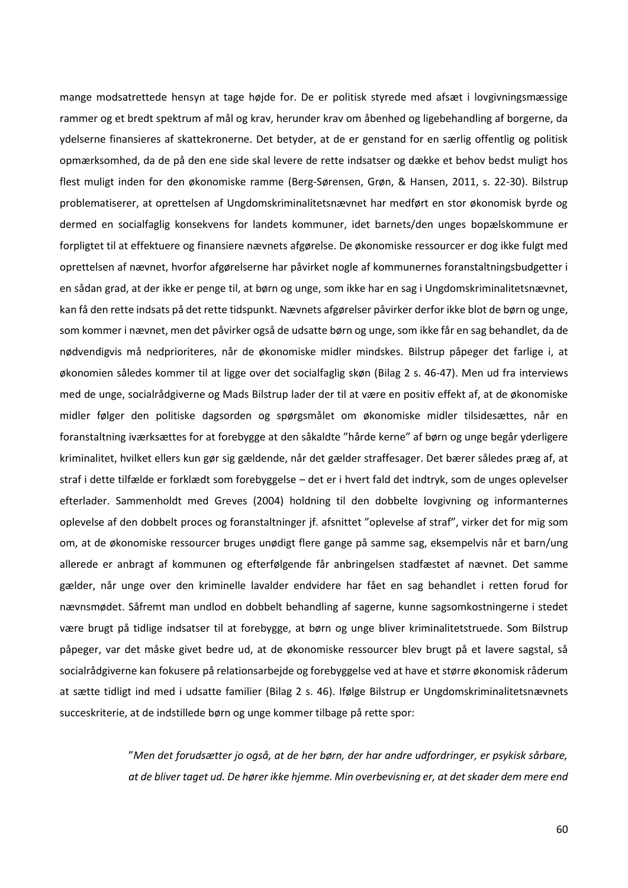mange modsatrettede hensyn at tage højde for. De er politisk styrede med afsæt i lovgivningsmæssige rammer og et bredt spektrum af mål og krav, herunder krav om åbenhed og ligebehandling af borgerne, da ydelserne finansieres af skattekronerne. Det betyder, at de er genstand for en særlig offentlig og politisk opmærksomhed, da de på den ene side skal levere de rette indsatser og dække et behov bedst muligt hos flest muligt inden for den økonomiske ramme (Berg-Sørensen, Grøn, & Hansen, 2011, s. 22-30). Bilstrup problematiserer, at oprettelsen af Ungdomskriminalitetsnævnet har medført en stor økonomisk byrde og dermed en socialfaglig konsekvens for landets kommuner, idet barnets/den unges bopælskommune er forpligtet til at effektuere og finansiere nævnets afgørelse. De økonomiske ressourcer er dog ikke fulgt med oprettelsen af nævnet, hvorfor afgørelserne har påvirket nogle af kommunernes foranstaltningsbudgetter i en sådan grad, at der ikke er penge til, at børn og unge, som ikke har en sag i Ungdomskriminalitetsnævnet, kan få den rette indsats på det rette tidspunkt. Nævnets afgørelser påvirker derfor ikke blot de børn og unge, som kommer i nævnet, men det påvirker også de udsatte børn og unge, som ikke får en sag behandlet, da de nødvendigvis må nedprioriteres, når de økonomiske midler mindskes. Bilstrup påpeger det farlige i, at økonomien således kommer til at ligge over det socialfaglig skøn (Bilag 2 s. 46-47). Men ud fra interviews med de unge, socialrådgiverne og Mads Bilstrup lader der til at være en positiv effekt af, at de økonomiske midler følger den politiske dagsorden og spørgsmålet om økonomiske midler tilsidesættes, når en foranstaltning iværksættes for at forebygge at den såkaldte "hårde kerne" af børn og unge begår yderligere kriminalitet, hvilket ellers kun gør sig gældende, når det gælder straffesager. Det bærer således præg af, at straf i dette tilfælde er forklædt som forebyggelse – det er i hvert fald det indtryk, som de unges oplevelser efterlader. Sammenholdt med Greves (2004) holdning til den dobbelte lovgivning og informanternes oplevelse af den dobbelt proces og foranstaltninger jf. afsnittet "oplevelse af straf", virker det for mig som om, at de økonomiske ressourcer bruges unødigt flere gange på samme sag, eksempelvis når et barn/ung allerede er anbragt af kommunen og efterfølgende får anbringelsen stadfæstet af nævnet. Det samme gælder, når unge over den kriminelle lavalder endvidere har fået en sag behandlet i retten forud for nævnsmødet. Såfremt man undlod en dobbelt behandling af sagerne, kunne sagsomkostningerne i stedet være brugt på tidlige indsatser til at forebygge, at børn og unge bliver kriminalitetstruede. Som Bilstrup påpeger, var det måske givet bedre ud, at de økonomiske ressourcer blev brugt på et lavere sagstal, så socialrådgiverne kan fokusere på relationsarbejde og forebyggelse ved at have et større økonomisk råderum at sætte tidligt ind med i udsatte familier (Bilag 2 s. 46). Ifølge Bilstrup er Ungdomskriminalitetsnævnets succeskriterie, at de indstillede børn og unge kommer tilbage på rette spor:

> "*Men det forudsætter jo også, at de her børn, der har andre udfordringer, er psykisk sårbare, at de bliver taget ud. De hører ikke hjemme. Min overbevisning er, at det skader dem mere end*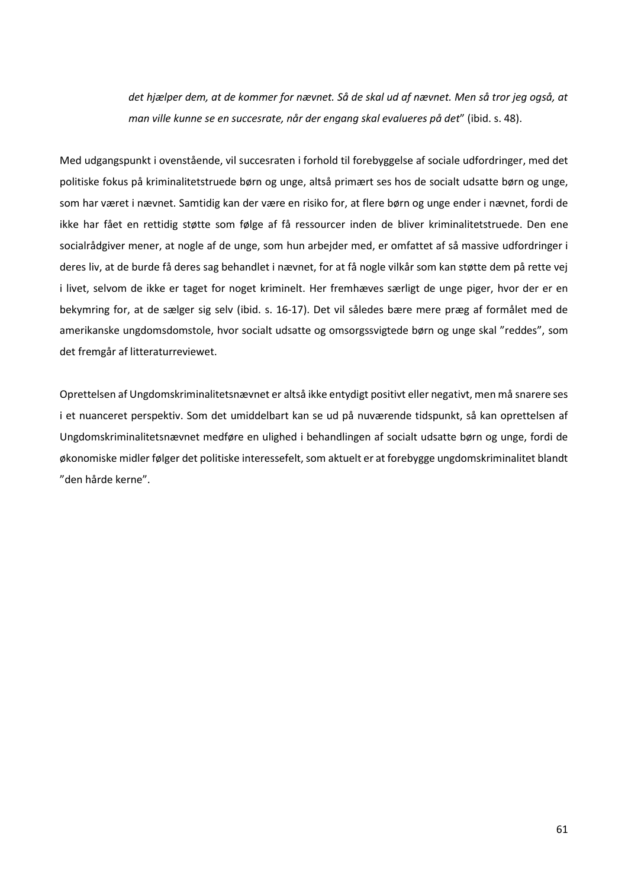*det hjælper dem, at de kommer for nævnet. Så de skal ud af nævnet. Men så tror jeg også, at man ville kunne se en succesrate, når der engang skal evalueres på det*" (ibid. s. 48).

Med udgangspunkt i ovenstående, vil succesraten i forhold til forebyggelse af sociale udfordringer, med det politiske fokus på kriminalitetstruede børn og unge, altså primært ses hos de socialt udsatte børn og unge, som har været i nævnet. Samtidig kan der være en risiko for, at flere børn og unge ender i nævnet, fordi de ikke har fået en rettidig støtte som følge af få ressourcer inden de bliver kriminalitetstruede. Den ene socialrådgiver mener, at nogle af de unge, som hun arbejder med, er omfattet af så massive udfordringer i deres liv, at de burde få deres sag behandlet i nævnet, for at få nogle vilkår som kan støtte dem på rette vej i livet, selvom de ikke er taget for noget kriminelt. Her fremhæves særligt de unge piger, hvor der er en bekymring for, at de sælger sig selv (ibid. s. 16-17). Det vil således bære mere præg af formålet med de amerikanske ungdomsdomstole, hvor socialt udsatte og omsorgssvigtede børn og unge skal "reddes", som det fremgår af litteraturreviewet.

Oprettelsen af Ungdomskriminalitetsnævnet er altså ikke entydigt positivt eller negativt, men må snarere ses i et nuanceret perspektiv. Som det umiddelbart kan se ud på nuværende tidspunkt, så kan oprettelsen af Ungdomskriminalitetsnævnet medføre en ulighed i behandlingen af socialt udsatte børn og unge, fordi de økonomiske midler følger det politiske interessefelt, som aktuelt er at forebygge ungdomskriminalitet blandt "den hårde kerne".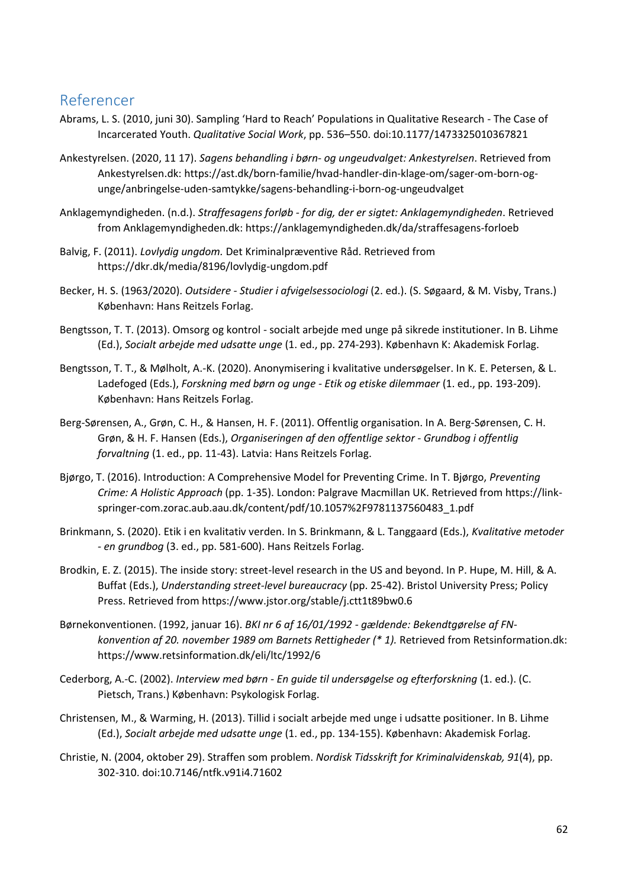# <span id="page-62-0"></span>Referencer

- Abrams, L. S. (2010, juni 30). Sampling 'Hard to Reach' Populations in Qualitative Research The Case of Incarcerated Youth. *Qualitative Social Work*, pp. 536–550. doi:10.1177/1473325010367821
- Ankestyrelsen. (2020, 11 17). *Sagens behandling i børn- og ungeudvalget: Ankestyrelsen*. Retrieved from Ankestyrelsen.dk: https://ast.dk/born-familie/hvad-handler-din-klage-om/sager-om-born-ogunge/anbringelse-uden-samtykke/sagens-behandling-i-born-og-ungeudvalget
- Anklagemyndigheden. (n.d.). *Straffesagens forløb - for dig, der er sigtet: Anklagemyndigheden*. Retrieved from Anklagemyndigheden.dk: https://anklagemyndigheden.dk/da/straffesagens-forloeb
- Balvig, F. (2011). *Lovlydig ungdom.* Det Kriminalpræventive Råd. Retrieved from https://dkr.dk/media/8196/lovlydig-ungdom.pdf
- Becker, H. S. (1963/2020). *Outsidere - Studier i afvigelsessociologi* (2. ed.). (S. Søgaard, & M. Visby, Trans.) København: Hans Reitzels Forlag.
- Bengtsson, T. T. (2013). Omsorg og kontrol socialt arbejde med unge på sikrede institutioner. In B. Lihme (Ed.), *Socialt arbejde med udsatte unge* (1. ed., pp. 274-293). København K: Akademisk Forlag.
- Bengtsson, T. T., & Mølholt, A.-K. (2020). Anonymisering i kvalitative undersøgelser. In K. E. Petersen, & L. Ladefoged (Eds.), *Forskning med børn og unge - Etik og etiske dilemmaer* (1. ed., pp. 193-209). København: Hans Reitzels Forlag.
- Berg-Sørensen, A., Grøn, C. H., & Hansen, H. F. (2011). Offentlig organisation. In A. Berg-Sørensen, C. H. Grøn, & H. F. Hansen (Eds.), *Organiseringen af den offentlige sektor - Grundbog i offentlig forvaltning* (1. ed., pp. 11-43). Latvia: Hans Reitzels Forlag.
- Bjørgo, T. (2016). Introduction: A Comprehensive Model for Preventing Crime. In T. Bjørgo, *Preventing Crime: A Holistic Approach* (pp. 1-35). London: Palgrave Macmillan UK. Retrieved from https://linkspringer-com.zorac.aub.aau.dk/content/pdf/10.1057%2F9781137560483\_1.pdf
- Brinkmann, S. (2020). Etik i en kvalitativ verden. In S. Brinkmann, & L. Tanggaard (Eds.), *Kvalitative metoder - en grundbog* (3. ed., pp. 581-600). Hans Reitzels Forlag.
- Brodkin, E. Z. (2015). The inside story: street-level research in the US and beyond. In P. Hupe, M. Hill, & A. Buffat (Eds.), *Understanding street-level bureaucracy* (pp. 25-42). Bristol University Press; Policy Press. Retrieved from https://www.jstor.org/stable/j.ctt1t89bw0.6
- Børnekonventionen. (1992, januar 16). *BKI nr 6 af 16/01/1992 - gældende: Bekendtgørelse af FNkonvention af 20. november 1989 om Barnets Rettigheder (\* 1).* Retrieved from Retsinformation.dk: https://www.retsinformation.dk/eli/ltc/1992/6
- Cederborg, A.-C. (2002). *Interview med børn - En guide til undersøgelse og efterforskning* (1. ed.). (C. Pietsch, Trans.) København: Psykologisk Forlag.
- Christensen, M., & Warming, H. (2013). Tillid i socialt arbejde med unge i udsatte positioner. In B. Lihme (Ed.), *Socialt arbejde med udsatte unge* (1. ed., pp. 134-155). København: Akademisk Forlag.
- Christie, N. (2004, oktober 29). Straffen som problem. *Nordisk Tidsskrift for Kriminalvidenskab, 91*(4), pp. 302-310. doi:10.7146/ntfk.v91i4.71602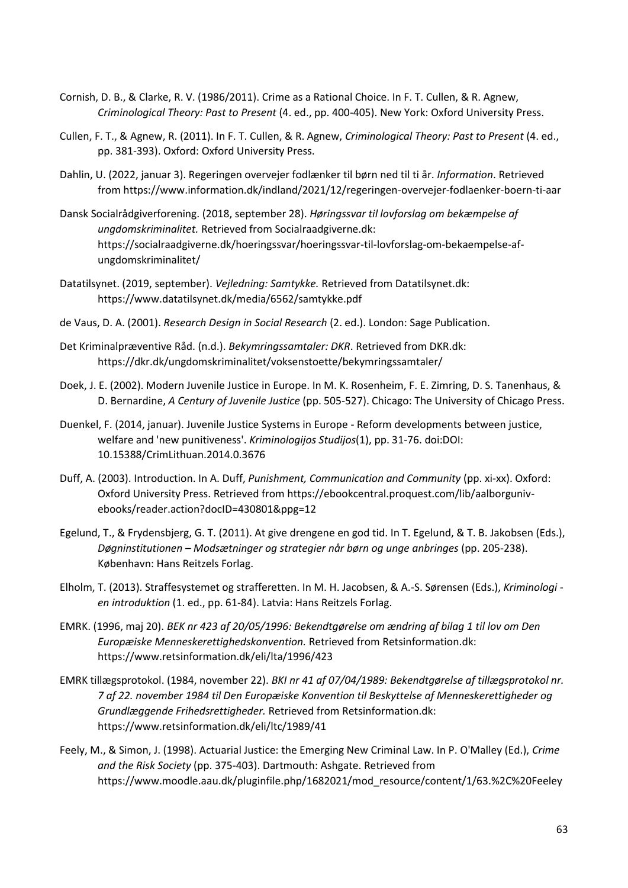- Cornish, D. B., & Clarke, R. V. (1986/2011). Crime as a Rational Choice. In F. T. Cullen, & R. Agnew, *Criminological Theory: Past to Present* (4. ed., pp. 400-405). New York: Oxford University Press.
- Cullen, F. T., & Agnew, R. (2011). In F. T. Cullen, & R. Agnew, *Criminological Theory: Past to Present* (4. ed., pp. 381-393). Oxford: Oxford University Press.
- Dahlin, U. (2022, januar 3). Regeringen overvejer fodlænker til børn ned til ti år. *Information*. Retrieved from https://www.information.dk/indland/2021/12/regeringen-overvejer-fodlaenker-boern-ti-aar
- Dansk Socialrådgiverforening. (2018, september 28). *Høringssvar til lovforslag om bekæmpelse af ungdomskriminalitet.* Retrieved from Socialraadgiverne.dk: https://socialraadgiverne.dk/hoeringssvar/hoeringssvar-til-lovforslag-om-bekaempelse-afungdomskriminalitet/
- Datatilsynet. (2019, september). *Vejledning: Samtykke.* Retrieved from Datatilsynet.dk: https://www.datatilsynet.dk/media/6562/samtykke.pdf
- de Vaus, D. A. (2001). *Research Design in Social Research* (2. ed.). London: Sage Publication.
- Det Kriminalpræventive Råd. (n.d.). *Bekymringssamtaler: DKR*. Retrieved from DKR.dk: https://dkr.dk/ungdomskriminalitet/voksenstoette/bekymringssamtaler/
- Doek, J. E. (2002). Modern Juvenile Justice in Europe. In M. K. Rosenheim, F. E. Zimring, D. S. Tanenhaus, & D. Bernardine, *A Century of Juvenile Justice* (pp. 505-527). Chicago: The University of Chicago Press.
- Duenkel, F. (2014, januar). Juvenile Justice Systems in Europe Reform developments between justice, welfare and 'new punitiveness'. *Kriminologijos Studijos*(1), pp. 31-76. doi:DOI: 10.15388/CrimLithuan.2014.0.3676
- Duff, A. (2003). Introduction. In A. Duff, *Punishment, Communication and Community* (pp. xi-xx). Oxford: Oxford University Press. Retrieved from https://ebookcentral.proquest.com/lib/aalborgunivebooks/reader.action?docID=430801&ppg=12
- Egelund, T., & Frydensbjerg, G. T. (2011). At give drengene en god tid. In T. Egelund, & T. B. Jakobsen (Eds.), *Døgninstitutionen – Modsætninger og strategier når børn og unge anbringes* (pp. 205-238). København: Hans Reitzels Forlag.
- Elholm, T. (2013). Straffesystemet og strafferetten. In M. H. Jacobsen, & A.-S. Sørensen (Eds.), *Kriminologi en introduktion* (1. ed., pp. 61-84). Latvia: Hans Reitzels Forlag.
- EMRK. (1996, maj 20). *BEK nr 423 af 20/05/1996: Bekendtgørelse om ændring af bilag 1 til lov om Den Europæiske Menneskerettighedskonvention.* Retrieved from Retsinformation.dk: https://www.retsinformation.dk/eli/lta/1996/423
- EMRK tillægsprotokol. (1984, november 22). *BKI nr 41 af 07/04/1989: Bekendtgørelse af tillægsprotokol nr. 7 af 22. november 1984 til Den Europæiske Konvention til Beskyttelse af Menneskerettigheder og Grundlæggende Frihedsrettigheder.* Retrieved from Retsinformation.dk: https://www.retsinformation.dk/eli/ltc/1989/41
- Feely, M., & Simon, J. (1998). Actuarial Justice: the Emerging New Criminal Law. In P. O'Malley (Ed.), *Crime and the Risk Society* (pp. 375-403). Dartmouth: Ashgate. Retrieved from https://www.moodle.aau.dk/pluginfile.php/1682021/mod\_resource/content/1/63.%2C%20Feeley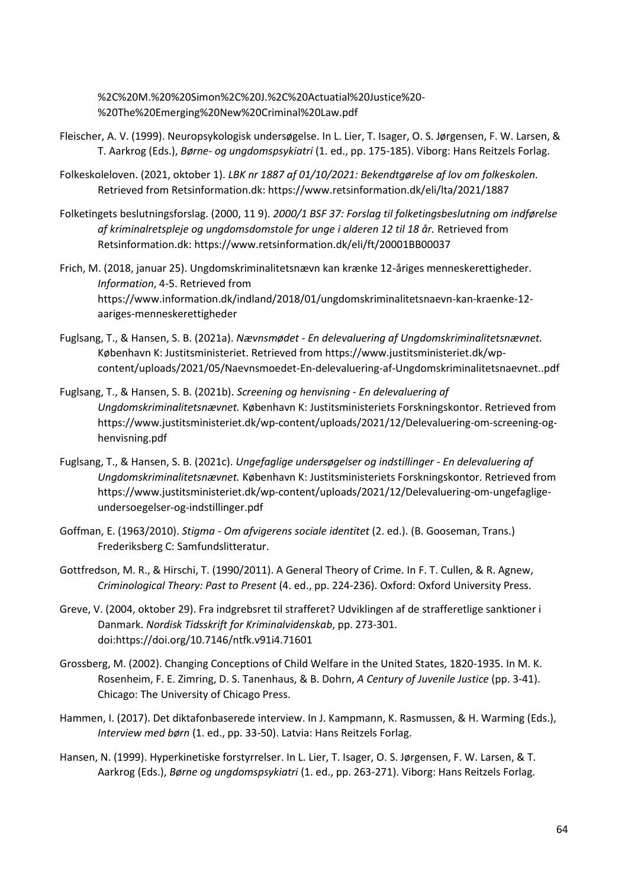%2C%20M.%20%20Simon%2C%20J.%2C%20Actuatial%20Justice%20- %20The%20Emerging%20New%20Criminal%20Law.pdf

- Fleischer, A. V. (1999). Neuropsykologisk undersøgelse. In L. Lier, T. Isager, O. S. Jørgensen, F. W. Larsen, & T. Aarkrog (Eds.), *Børne- og ungdomspsykiatri* (1. ed., pp. 175-185). Viborg: Hans Reitzels Forlag.
- Folkeskoleloven. (2021, oktober 1). *LBK nr 1887 af 01/10/2021: Bekendtgørelse af lov om folkeskolen.* Retrieved from Retsinformation.dk: https://www.retsinformation.dk/eli/lta/2021/1887
- Folketingets beslutningsforslag. (2000, 11 9). *2000/1 BSF 37: Forslag til folketingsbeslutning om indførelse af kriminalretspleje og ungdomsdomstole for unge i alderen 12 til 18 år.* Retrieved from Retsinformation.dk: https://www.retsinformation.dk/eli/ft/20001BB00037
- Frich, M. (2018, januar 25). Ungdomskriminalitetsnævn kan krænke 12-åriges menneskerettigheder. *Information*, 4-5. Retrieved from https://www.information.dk/indland/2018/01/ungdomskriminalitetsnaevn-kan-kraenke-12 aariges-menneskerettigheder
- Fuglsang, T., & Hansen, S. B. (2021a). *Nævnsmødet - En delevaluering af Ungdomskriminalitetsnævnet.* København K: Justitsministeriet. Retrieved from https://www.justitsministeriet.dk/wpcontent/uploads/2021/05/Naevnsmoedet-En-delevaluering-af-Ungdomskriminalitetsnaevnet..pdf
- Fuglsang, T., & Hansen, S. B. (2021b). *Screening og henvisning - En delevaluering af Ungdomskriminalitetsnævnet.* København K: Justitsministeriets Forskningskontor. Retrieved from https://www.justitsministeriet.dk/wp-content/uploads/2021/12/Delevaluering-om-screening-oghenvisning.pdf
- Fuglsang, T., & Hansen, S. B. (2021c). *Ungefaglige undersøgelser og indstillinger - En delevaluering af Ungdomskriminalitetsnævnet.* København K: Justitsministeriets Forskningskontor. Retrieved from https://www.justitsministeriet.dk/wp-content/uploads/2021/12/Delevaluering-om-ungefagligeundersoegelser-og-indstillinger.pdf
- Goffman, E. (1963/2010). *Stigma - Om afvigerens sociale identitet* (2. ed.). (B. Gooseman, Trans.) Frederiksberg C: Samfundslitteratur.

Gottfredson, M. R., & Hirschi, T. (1990/2011). A General Theory of Crime. In F. T. Cullen, & R. Agnew, *Criminological Theory: Past to Present* (4. ed., pp. 224-236). Oxford: Oxford University Press.

- Greve, V. (2004, oktober 29). Fra indgrebsret til strafferet? Udviklingen af de strafferetlige sanktioner i Danmark. *Nordisk Tidsskrift for Kriminalvidenskab*, pp. 273-301. doi:https://doi.org/10.7146/ntfk.v91i4.71601
- Grossberg, M. (2002). Changing Conceptions of Child Welfare in the United States, 1820-1935. In M. K. Rosenheim, F. E. Zimring, D. S. Tanenhaus, & B. Dohrn, *A Century of Juvenile Justice* (pp. 3-41). Chicago: The University of Chicago Press.
- Hammen, I. (2017). Det diktafonbaserede interview. In J. Kampmann, K. Rasmussen, & H. Warming (Eds.), *Interview med børn* (1. ed., pp. 33-50). Latvia: Hans Reitzels Forlag.
- Hansen, N. (1999). Hyperkinetiske forstyrrelser. In L. Lier, T. Isager, O. S. Jørgensen, F. W. Larsen, & T. Aarkrog (Eds.), *Børne og ungdomspsykiatri* (1. ed., pp. 263-271). Viborg: Hans Reitzels Forlag.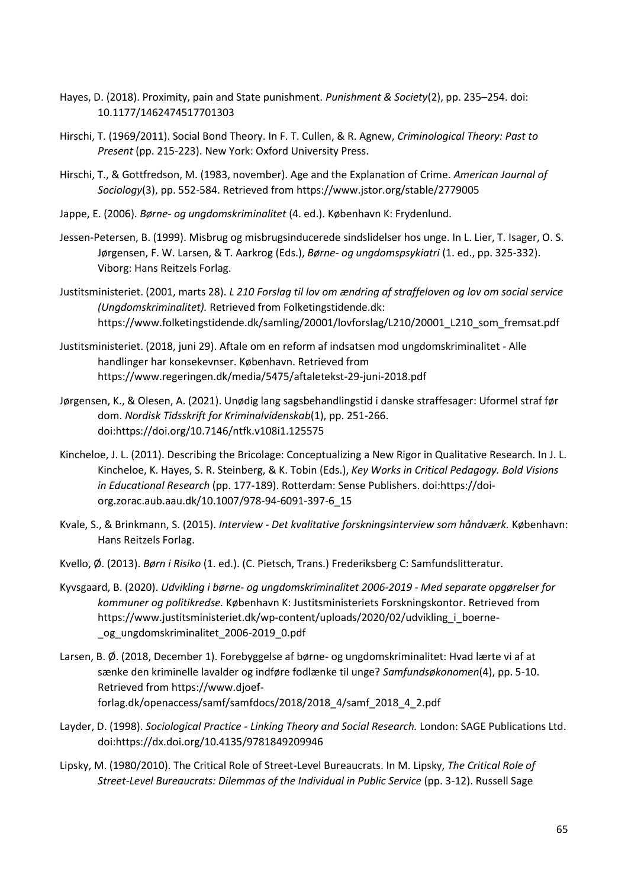- Hayes, D. (2018). Proximity, pain and State punishment. *Punishment & Society*(2), pp. 235–254. doi: 10.1177/1462474517701303
- Hirschi, T. (1969/2011). Social Bond Theory. In F. T. Cullen, & R. Agnew, *Criminological Theory: Past to Present* (pp. 215-223). New York: Oxford University Press.
- Hirschi, T., & Gottfredson, M. (1983, november). Age and the Explanation of Crime. *American Journal of Sociology*(3), pp. 552-584. Retrieved from https://www.jstor.org/stable/2779005
- Jappe, E. (2006). *Børne- og ungdomskriminalitet* (4. ed.). København K: Frydenlund.
- Jessen-Petersen, B. (1999). Misbrug og misbrugsinducerede sindslidelser hos unge. In L. Lier, T. Isager, O. S. Jørgensen, F. W. Larsen, & T. Aarkrog (Eds.), *Børne- og ungdomspsykiatri* (1. ed., pp. 325-332). Viborg: Hans Reitzels Forlag.
- Justitsministeriet. (2001, marts 28). *L 210 Forslag til lov om ændring af straffeloven og lov om social service (Ungdomskriminalitet).* Retrieved from Folketingstidende.dk: https://www.folketingstidende.dk/samling/20001/lovforslag/L210/20001\_L210\_som\_fremsat.pdf
- Justitsministeriet. (2018, juni 29). Aftale om en reform af indsatsen mod ungdomskriminalitet Alle handlinger har konsekevnser. København. Retrieved from https://www.regeringen.dk/media/5475/aftaletekst-29-juni-2018.pdf
- Jørgensen, K., & Olesen, A. (2021). Unødig lang sagsbehandlingstid i danske straffesager: Uformel straf før dom. *Nordisk Tidsskrift for Kriminalvidenskab*(1), pp. 251-266. doi:https://doi.org/10.7146/ntfk.v108i1.125575
- Kincheloe, J. L. (2011). Describing the Bricolage: Conceptualizing a New Rigor in Qualitative Research. In J. L. Kincheloe, K. Hayes, S. R. Steinberg, & K. Tobin (Eds.), *Key Works in Critical Pedagogy. Bold Visions in Educational Research* (pp. 177-189). Rotterdam: Sense Publishers. doi:https://doiorg.zorac.aub.aau.dk/10.1007/978-94-6091-397-6\_15
- Kvale, S., & Brinkmann, S. (2015). *Interview - Det kvalitative forskningsinterview som håndværk.* København: Hans Reitzels Forlag.
- Kvello, Ø. (2013). *Børn i Risiko* (1. ed.). (C. Pietsch, Trans.) Frederiksberg C: Samfundslitteratur.
- Kyvsgaard, B. (2020). *Udvikling i børne- og ungdomskriminalitet 2006-2019 - Med separate opgørelser for kommuner og politikredse.* København K: Justitsministeriets Forskningskontor. Retrieved from https://www.justitsministeriet.dk/wp-content/uploads/2020/02/udvikling\_i\_boerne- \_og\_ungdomskriminalitet\_2006-2019\_0.pdf
- Larsen, B. Ø. (2018, December 1). Forebyggelse af børne- og ungdomskriminalitet: Hvad lærte vi af at sænke den kriminelle lavalder og indføre fodlænke til unge? *Samfundsøkonomen*(4), pp. 5-10. Retrieved from https://www.djoefforlag.dk/openaccess/samf/samfdocs/2018/2018\_4/samf\_2018\_4\_2.pdf
- Layder, D. (1998). *Sociological Practice - Linking Theory and Social Research.* London: SAGE Publications Ltd. doi:https://dx.doi.org/10.4135/9781849209946
- Lipsky, M. (1980/2010). The Critical Role of Street-Level Bureaucrats. In M. Lipsky, *The Critical Role of Street-Level Bureaucrats: Dilemmas of the Individual in Public Service* (pp. 3-12). Russell Sage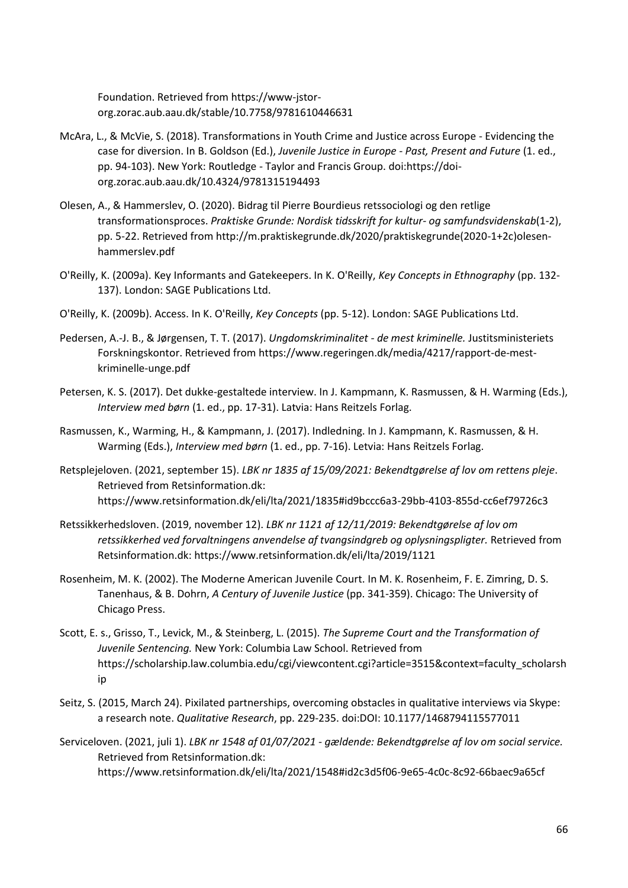Foundation. Retrieved from https://www-jstororg.zorac.aub.aau.dk/stable/10.7758/9781610446631

- McAra, L., & McVie, S. (2018). Transformations in Youth Crime and Justice across Europe Evidencing the case for diversion. In B. Goldson (Ed.), *Juvenile Justice in Europe - Past, Present and Future* (1. ed., pp. 94-103). New York: Routledge - Taylor and Francis Group. doi:https://doiorg.zorac.aub.aau.dk/10.4324/9781315194493
- Olesen, A., & Hammerslev, O. (2020). Bidrag til Pierre Bourdieus retssociologi og den retlige transformationsproces. *Praktiske Grunde: Nordisk tidsskrift for kultur- og samfundsvidenskab*(1-2), pp. 5-22. Retrieved from http://m.praktiskegrunde.dk/2020/praktiskegrunde(2020-1+2c)olesenhammerslev.pdf
- O'Reilly, K. (2009a). Key Informants and Gatekeepers. In K. O'Reilly, *Key Concepts in Ethnography* (pp. 132- 137). London: SAGE Publications Ltd.
- O'Reilly, K. (2009b). Access. In K. O'Reilly, *Key Concepts* (pp. 5-12). London: SAGE Publications Ltd.
- Pedersen, A.-J. B., & Jørgensen, T. T. (2017). *Ungdomskriminalitet - de mest kriminelle.* Justitsministeriets Forskningskontor. Retrieved from https://www.regeringen.dk/media/4217/rapport-de-mestkriminelle-unge.pdf
- Petersen, K. S. (2017). Det dukke-gestaltede interview. In J. Kampmann, K. Rasmussen, & H. Warming (Eds.), *Interview med børn* (1. ed., pp. 17-31). Latvia: Hans Reitzels Forlag.
- Rasmussen, K., Warming, H., & Kampmann, J. (2017). Indledning. In J. Kampmann, K. Rasmussen, & H. Warming (Eds.), *Interview med børn* (1. ed., pp. 7-16). Letvia: Hans Reitzels Forlag.
- Retsplejeloven. (2021, september 15). *LBK nr 1835 af 15/09/2021: Bekendtgørelse af lov om rettens pleje*. Retrieved from Retsinformation.dk: https://www.retsinformation.dk/eli/lta/2021/1835#id9bccc6a3-29bb-4103-855d-cc6ef79726c3
- Retssikkerhedsloven. (2019, november 12). *LBK nr 1121 af 12/11/2019: Bekendtgørelse af lov om retssikkerhed ved forvaltningens anvendelse af tvangsindgreb og oplysningspligter.* Retrieved from Retsinformation.dk: https://www.retsinformation.dk/eli/lta/2019/1121
- Rosenheim, M. K. (2002). The Moderne American Juvenile Court. In M. K. Rosenheim, F. E. Zimring, D. S. Tanenhaus, & B. Dohrn, *A Century of Juvenile Justice* (pp. 341-359). Chicago: The University of Chicago Press.
- Scott, E. s., Grisso, T., Levick, M., & Steinberg, L. (2015). *The Supreme Court and the Transformation of Juvenile Sentencing.* New York: Columbia Law School. Retrieved from https://scholarship.law.columbia.edu/cgi/viewcontent.cgi?article=3515&context=faculty\_scholarsh ip
- Seitz, S. (2015, March 24). Pixilated partnerships, overcoming obstacles in qualitative interviews via Skype: a research note. *Qualitative Research*, pp. 229-235. doi:DOI: 10.1177/1468794115577011
- Serviceloven. (2021, juli 1). *LBK nr 1548 af 01/07/2021 - gældende: Bekendtgørelse af lov om social service.* Retrieved from Retsinformation.dk: https://www.retsinformation.dk/eli/lta/2021/1548#id2c3d5f06-9e65-4c0c-8c92-66baec9a65cf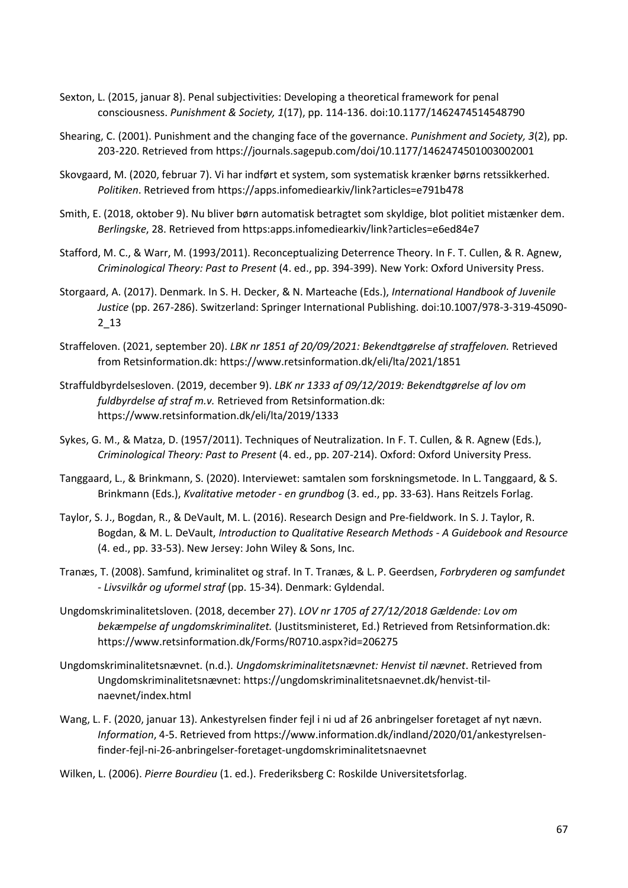- Sexton, L. (2015, januar 8). Penal subjectivities: Developing a theoretical framework for penal consciousness. *Punishment & Society, 1*(17), pp. 114-136. doi:10.1177/1462474514548790
- Shearing, C. (2001). Punishment and the changing face of the governance. *Punishment and Society, 3*(2), pp. 203-220. Retrieved from https://journals.sagepub.com/doi/10.1177/1462474501003002001
- Skovgaard, M. (2020, februar 7). Vi har indført et system, som systematisk krænker børns retssikkerhed. *Politiken*. Retrieved from https://apps.infomediearkiv/link?articles=e791b478
- Smith, E. (2018, oktober 9). Nu bliver børn automatisk betragtet som skyldige, blot politiet mistænker dem. *Berlingske*, 28. Retrieved from https:apps.infomediearkiv/link?articles=e6ed84e7
- Stafford, M. C., & Warr, M. (1993/2011). Reconceptualizing Deterrence Theory. In F. T. Cullen, & R. Agnew, *Criminological Theory: Past to Present* (4. ed., pp. 394-399). New York: Oxford University Press.
- Storgaard, A. (2017). Denmark. In S. H. Decker, & N. Marteache (Eds.), *International Handbook of Juvenile Justice* (pp. 267-286). Switzerland: Springer International Publishing. doi:10.1007/978-3-319-45090- 2\_13
- Straffeloven. (2021, september 20). *LBK nr 1851 af 20/09/2021: Bekendtgørelse af straffeloven.* Retrieved from Retsinformation.dk: https://www.retsinformation.dk/eli/lta/2021/1851
- Straffuldbyrdelsesloven. (2019, december 9). *LBK nr 1333 af 09/12/2019: Bekendtgørelse af lov om fuldbyrdelse af straf m.v.* Retrieved from Retsinformation.dk: https://www.retsinformation.dk/eli/lta/2019/1333
- Sykes, G. M., & Matza, D. (1957/2011). Techniques of Neutralization. In F. T. Cullen, & R. Agnew (Eds.), *Criminological Theory: Past to Present* (4. ed., pp. 207-214). Oxford: Oxford University Press.
- Tanggaard, L., & Brinkmann, S. (2020). Interviewet: samtalen som forskningsmetode. In L. Tanggaard, & S. Brinkmann (Eds.), *Kvalitative metoder - en grundbog* (3. ed., pp. 33-63). Hans Reitzels Forlag.
- Taylor, S. J., Bogdan, R., & DeVault, M. L. (2016). Research Design and Pre-fieldwork. In S. J. Taylor, R. Bogdan, & M. L. DeVault, *Introduction to Qualitative Research Methods - A Guidebook and Resource* (4. ed., pp. 33-53). New Jersey: John Wiley & Sons, Inc.
- Tranæs, T. (2008). Samfund, kriminalitet og straf. In T. Tranæs, & L. P. Geerdsen, *Forbryderen og samfundet - Livsvilkår og uformel straf* (pp. 15-34). Denmark: Gyldendal.
- Ungdomskriminalitetsloven. (2018, december 27). *LOV nr 1705 af 27/12/2018 Gældende: Lov om bekæmpelse af ungdomskriminalitet.* (Justitsministeret, Ed.) Retrieved from Retsinformation.dk: https://www.retsinformation.dk/Forms/R0710.aspx?id=206275
- Ungdomskriminalitetsnævnet. (n.d.). *Ungdomskriminalitetsnævnet: Henvist til nævnet*. Retrieved from Ungdomskriminalitetsnævnet: https://ungdomskriminalitetsnaevnet.dk/henvist-tilnaevnet/index.html
- Wang, L. F. (2020, januar 13). Ankestyrelsen finder fejl i ni ud af 26 anbringelser foretaget af nyt nævn. *Information*, 4-5. Retrieved from https://www.information.dk/indland/2020/01/ankestyrelsenfinder-fejl-ni-26-anbringelser-foretaget-ungdomskriminalitetsnaevnet

Wilken, L. (2006). *Pierre Bourdieu* (1. ed.). Frederiksberg C: Roskilde Universitetsforlag.